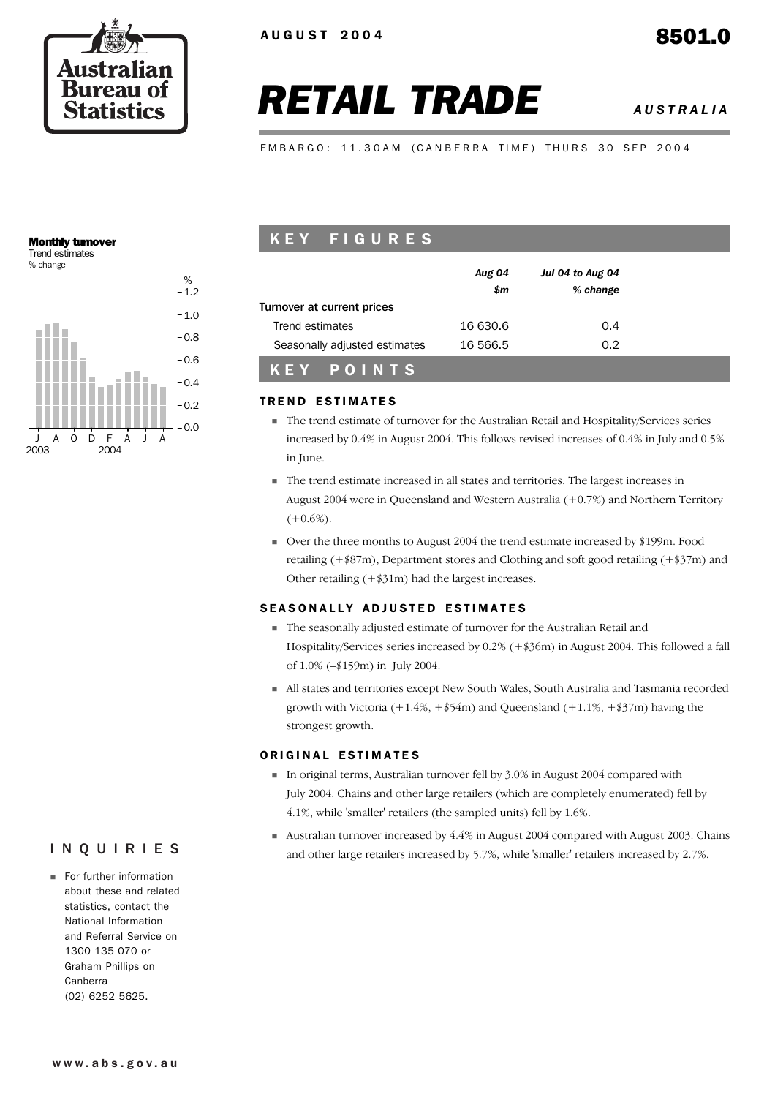

# *RETAIL TRADE AUSTRALIA*

EMBARGO: 11.30AM (CANBERRA TIME) THURS 30 SEP 2004

## Monthly turnover

Trend estimates % change



# K E Y F I G U R E S

|                                               | <b>Aug 04</b><br>\$m | Jul 04 to Aug 04<br>% change |  |
|-----------------------------------------------|----------------------|------------------------------|--|
| Turnover at current prices<br>Trend estimates | 16 630.6             | 0.4                          |  |
| Seasonally adjusted estimates                 | 16 566.5             | 0.2                          |  |
| KEY POINTS                                    |                      |                              |  |

#### **TREND ESTIMATES**

- ! The trend estimate of turnover for the Australian Retail and Hospitality/Services series increased by 0.4% in August 2004. This follows revised increases of 0.4% in July and 0.5% in June.
- ! The trend estimate increased in all states and territories. The largest increases in August 2004 were in Queensland and Western Australia (+0.7%) and Northern Territory  $(+0.6\%)$ .
- ! Over the three months to August 2004 the trend estimate increased by \$199m. Food retailing (+\$87m), Department stores and Clothing and soft good retailing (+\$37m) and Other retailing (+\$31m) had the largest increases.

#### SEASONALLY ADJUSTED ESTIMATES

- ! The seasonally adjusted estimate of turnover for the Australian Retail and Hospitality/Services series increased by 0.2% (+\$36m) in August 2004. This followed a fall of 1.0% (–\$159m) in July 2004.
- ! All states and territories except New South Wales, South Australia and Tasmania recorded growth with Victoria  $(+1.4\%, +\$54m)$  and Queensland  $(+1.1\%, +\$37m)$  having the strongest growth.

#### ORIGINAL ESTIMATES

- ! In original terms, Australian turnover fell by 3.0% in August 2004 compared with July 2004. Chains and other large retailers (which are completely enumerated) fell by 4.1%, while 'smaller' retailers (the sampled units) fell by 1.6%.
- ! Australian turnover increased by 4.4% in August 2004 compared with August 2003. Chains and other large retailers increased by 5.7%, while 'smaller' retailers increased by 2.7%.

# INQUIRIES

**Example 1** For further information about these and related statistics, contact the National Information and Referral Service on 1300 135 070 or Graham Phillips on Canberra (02) 6252 5625.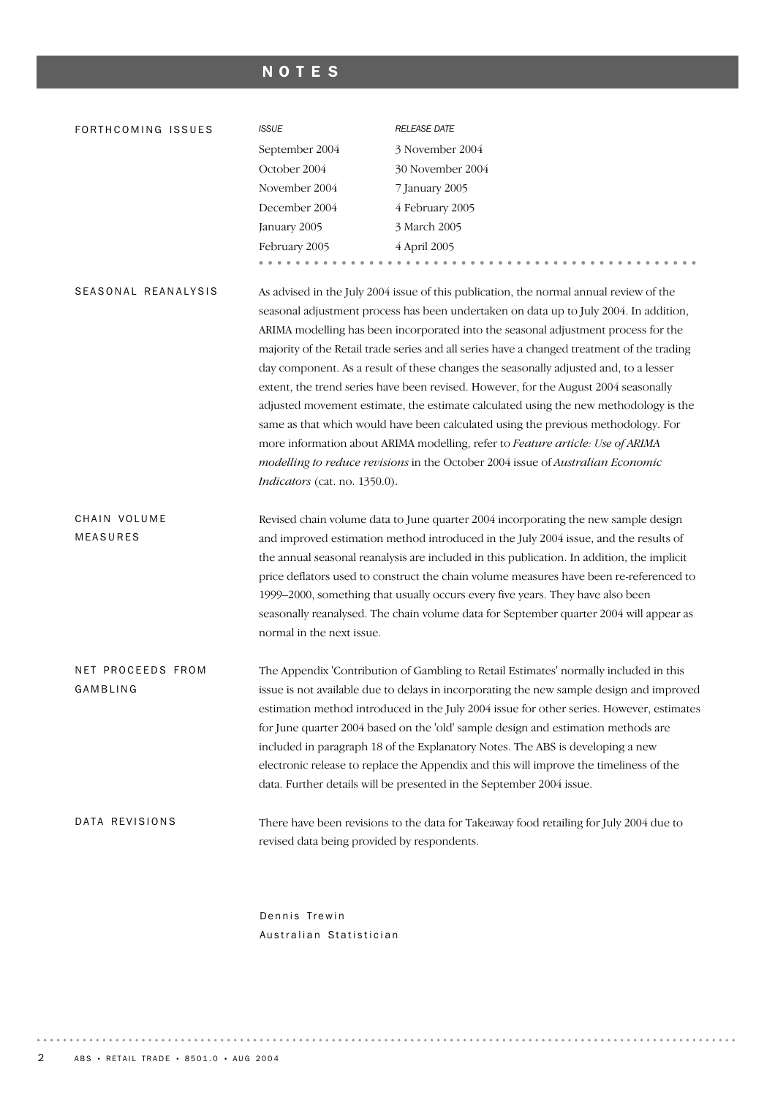# NOTES

| FORTHCOMING ISSUES              | <b>ISSUE</b>                                | RELEASE DATE                                                                                                                                                                                                                                                                                                                                                                                                                                                                                                                                                                                                                                                                                                                                                                                                                                                                                        |
|---------------------------------|---------------------------------------------|-----------------------------------------------------------------------------------------------------------------------------------------------------------------------------------------------------------------------------------------------------------------------------------------------------------------------------------------------------------------------------------------------------------------------------------------------------------------------------------------------------------------------------------------------------------------------------------------------------------------------------------------------------------------------------------------------------------------------------------------------------------------------------------------------------------------------------------------------------------------------------------------------------|
|                                 | September 2004                              | 3 November 2004                                                                                                                                                                                                                                                                                                                                                                                                                                                                                                                                                                                                                                                                                                                                                                                                                                                                                     |
|                                 | October 2004                                | 30 November 2004                                                                                                                                                                                                                                                                                                                                                                                                                                                                                                                                                                                                                                                                                                                                                                                                                                                                                    |
|                                 | November 2004                               | 7 January 2005                                                                                                                                                                                                                                                                                                                                                                                                                                                                                                                                                                                                                                                                                                                                                                                                                                                                                      |
|                                 | December 2004                               | 4 February 2005                                                                                                                                                                                                                                                                                                                                                                                                                                                                                                                                                                                                                                                                                                                                                                                                                                                                                     |
|                                 | January 2005                                | 3 March 2005                                                                                                                                                                                                                                                                                                                                                                                                                                                                                                                                                                                                                                                                                                                                                                                                                                                                                        |
|                                 | February 2005                               | 4 April 2005                                                                                                                                                                                                                                                                                                                                                                                                                                                                                                                                                                                                                                                                                                                                                                                                                                                                                        |
|                                 |                                             |                                                                                                                                                                                                                                                                                                                                                                                                                                                                                                                                                                                                                                                                                                                                                                                                                                                                                                     |
| SEASONAL REANALYSIS             | Indicators (cat. no. 1350.0).               | As advised in the July 2004 issue of this publication, the normal annual review of the<br>seasonal adjustment process has been undertaken on data up to July 2004. In addition,<br>ARIMA modelling has been incorporated into the seasonal adjustment process for the<br>majority of the Retail trade series and all series have a changed treatment of the trading<br>day component. As a result of these changes the seasonally adjusted and, to a lesser<br>extent, the trend series have been revised. However, for the August 2004 seasonally<br>adjusted movement estimate, the estimate calculated using the new methodology is the<br>same as that which would have been calculated using the previous methodology. For<br>more information about ARIMA modelling, refer to Feature article: Use of ARIMA<br>modelling to reduce revisions in the October 2004 issue of Australian Economic |
| CHAIN VOLUME<br><b>MEASURES</b> | normal in the next issue.                   | Revised chain volume data to June quarter 2004 incorporating the new sample design<br>and improved estimation method introduced in the July 2004 issue, and the results of<br>the annual seasonal reanalysis are included in this publication. In addition, the implicit<br>price deflators used to construct the chain volume measures have been re-referenced to<br>1999-2000, something that usually occurs every five years. They have also been<br>seasonally reanalysed. The chain volume data for September quarter 2004 will appear as                                                                                                                                                                                                                                                                                                                                                      |
| NET PROCEEDS FROM<br>GAMBLING   |                                             | The Appendix 'Contribution of Gambling to Retail Estimates' normally included in this<br>issue is not available due to delays in incorporating the new sample design and improved<br>estimation method introduced in the July 2004 issue for other series. However, estimates<br>for June quarter 2004 based on the 'old' sample design and estimation methods are<br>included in paragraph 18 of the Explanatory Notes. The ABS is developing a new<br>electronic release to replace the Appendix and this will improve the timeliness of the<br>data. Further details will be presented in the September 2004 issue.                                                                                                                                                                                                                                                                              |
| DATA REVISIONS                  | revised data being provided by respondents. | There have been revisions to the data for Takeaway food retailing for July 2004 due to                                                                                                                                                                                                                                                                                                                                                                                                                                                                                                                                                                                                                                                                                                                                                                                                              |

Dennis Trewin Australian Statistician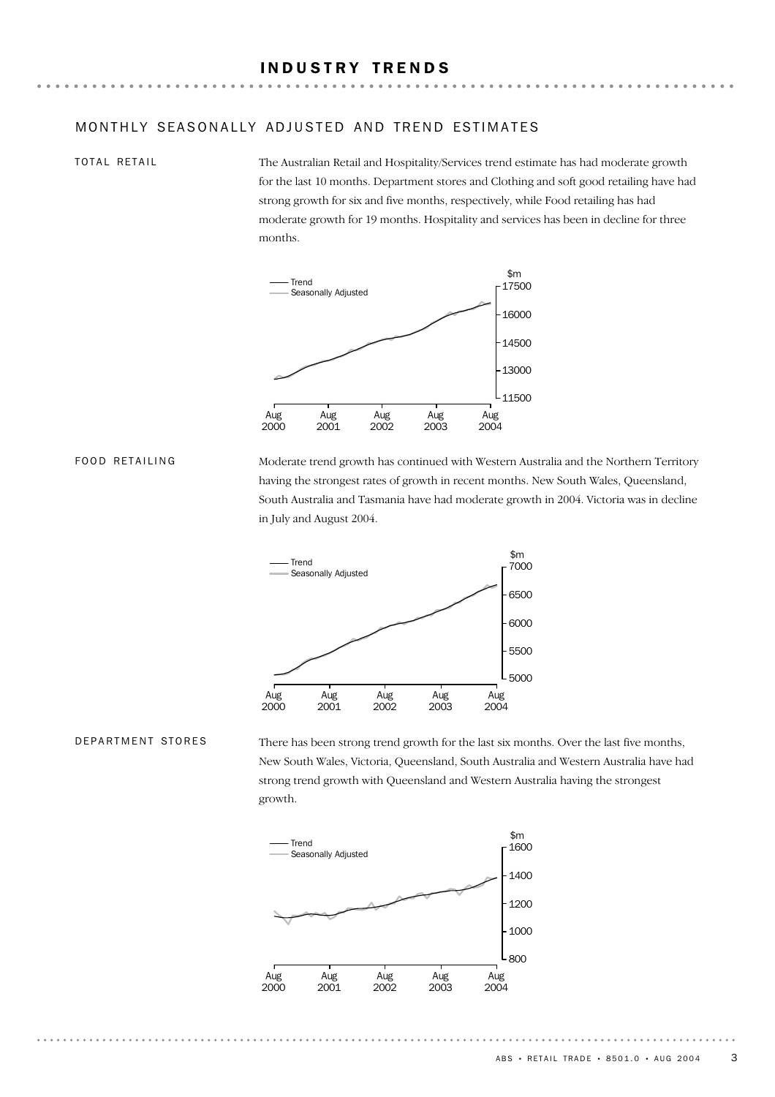#### INDUSTRY TRENDS

#### MONTHLY SEASONALLY ADJUSTED AND TREND ESTIMATES

#### TOTAL RETAIL

The Australian Retail and Hospitality/Services trend estimate has had moderate growth for the last 10 months. Department stores and Clothing and soft good retailing have had strong growth for six and five months, respectively, while Food retailing has had moderate growth for 19 months. Hospitality and services has been in decline for three months.



FOOD RETAILING

Moderate trend growth has continued with Western Australia and the Northern Territory having the strongest rates of growth in recent months. New South Wales, Queensland, South Australia and Tasmania have had moderate growth in 2004. Victoria was in decline in July and August 2004.



#### DEPARTMENT STORES

There has been strong trend growth for the last six months. Over the last five months, New South Wales, Victoria, Queensland, South Australia and Western Australia have had strong trend growth with Queensland and Western Australia having the strongest growth.

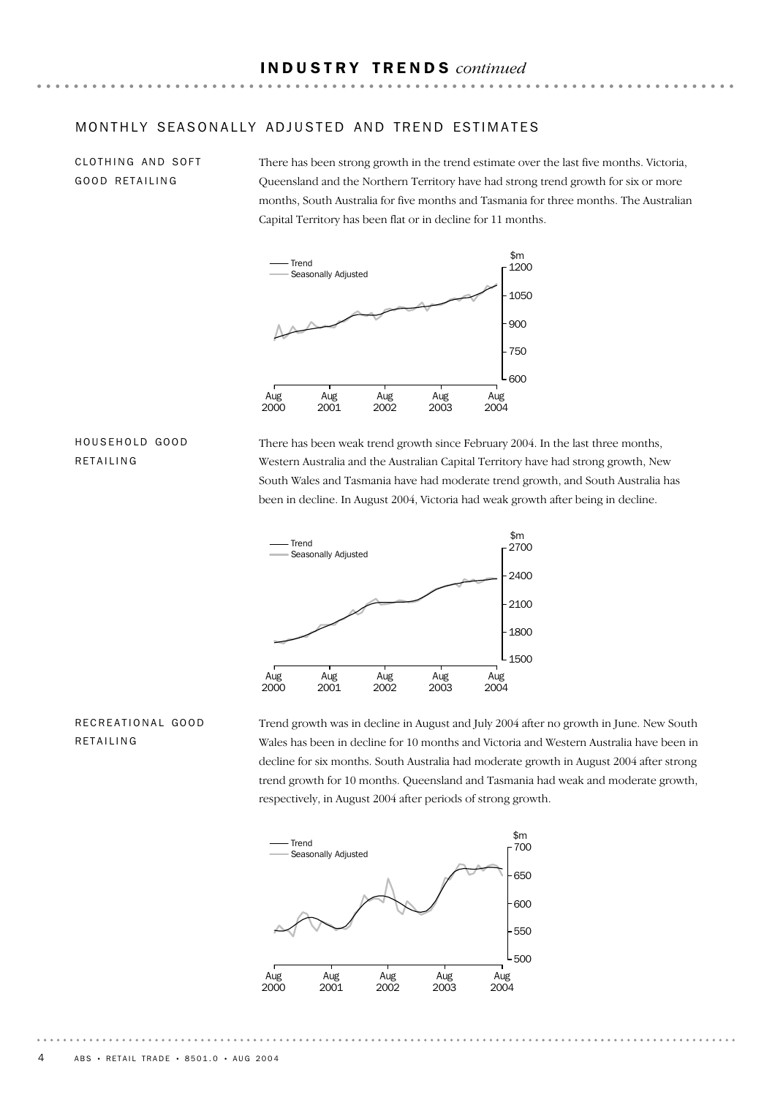#### MONTHLY SEASONALLY ADJUSTED AND TREND ESTIMATES

CLOTHING AND SOFT GOOD RETAILING

There has been strong growth in the trend estimate over the last five months. Victoria, Queensland and the Northern Territory have had strong trend growth for six or more months, South Australia for five months and Tasmania for three months. The Australian Capital Territory has been flat or in decline for 11 months.



#### HOUSEHOLD GOOD RETAILING

There has been weak trend growth since February 2004. In the last three months, Western Australia and the Australian Capital Territory have had strong growth, New South Wales and Tasmania have had moderate trend growth, and South Australia has been in decline. In August 2004, Victoria had weak growth after being in decline.



# RECREATIONAL GOOD RETAILING

Trend growth was in decline in August and July 2004 after no growth in June. New South Wales has been in decline for 10 months and Victoria and Western Australia have been in decline for six months. South Australia had moderate growth in August 2004 after strong trend growth for 10 months. Queensland and Tasmania had weak and moderate growth, respectively, in August 2004 after periods of strong growth.

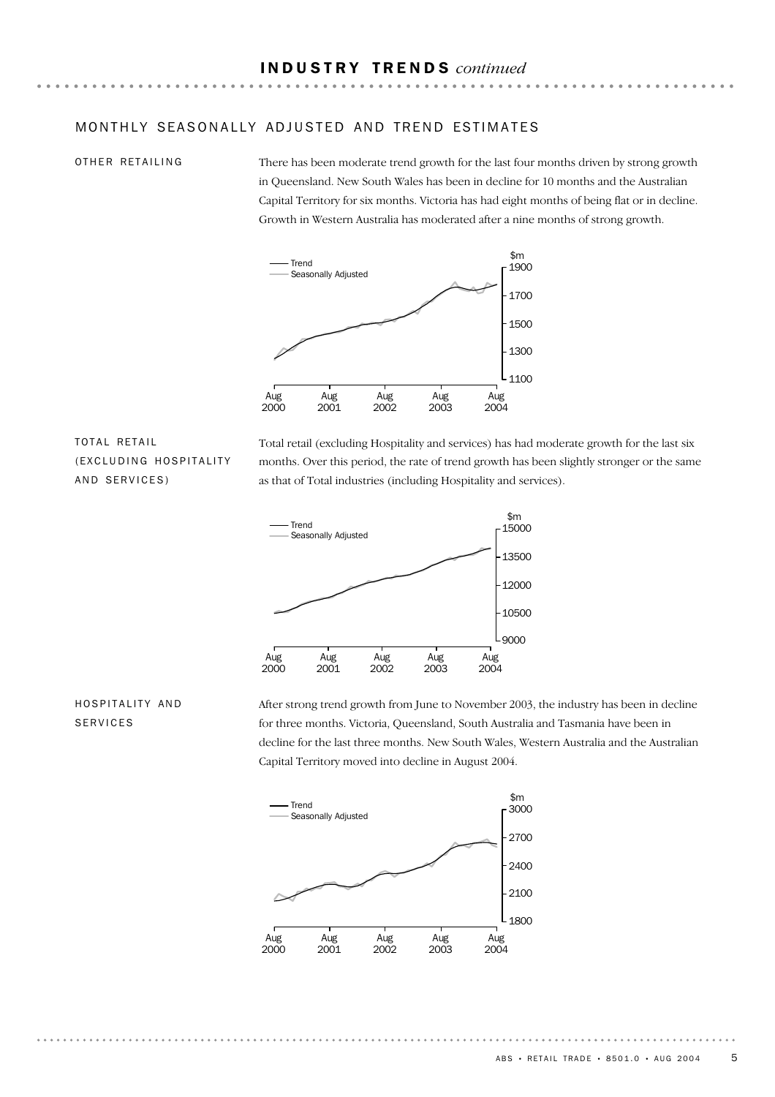#### MONTHLY SEASONALLY ADJUSTED AND TREND ESTIMATES

#### OTHER RETAILING

There has been moderate trend growth for the last four months driven by strong growth in Queensland. New South Wales has been in decline for 10 months and the Australian Capital Territory for six months. Victoria has had eight months of being flat or in decline. Growth in Western Australia has moderated after a nine months of strong growth.



# TOTAL RETAIL (EXCLUDING HOSPITALITY AND SERVICES)

Total retail (excluding Hospitality and services) has had moderate growth for the last six months. Over this period, the rate of trend growth has been slightly stronger or the same as that of Total industries (including Hospitality and services).



### HOSPITALITY AND SERVICES

After strong trend growth from June to November 2003, the industry has been in decline for three months. Victoria, Queensland, South Australia and Tasmania have been in decline for the last three months. New South Wales, Western Australia and the Australian Capital Territory moved into decline in August 2004.

![](_page_4_Figure_10.jpeg)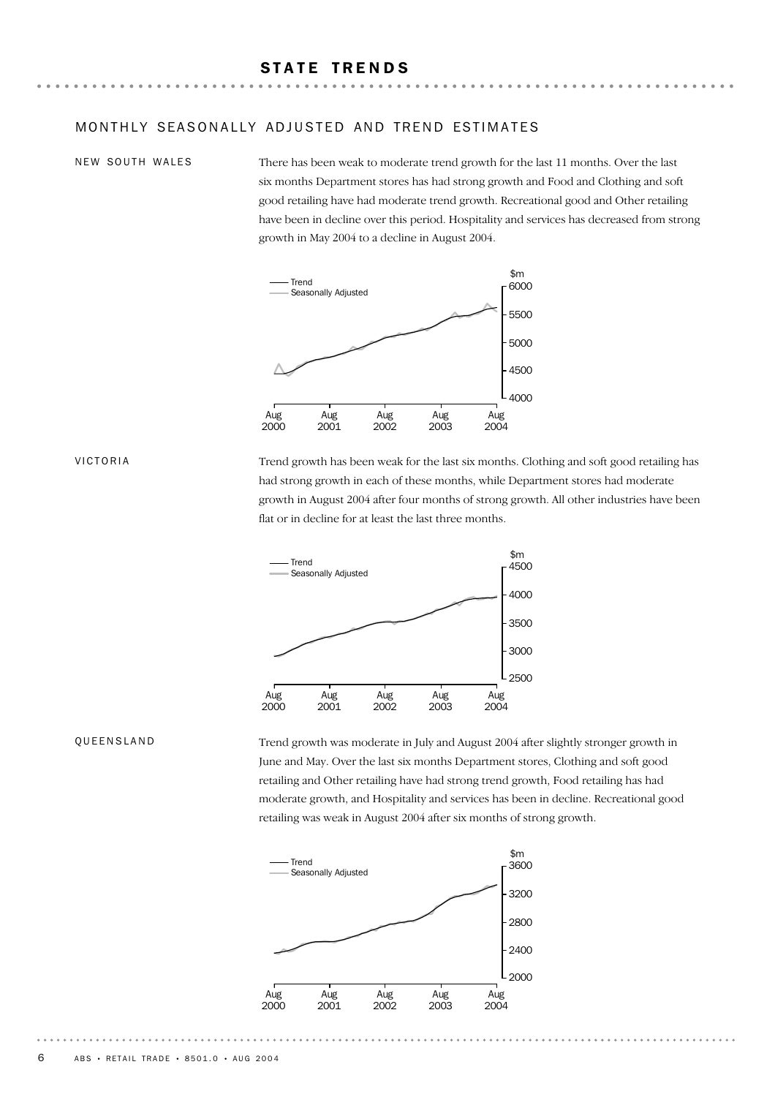### MONTHLY SFASONALLY ADJUSTED AND TREND ESTIMATES

#### NEW SOUTH WALES

There has been weak to moderate trend growth for the last 11 months. Over the last six months Department stores has had strong growth and Food and Clothing and soft good retailing have had moderate trend growth. Recreational good and Other retailing have been in decline over this period. Hospitality and services has decreased from strong growth in May 2004 to a decline in August 2004.

![](_page_5_Figure_4.jpeg)

VICTORIA

Trend growth has been weak for the last six months. Clothing and soft good retailing has had strong growth in each of these months, while Department stores had moderate growth in August 2004 after four months of strong growth. All other industries have been flat or in decline for at least the last three months.

![](_page_5_Figure_7.jpeg)

#### QUEENSLAND

Trend growth was moderate in July and August 2004 after slightly stronger growth in June and May. Over the last six months Department stores, Clothing and soft good retailing and Other retailing have had strong trend growth, Food retailing has had moderate growth, and Hospitality and services has been in decline. Recreational good retailing was weak in August 2004 after six months of strong growth.

![](_page_5_Figure_10.jpeg)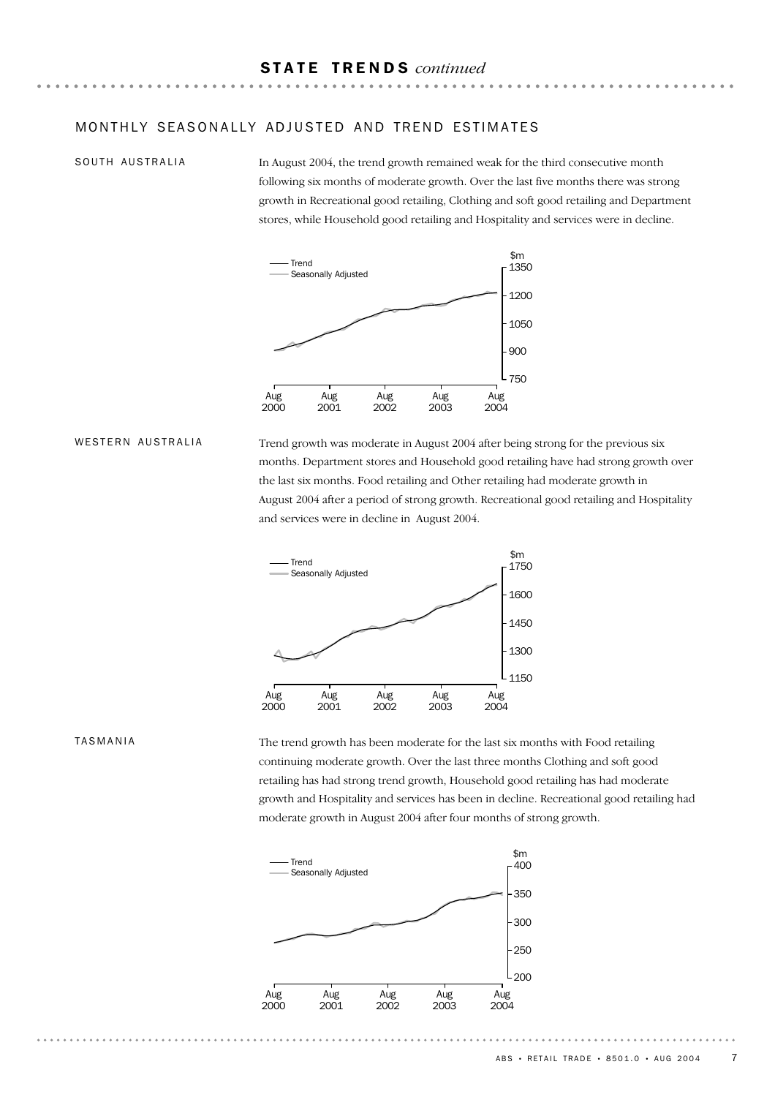#### MONTHLY SEASONALLY ADJUSTED AND TREND ESTIMATES

#### SOUTH AUSTRALIA

In August 2004, the trend growth remained weak for the third consecutive month following six months of moderate growth. Over the last five months there was strong growth in Recreational good retailing, Clothing and soft good retailing and Department stores, while Household good retailing and Hospitality and services were in decline.

![](_page_6_Figure_4.jpeg)

#### WESTERN AUSTRALIA

Trend growth was moderate in August 2004 after being strong for the previous six months. Department stores and Household good retailing have had strong growth over the last six months. Food retailing and Other retailing had moderate growth in August 2004 after a period of strong growth. Recreational good retailing and Hospitality and services were in decline in August 2004.

![](_page_6_Figure_7.jpeg)

#### TASMANIA

The trend growth has been moderate for the last six months with Food retailing continuing moderate growth. Over the last three months Clothing and soft good retailing has had strong trend growth, Household good retailing has had moderate growth and Hospitality and services has been in decline. Recreational good retailing had moderate growth in August 2004 after four months of strong growth.

![](_page_6_Figure_10.jpeg)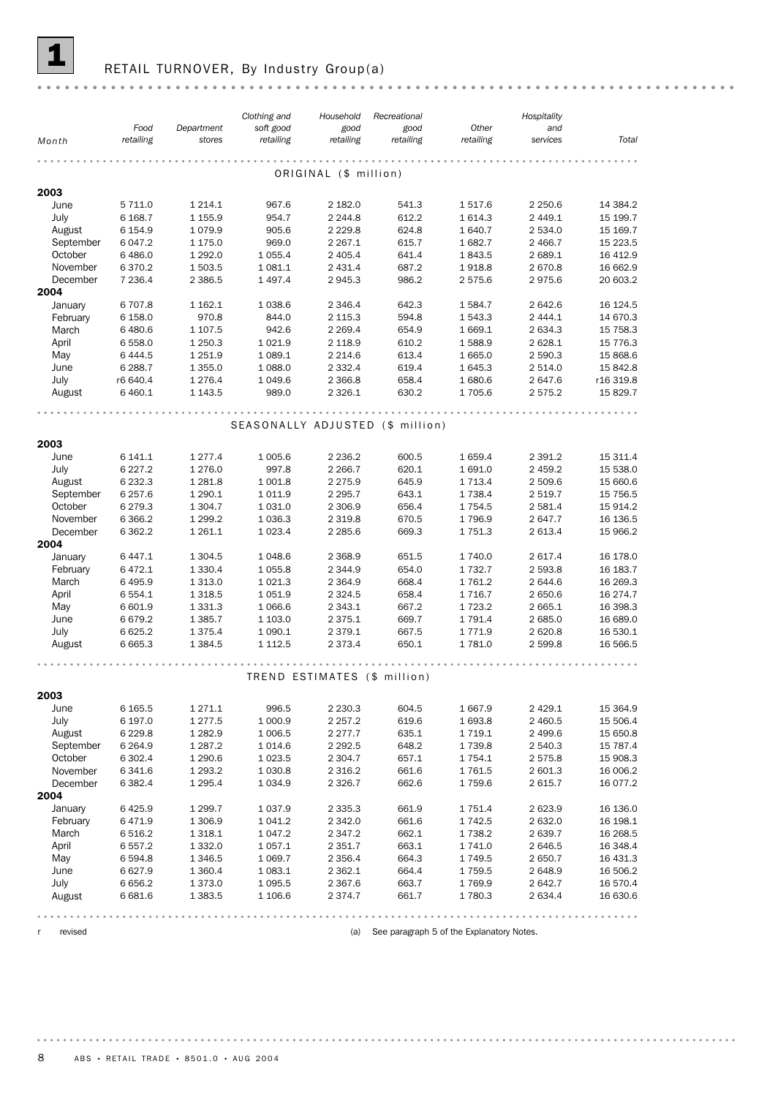![](_page_7_Picture_0.jpeg)

# RETAIL TURNOVER, By Industry Group(a)

|                   | Food                | Department               | Clothing and            | Household<br>good        | Recreational                     | Other               | Hospitality<br>and |                       |
|-------------------|---------------------|--------------------------|-------------------------|--------------------------|----------------------------------|---------------------|--------------------|-----------------------|
| Month             | retailing           | stores                   | soft good<br>retailing  | retailing                | good<br>retailing                | retailing           | services           | Total                 |
|                   |                     |                          |                         |                          |                                  |                     |                    |                       |
|                   |                     |                          |                         | ORIGINAL (\$ million)    |                                  |                     |                    |                       |
| 2003              |                     |                          |                         |                          |                                  |                     |                    |                       |
| June              | 5 7 1 1.0           | 1 2 1 4 . 1              | 967.6                   | 2 182.0                  | 541.3                            | 1517.6              | 2 250.6            | 14 384.2              |
| July              | 6 1 68.7            | 1 1 5 5.9                | 954.7                   | 2 2 4 4 .8               | 612.2                            | 1 6 1 4 . 3         | 2 449.1            | 15 199.7              |
| August            | 6 154.9             | 1 0 7 9.9                | 905.6                   | 2 2 2 9.8                | 624.8                            | 1640.7              | 2 534.0            | 15 169.7              |
| September         | 6 047.2             | 1 175.0                  | 969.0                   | 2 2 6 7 . 1              | 615.7                            | 1682.7              | 2 466.7            | 15 223.5              |
| October           | 6 4 8 6.0           | 1 2 9 2.0                | 1 0 5 5.4               | 2 4 0 5.4                | 641.4                            | 1843.5              | 2 689.1            | 16 412.9              |
| November          | 6 370.2             | 1 503.5                  | 1 0 8 1.1               | 2 4 3 1.4                | 687.2                            | 1918.8              | 2 670.8            | 16 662.9              |
| December          | 7 236.4             | 2 3 8 6.5                | 1497.4                  | 2945.3                   | 986.2                            | 2575.6              | 2975.6             | 20 603.2              |
| 2004              |                     |                          |                         |                          |                                  |                     |                    |                       |
| January           | 6707.8              | 1 1 6 2.1                | 1 0 38.6                | 2 3 4 6.4                | 642.3                            | 1584.7              | 2 642.6            | 16 124.5              |
| February          | 6 158.0             | 970.8                    | 844.0                   | 2 1 1 5 . 3              | 594.8                            | 1 543.3             | 2 444.1            | 14 670.3              |
| March             | 6 480.6             | 1 107.5                  | 942.6                   | 2 2 6 9.4                | 654.9                            | 1 669.1             | 2 634.3            | 15 758.3              |
| April             | 6 5 5 8.0           | 1 250.3                  | 1 0 2 1.9               | 2 1 18.9                 | 610.2                            | 1588.9              | 2 6 28.1           | 15 776.3              |
| May               | 6 4 4 4.5           | 1 2 5 1.9                | 1 0 8 9.1               | 2 2 1 4.6                | 613.4                            | 1 665.0             | 2 590.3            | 15 868.6              |
| June              | 6 288.7<br>r6 640.4 | 1 3 5 5 . 0<br>1 276.4   | 1 0 8 8.0               | 2 3 3 2.4<br>2 3 6 6.8   | 619.4<br>658.4                   | 1 645.3<br>1 680.6  | 2 514.0<br>2 647.6 | 15 842.8<br>r16 319.8 |
| July              | 6 4 6 0.1           | 1 1 4 3 .5               | 1 0 4 9.6<br>989.0      | 2 3 2 6.1                | 630.2                            | 1705.6              | 2 575.2            | 15 829.7              |
| August            |                     |                          |                         |                          |                                  |                     |                    |                       |
|                   |                     |                          |                         |                          |                                  |                     |                    |                       |
|                   |                     |                          |                         |                          | SEASONALLY ADJUSTED (\$ million) |                     |                    |                       |
| 2003              |                     |                          |                         |                          |                                  |                     |                    |                       |
| June              | 6 141.1             | 1 277.4                  | 1 0 0 5.6               | 2 2 3 6.2                | 600.5                            | 1 659.4             | 2 3 9 1.2          | 15 311.4              |
| July              | 6 2 2 7 . 2         | 1 276.0                  | 997.8                   | 2 2 66.7                 | 620.1                            | 1 691.0             | 2 459.2            | 15 538.0              |
| August            | 6 2 3 2.3           | 1 2 8 1.8                | 1 001.8                 | 2 2 7 5 . 9              | 645.9                            | 1 7 1 3.4           | 2 509.6            | 15 660.6              |
| September         | 6 257.6             | 1 290.1                  | 1011.9                  | 2 2 9 5.7                | 643.1                            | 1 7 3 8.4           | 2 519.7            | 15 756.5              |
| October           | 6 279.3             | 1 304.7                  | 1 0 3 1.0               | 2 3 0 6.9                | 656.4                            | 1 7 5 4 . 5         | 2 581.4            | 15 914.2              |
| November          | 6 3 6 6.2           | 1 299.2                  | 1 0 3 6.3               | 2 3 1 9.8                | 670.5                            | 1796.9              | 2 647.7            | 16 136.5              |
| December          | 6 3 6 2.2           | 1 2 6 1 . 1              | 1 0 2 3.4               | 2 2 8 5.6                | 669.3                            | 1 7 5 1 . 3         | 2 613.4            | 15 966.2              |
| 2004              |                     |                          |                         |                          |                                  |                     |                    |                       |
| January           | 6 447.1             | 1 3 0 4 .5               | 1048.6                  | 2 3 68.9                 | 651.5                            | 1 740.0             | 2 617.4            | 16 178.0              |
| February          | 6 4 7 2.1           | 1 3 3 0 . 4              | 1 0 5 5.8               | 2 3 4 4.9                | 654.0                            | 1 7 3 2.7           | 2 593.8            | 16 183.7              |
| March             | 6 4 9 5.9           | 1 313.0                  | 1 0 2 1.3               | 2 3 6 4 .9               | 668.4                            | 1761.2              | 2 644.6            | 16 269.3              |
| April             | 6 5 5 4.1           | 1 3 1 8 .5               | 1 0 5 1.9               | 2 3 2 4 .5               | 658.4                            | 1 7 1 6.7           | 2 650.6            | 16 274.7              |
| May               | 6 601.9             | 1 3 3 1 . 3              | 1 0 66.6                | 2 3 4 3 . 1              | 667.2                            | 1 7 2 3 . 2         | 2 665.1            | 16 398.3              |
| June              | 6 6 7 9.2           | 1 3 8 5.7                | 1 103.0                 | 2 3 7 5 . 1              | 669.7                            | 1 7 9 1 . 4         | 2 685.0            | 16 689.0              |
| July              | 6 6 2 5.2           | 1 375.4                  | 1 0 9 0.1               | 2 3 7 9 . 1              | 667.5                            | 1 7 7 1.9           | 2 6 2 0.8          | 16 530.1              |
| August            | 6 6 6 5.3           | 1 3 8 4 .5               | 1 1 1 2.5               | 2 373.4                  | 650.1                            | 1781.0              | 2 599.8            | 16 566.5              |
|                   |                     |                          |                         |                          |                                  |                     |                    |                       |
|                   |                     |                          |                         |                          | TREND ESTIMATES (\$ million)     |                     |                    |                       |
|                   |                     |                          |                         |                          |                                  |                     |                    |                       |
| 2003              |                     |                          |                         |                          |                                  |                     |                    |                       |
| June              | 6 1 6 5 .5          | 1 271.1                  | 996.5                   | 2 2 3 0.3                | 604.5                            | 1 667.9             | 2 4 2 9.1          | 15 3 64.9             |
| July              | 6 197.0             | 1 277.5                  | 1 000.9                 | 2 2 5 7 . 2              | 619.6                            | 1693.8              | 2 460.5            | 15 506.4              |
| August            | 6 2 2 9.8           | 1 282.9                  | 1 006.5                 | 2 2 7 7 . 7              | 635.1                            | 1 7 1 9.1           | 2 499.6            | 15 650.8              |
| September         | 6 2 6 4 .9          | 1 287.2                  | 1014.6                  | 2 292.5                  | 648.2                            | 1739.8              | 2 540.3            | 15 787.4              |
| October           | 6 302.4             | 1 290.6                  | 1 0 23.5                | 2 304.7                  | 657.1                            | 1 7 5 4 . 1         | 2 575.8            | 15 908.3              |
| November          | 6 341.6             | 1 293.2                  | 1 0 3 0.8               | 2 3 1 6.2                | 661.6                            | 1761.5              | 2 601.3            | 16 006.2              |
| December          | 6 3 8 2.4           | 1 295.4                  | 1 0 3 4 .9              | 2 3 2 6.7                | 662.6                            | 1759.6              | 2 615.7            | 16 077.2              |
| 2004              |                     |                          |                         |                          |                                  |                     |                    |                       |
| January           | 6425.9              | 1 299.7<br>1 306.9       | 1 0 3 7 .9<br>1 0 4 1.2 | 2 3 3 5 . 3              | 661.9                            | 1751.4              | 2 623.9            | 16 136.0              |
| February<br>March | 6471.9<br>6 516.2   |                          |                         | 2 3 4 2.0<br>2 3 4 7 . 2 | 661.6<br>662.1                   | 1742.5<br>1 7 3 8.2 | 2 632.0<br>2 639.7 | 16 198.1<br>16 268.5  |
| April             | 6 557.2             | 1 3 1 8 . 1<br>1 3 3 2.0 | 1 047.2<br>1 0 5 7 . 1  | 2 3 5 1.7                | 663.1                            | 1741.0              | 2 646.5            | 16 348.4              |
| May               | 6 5 9 4.8           | 1 346.5                  | 1 0 69.7                | 2 3 5 6.4                | 664.3                            | 1 749.5             | 2 650.7            | 16 431.3              |
| June              | 6 6 2 7 .9          | 1 360.4                  | 1 0 8 3.1               | 2 362.1                  | 664.4                            | 1759.5              | 2648.9             | 16 506.2              |
| July              | 6 6 5 6.2           | 1 373.0                  | 1 0 9 5.5               | 2 367.6                  | 663.7                            | 1769.9              | 2 642.7            | 16 570.4              |
| August            | 6 681.6             | 1 3 8 3 .5               | 1 106.6                 | 2 374.7                  | 661.7                            | 1 780.3             | 2 634.4            | 16 630.6              |
|                   |                     |                          |                         |                          |                                  |                     |                    |                       |
|                   |                     |                          |                         |                          |                                  |                     |                    |                       |

r revised (a) See paragraph 5 of the Explanatory Notes.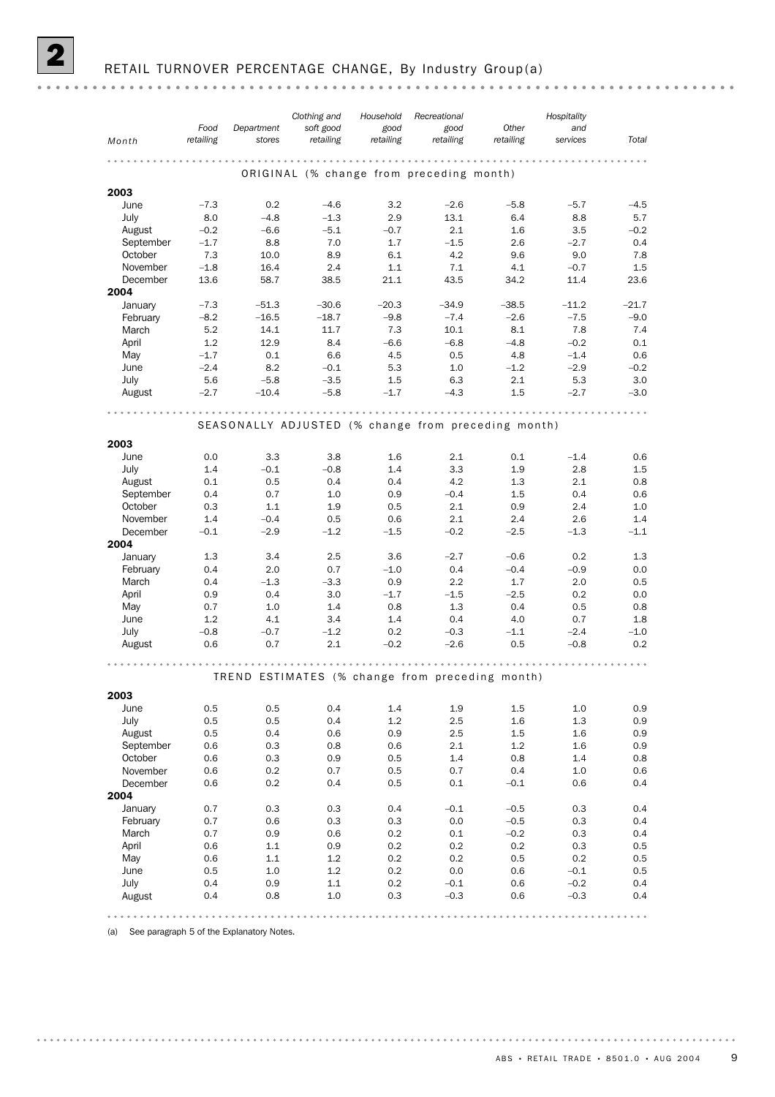|                      |            |               | Clothing and  | Household  | Recreational                             |                                                     | Hospitality |            |
|----------------------|------------|---------------|---------------|------------|------------------------------------------|-----------------------------------------------------|-------------|------------|
|                      | Food       | Department    | soft good     | good       | good                                     | Other                                               | and         |            |
| Month                | retailing  | stores        | retailing     | retailing  | retailing                                | retailing                                           | services    | Total      |
|                      |            |               |               |            |                                          |                                                     |             |            |
|                      |            |               |               |            | ORIGINAL (% change from preceding month) |                                                     |             |            |
| 2003                 |            |               |               |            |                                          |                                                     |             |            |
| June                 | $-7.3$     | 0.2           | $-4.6$        | 3.2        | $-2.6$                                   | $-5.8$                                              | $-5.7$      | $-4.5$     |
| July                 | 8.0        | $-4.8$        | $-1.3$        | 2.9        | 13.1                                     | 6.4                                                 | 8.8         | 5.7        |
| August               | $-0.2$     | $-6.6$        | $-5.1$        | $-0.7$     | 2.1                                      | 1.6                                                 | 3.5         | $-0.2$     |
| September            | $-1.7$     | 8.8           | 7.0           | 1.7        | $-1.5$                                   | 2.6                                                 | $-2.7$      | 0.4        |
| October              | 7.3        | 10.0          | 8.9           | 6.1        | 4.2                                      | 9.6                                                 | 9.0         | 7.8        |
| November             | $-1.8$     | 16.4          | 2.4           | 1.1        | 7.1                                      | 4.1                                                 | $-0.7$      | 1.5        |
| December             | 13.6       | 58.7          | 38.5          | 21.1       | 43.5                                     | 34.2                                                | 11.4        | 23.6       |
| 2004                 |            |               |               |            |                                          |                                                     |             |            |
| January              | $-7.3$     | $-51.3$       | $-30.6$       | $-20.3$    | $-34.9$                                  | $-38.5$                                             | $-11.2$     | $-21.7$    |
| February             | $-8.2$     | $-16.5$       | $-18.7$       | $-9.8$     | $-7.4$                                   | $-2.6$                                              | $-7.5$      | $-9.0$     |
| March                | 5.2        | 14.1          | 11.7          | 7.3        | 10.1                                     | 8.1                                                 | 7.8         | 7.4        |
| April                | 1.2        | 12.9          | 8.4           | $-6.6$     | $-6.8$                                   | $-4.8$                                              | $-0.2$      | 0.1        |
| May                  | $-1.7$     | 0.1           | 6.6           | 4.5        | 0.5                                      | 4.8                                                 | $-1.4$      | 0.6        |
| June                 | $-2.4$     | 8.2           | $-0.1$        | 5.3        | 1.0                                      | $-1.2$                                              | $-2.9$      | $-0.2$     |
| July                 | 5.6        | $-5.8$        | $-3.5$        | 1.5        | 6.3                                      | 2.1                                                 | 5.3         | 3.0        |
| August               | $-2.7$     | $-10.4$       | $-5.8$        | $-1.7$     | $-4.3$                                   | $1.5\,$                                             | $-2.7$      | $-3.0$     |
|                      |            |               |               |            |                                          |                                                     |             |            |
|                      |            |               |               |            |                                          | SEASONALLY ADJUSTED (% change from preceding month) |             |            |
|                      |            |               |               |            |                                          |                                                     |             |            |
| 2003                 |            |               |               |            |                                          |                                                     |             |            |
| June                 | 0.0        | 3.3           | 3.8           | 1.6        | 2.1                                      | 0.1                                                 | $-1.4$      | 0.6        |
| July<br>August       | 1.4<br>0.1 | $-0.1$<br>0.5 | $-0.8$<br>0.4 | 1.4<br>0.4 | 3.3<br>4.2                               | 1.9<br>1.3                                          | 2.8<br>2.1  | 1.5<br>0.8 |
| September            | 0.4        | 0.7           | 1.0           | 0.9        | $-0.4$                                   | 1.5                                                 | 0.4         | 0.6        |
| October              | 0.3        | 1.1           | 1.9           | 0.5        | 2.1                                      | 0.9                                                 | 2.4         | 1.0        |
| November             | 1.4        | $-0.4$        | 0.5           | 0.6        | 2.1                                      | 2.4                                                 | 2.6         | 1.4        |
| December             | $-0.1$     | $-2.9$        | $-1.2$        | $-1.5$     | $-0.2$                                   | $-2.5$                                              | $-1.3$      | $-1.1$     |
| 2004                 |            |               |               |            |                                          |                                                     |             |            |
| January              | 1.3        | 3.4           | 2.5           | 3.6        | $-2.7$                                   | $-0.6$                                              | 0.2         | 1.3        |
| February             | 0.4        | 2.0           | 0.7           | $-1.0$     | 0.4                                      | $-0.4$                                              | $-0.9$      | 0.0        |
| March                | 0.4        | $-1.3$        | $-3.3$        | 0.9        | 2.2                                      | 1.7                                                 | 2.0         | 0.5        |
| April                | 0.9        | 0.4           | 3.0           | $-1.7$     | $-1.5$                                   | $-2.5$                                              | 0.2         | 0.0        |
| May                  | 0.7        | 1.0           | 1.4           | 0.8        | 1.3                                      | 0.4                                                 | 0.5         | 0.8        |
| June                 | 1.2        | 4.1           | 3.4           | 1.4        | 0.4                                      | 4.0                                                 | 0.7         | 1.8        |
| July                 | $-0.8$     | $-0.7$        | $-1.2$        | 0.2        | $-0.3$                                   | $-1.1$                                              | $-2.4$      | $-1.0$     |
| August               | 0.6        | 0.7           | 2.1           | $-0.2$     | $-2.6$                                   | 0.5                                                 | $-0.8$      | 0.2        |
|                      |            |               |               |            |                                          |                                                     |             |            |
|                      |            |               |               |            |                                          | TREND ESTIMATES (% change from preceding month)     |             |            |
|                      |            |               |               |            |                                          |                                                     |             |            |
| 2003                 |            |               |               |            |                                          |                                                     |             |            |
| June                 | 0.5        | 0.5           | 0.4           | 1.4        | 1.9                                      | 1.5                                                 | $1.0\,$     | 0.9        |
| July                 | 0.5        | 0.5           | 0.4           | 1.2        | $2.5\,$                                  | 1.6                                                 | 1.3         | $0.9\,$    |
| August               | 0.5        | 0.4           | 0.6           | 0.9        | 2.5                                      | 1.5                                                 | 1.6         | 0.9        |
| September            | 0.6        | 0.3           | 0.8           | 0.6        | 2.1                                      | 1.2                                                 | 1.6         | 0.9        |
| October              | 0.6        | 0.3<br>0.2    | 0.9           | 0.5        | 1.4<br>0.7                               | 0.8                                                 | 1.4         | 0.8        |
| November<br>December | 0.6<br>0.6 | 0.2           | 0.7<br>0.4    | 0.5<br>0.5 | 0.1                                      | 0.4<br>$-0.1$                                       | 1.0<br>0.6  | 0.6<br>0.4 |
| 2004                 |            |               |               |            |                                          |                                                     |             |            |
| January              | 0.7        | 0.3           | 0.3           | 0.4        | $-0.1$                                   | $-0.5$                                              | 0.3         | 0.4        |
| February             | 0.7        | 0.6           | 0.3           | 0.3        | 0.0                                      | $-0.5$                                              | 0.3         | 0.4        |
| March                | 0.7        | 0.9           | 0.6           | 0.2        | 0.1                                      | $-0.2$                                              | 0.3         | 0.4        |
| April                | 0.6        | $1.1\,$       | 0.9           | 0.2        | 0.2                                      | 0.2                                                 | 0.3         | 0.5        |
| May                  | 0.6        | 1.1           | 1.2           | 0.2        | 0.2                                      | 0.5                                                 | 0.2         | 0.5        |
| June                 | 0.5        | 1.0           | 1.2           | 0.2        | 0.0                                      | 0.6                                                 | $-0.1$      | 0.5        |
| July                 | 0.4        | 0.9           | 1.1           | 0.2        | $-0.1$                                   | 0.6                                                 | $-0.2$      | 0.4        |
| August               | 0.4        | 0.8           | 1.0           | 0.3        | $-0.3$                                   | 0.6                                                 | $-0.3$      | 0.4        |
|                      |            |               |               |            |                                          |                                                     |             |            |
|                      |            |               |               |            |                                          |                                                     |             |            |

(a) See paragraph 5 of the Explanatory Notes.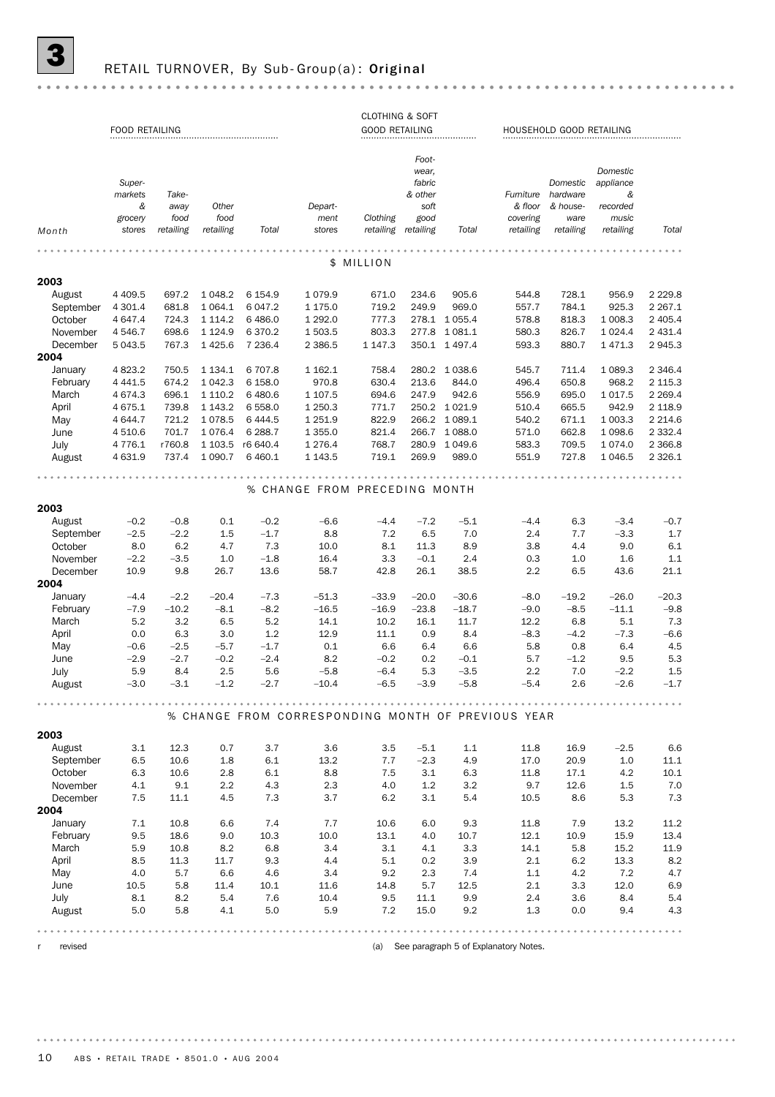# **3** RETAIL TURNOVER, By Sub-Group(a): Original

|--|--|

|              |                       |           |             |           |                                                    | <b>CLOTHING &amp; SOFT</b> |                |               |                                           |                          |             |             |
|--------------|-----------------------|-----------|-------------|-----------|----------------------------------------------------|----------------------------|----------------|---------------|-------------------------------------------|--------------------------|-------------|-------------|
|              | <b>FOOD RETAILING</b> |           |             |           |                                                    | <b>GOOD RETAILING</b>      |                |               |                                           | HOUSEHOLD GOOD RETAILING |             |             |
|              |                       |           |             |           |                                                    |                            | Foot-<br>wear, |               |                                           |                          | Domestic    |             |
|              | Super-                |           |             |           |                                                    |                            | fabric         |               |                                           | Domestic                 | appliance   |             |
|              | markets               | Take-     |             |           |                                                    |                            | & other        |               | Furniture                                 | hardware                 | &           |             |
|              | &                     | away      | Other       |           | Depart-                                            |                            | soft           |               | & floor                                   | & house-                 | recorded    |             |
|              | grocery               | food      | food        |           | ment                                               | Clothing                   | good           |               | covering                                  | ware                     | music       |             |
| Month        | stores                | retailing | retailing   | Total     | stores                                             | retailing retailing        |                | Total         | retailing                                 | retailing                | retailing   | Total       |
|              |                       |           |             |           |                                                    |                            |                |               |                                           |                          |             |             |
|              |                       |           |             |           |                                                    | \$ MILLION                 |                |               |                                           |                          |             |             |
| 2003         |                       |           |             |           |                                                    |                            |                |               |                                           |                          |             |             |
| August       | 4 4 0 9.5             | 697.2     | 1 048.2     | 6 154.9   | 1079.9                                             | 671.0                      | 234.6          | 905.6         | 544.8                                     | 728.1                    | 956.9       | 2 2 2 9.8   |
| September    | 4 301.4               | 681.8     | 1 0 64.1    | 6 047.2   | 1 175.0                                            | 719.2                      | 249.9          | 969.0         | 557.7                                     | 784.1                    | 925.3       | 2 2 6 7 . 1 |
| October      | 4 647.4               | 724.3     | 1 1 1 4 . 2 | 6 4 8 6.0 | 1 292.0                                            | 777.3                      |                | 278.1 1055.4  | 578.8                                     | 818.3                    | 1 008.3     | 2 4 0 5.4   |
| November     | 4 546.7               | 698.6     | 1 1 2 4 .9  | 6 3 7 0.2 | 1 503.5                                            | 803.3                      |                | 277.8 1081.1  | 580.3                                     | 826.7                    | 1 0 24.4    | 2 4 3 1.4   |
| December     | 5 043.5               | 767.3     | 1 4 2 5.6   | 7 2 3 6.4 | 2 3 8 6.5                                          | 1 1 4 7 . 3                |                | 350.1 1 497.4 | 593.3                                     | 880.7                    | 1 4 7 1 . 3 | 2945.3      |
| 2004         |                       |           |             |           |                                                    |                            |                |               |                                           |                          |             |             |
| January      | 4 8 23.2              | 750.5     | 1 1 3 4 . 1 | 6 707.8   | 1 1 6 2.1                                          | 758.4                      |                | 280.2 1 038.6 | 545.7                                     | 711.4                    | 1 0 8 9.3   | 2 3 4 6.4   |
| February     | 4 4 4 1.5             | 674.2     | 1 042.3     | 6 158.0   | 970.8                                              | 630.4                      | 213.6          | 844.0         | 496.4                                     | 650.8                    | 968.2       | 2 1 1 5 . 3 |
| March        | 4 674.3               | 696.1     | 1 110.2     | 6 480.6   | 1 107.5                                            | 694.6                      | 247.9          | 942.6         | 556.9                                     | 695.0                    | 1 0 1 7 .5  | 2 2 6 9.4   |
| April        | 4 675.1               | 739.8     | 1 1 4 3 . 2 | 6 5 5 8.0 | 1 250.3                                            | 771.7                      |                | 250.2 1 021.9 | 510.4                                     | 665.5                    | 942.9       | 2 1 1 8.9   |
| May          | 4 644.7               | 721.2     | 1 0 78.5    | 6 4 4 4.5 | 1 2 5 1.9                                          | 822.9                      |                | 266.2 1 089.1 | 540.2                                     | 671.1                    | 1 003.3     | 2 2 1 4.6   |
| June         | 4510.6                | 701.7     | 1 0 7 6.4   | 6 288.7   | 1 3 5 5.0                                          | 821.4                      |                | 266.7 1 088.0 | 571.0                                     | 662.8                    | 1 0 98.6    | 2 3 3 2.4   |
| July         | 4 7 7 6.1             | r760.8    | 1 103.5     | r6 640.4  | 1 2 7 6.4                                          | 768.7                      | 280.9          | 1 049.6       | 583.3                                     | 709.5                    | 1074.0      | 2 3 6 6.8   |
| August       | 4 631.9               | 737.4     | 1 0 9 0.7   | 6 4 6 0.1 | 1 1 4 3 .5                                         | 719.1                      | 269.9          | 989.0         | 551.9                                     | 727.8                    | 1 0 4 6.5   | 2 3 2 6.1   |
|              |                       |           |             |           |                                                    |                            |                |               |                                           |                          |             |             |
|              |                       |           |             |           |                                                    |                            |                |               |                                           |                          |             |             |
|              |                       |           |             |           | % CHANGE FROM PRECEDING MONTH                      |                            |                |               |                                           |                          |             |             |
| 2003         |                       |           |             |           |                                                    |                            |                |               |                                           |                          |             |             |
| August       | $-0.2$                | $-0.8$    | 0.1         | $-0.2$    | $-6.6$                                             | $-4.4$                     | $-7.2$         | $-5.1$        | $-4.4$                                    | 6.3                      | $-3.4$      | $-0.7$      |
| September    | $-2.5$                | $-2.2$    | 1.5         | $-1.7$    | 8.8                                                | 7.2                        | 6.5            | 7.0           | 2.4                                       | 7.7                      | $-3.3$      | 1.7         |
| October      | 8.0                   | 6.2       | 4.7         | 7.3       | 10.0                                               | 8.1                        | 11.3           | 8.9           | 3.8                                       | 4.4                      | 9.0         | $6.1\,$     |
| November     | $-2.2$                | $-3.5$    | 1.0         | $-1.8$    | 16.4                                               | 3.3                        | $-0.1$         | 2.4           | 0.3                                       | 1.0                      | 1.6         | 1.1         |
| December     | 10.9                  | 9.8       | 26.7        | 13.6      | 58.7                                               | 42.8                       | 26.1           | 38.5          | 2.2                                       | 6.5                      | 43.6        | 21.1        |
| 2004         |                       |           |             |           |                                                    |                            |                |               |                                           |                          |             |             |
| January      | $-4.4$                | $-2.2$    | $-20.4$     | $-7.3$    | $-51.3$                                            | $-33.9$                    | $-20.0$        | $-30.6$       | $-8.0$                                    | $-19.2$                  | $-26.0$     | $-20.3$     |
| February     | $-7.9$                | $-10.2$   | $-8.1$      | $-8.2$    | $-16.5$                                            | $-16.9$                    | $-23.8$        | $-18.7$       | $-9.0$                                    | $-8.5$                   | $-11.1$     | $-9.8$      |
| March        | 5.2                   | 3.2       | 6.5         | 5.2       | 14.1                                               | 10.2                       | 16.1           | 11.7          | 12.2                                      | 6.8                      | 5.1         | 7.3         |
| April        | 0.0                   | 6.3       | 3.0         | 1.2       | 12.9                                               | 11.1                       | 0.9            | 8.4           | $-8.3$                                    | $-4.2$                   | $-7.3$      | $-6.6$      |
| May          | $-0.6$                | $-2.5$    | $-5.7$      | $-1.7$    | 0.1                                                | 6.6                        | 6.4            | 6.6           | 5.8                                       | 0.8                      | 6.4         | 4.5         |
| June         | $-2.9$                | $-2.7$    | $-0.2$      | $-2.4$    | 8.2                                                | $-0.2$                     | 0.2            | $-0.1$        | 5.7                                       | $-1.2$                   | 9.5         | 5.3         |
| July         | 5.9                   | 8.4       | 2.5         | 5.6       | $-5.8$                                             | $-6.4$                     | 5.3            | $-3.5$        | 2.2                                       | 7.0                      | $-2.2$      | 1.5         |
| August       | $-3.0$                | $-3.1$    | $-1.2$      | $-2.7$    | $-10.4$                                            | $-6.5$                     | $-3.9$         | $-5.8$        | $-5.4$                                    | 2.6                      | $-2.6$      | $-1.7$      |
|              |                       |           |             |           |                                                    |                            |                |               |                                           |                          |             |             |
|              |                       |           |             |           | % CHANGE FROM CORRESPONDING MONTH OF PREVIOUS YEAR |                            |                |               |                                           |                          |             |             |
|              |                       |           |             |           |                                                    |                            |                |               |                                           |                          |             |             |
| 2003         |                       |           |             |           |                                                    |                            |                |               |                                           |                          |             |             |
| August       | 3.1                   | 12.3      | 0.7         | 3.7       | 3.6                                                | 3.5                        | $-5.1$         | 1.1           | 11.8                                      | 16.9                     | $-2.5$      | 6.6         |
| September    | 6.5                   | 10.6      | 1.8         | 6.1       | 13.2                                               | 7.7                        | $-2.3$         | 4.9           | 17.0                                      | 20.9                     | 1.0         | 11.1        |
| October      | 6.3                   | 10.6      | 2.8         | 6.1       | 8.8                                                | 7.5                        | 3.1            | 6.3           | 11.8                                      | 17.1                     | 4.2         | 10.1        |
| November     | 4.1                   | 9.1       | 2.2         | 4.3       | 2.3                                                | 4.0                        | 1.2            | 3.2           | 9.7                                       | 12.6                     | 1.5         | 7.0         |
| December     | 7.5                   | 11.1      | 4.5         | 7.3       | 3.7                                                | 6.2                        | 3.1            | 5.4           | 10.5                                      | 8.6                      | 5.3         | 7.3         |
| 2004         |                       |           |             |           |                                                    |                            |                |               |                                           |                          |             |             |
| January      | 7.1                   | 10.8      | 6.6         | 7.4       | 7.7                                                | 10.6                       | 6.0            | 9.3           | 11.8                                      | 7.9                      | 13.2        | 11.2        |
| February     | 9.5                   | 18.6      | 9.0         | 10.3      | 10.0                                               | 13.1                       | 4.0            | 10.7          | 12.1                                      | 10.9                     | 15.9        | 13.4        |
| March        | 5.9                   | 10.8      | 8.2         | 6.8       | 3.4                                                | 3.1                        | 4.1            | 3.3           | 14.1                                      | 5.8                      | 15.2        | 11.9        |
| April        | 8.5                   | 11.3      | 11.7        | 9.3       | 4.4                                                | 5.1                        | 0.2            | 3.9           | 2.1                                       | 6.2                      | 13.3        | 8.2         |
| May          | 4.0                   | 5.7       | 6.6         | 4.6       | 3.4                                                | 9.2                        | 2.3            | 7.4           | 1.1                                       | 4.2                      | 7.2         | 4.7         |
| June         | 10.5                  | 5.8       | 11.4        | 10.1      | 11.6                                               | 14.8                       | 5.7            | 12.5          | 2.1                                       | 3.3                      | 12.0        | 6.9         |
| July         | 8.1                   | 8.2       | 5.4         | 7.6       | 10.4                                               | 9.5                        | 11.1           | 9.9           | 2.4                                       | 3.6                      | 8.4         | 5.4         |
| August       | 5.0                   | 5.8       | 4.1         | 5.0       | 5.9                                                | 7.2                        | 15.0           | 9.2           | 1.3                                       | 0.0                      | 9.4         | 4.3         |
|              |                       |           |             |           |                                                    |                            |                |               |                                           |                          |             |             |
| revised<br>r |                       |           |             |           |                                                    |                            |                |               | (a) See paragraph 5 of Explanatory Notes. |                          |             |             |
|              |                       |           |             |           |                                                    |                            |                |               |                                           |                          |             |             |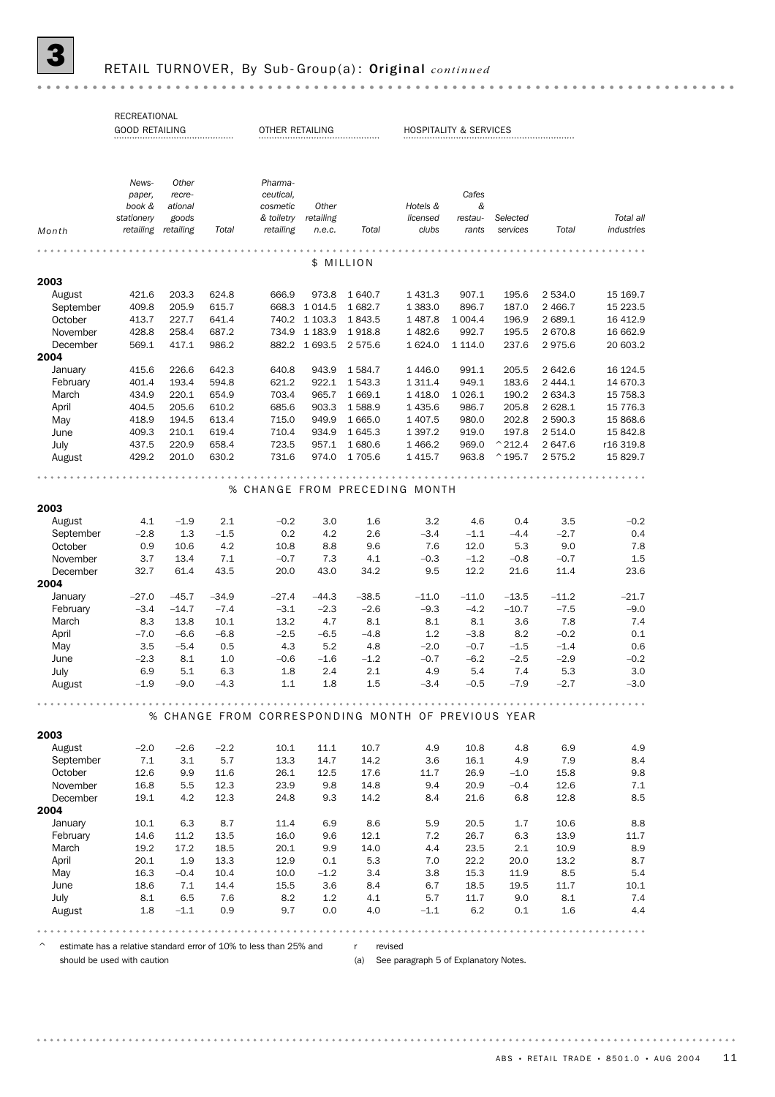# 3 RETAIL TURNOVER, By Sub- Group(a) : Original *continued*

| RECREATIONAL                                         |                                                                                                                                                                                                                     |                                                                                                                                                                                                                                                     |                                                                                                                                                                                                                           |                                                                                                                                                                                                     |                                                                                                                                                                                                                                                                                     |                                                                                                                                                                                                                                                 |                                                                                                                                                                                                                                                      |                                                                                                                                                                                                                                                                         |                                                                                                                                                                                                                                                                                           |                                                                                                                                                                                                                                                                                                           |
|------------------------------------------------------|---------------------------------------------------------------------------------------------------------------------------------------------------------------------------------------------------------------------|-----------------------------------------------------------------------------------------------------------------------------------------------------------------------------------------------------------------------------------------------------|---------------------------------------------------------------------------------------------------------------------------------------------------------------------------------------------------------------------------|-----------------------------------------------------------------------------------------------------------------------------------------------------------------------------------------------------|-------------------------------------------------------------------------------------------------------------------------------------------------------------------------------------------------------------------------------------------------------------------------------------|-------------------------------------------------------------------------------------------------------------------------------------------------------------------------------------------------------------------------------------------------|------------------------------------------------------------------------------------------------------------------------------------------------------------------------------------------------------------------------------------------------------|-------------------------------------------------------------------------------------------------------------------------------------------------------------------------------------------------------------------------------------------------------------------------|-------------------------------------------------------------------------------------------------------------------------------------------------------------------------------------------------------------------------------------------------------------------------------------------|-----------------------------------------------------------------------------------------------------------------------------------------------------------------------------------------------------------------------------------------------------------------------------------------------------------|
| News-<br>paper,<br>book &<br>stationery<br>retailing | Other<br>recre-<br>ational<br>goods<br>retailing                                                                                                                                                                    | Total                                                                                                                                                                                                                                               | Pharma-<br>ceutical.<br>cosmetic<br>& toiletry<br>retailing                                                                                                                                                               | Other<br>retailing<br>n.e.c.                                                                                                                                                                        | Total                                                                                                                                                                                                                                                                               | Hotels &<br>licensed<br>clubs                                                                                                                                                                                                                   | Cafes<br>&<br>restau-<br>rants                                                                                                                                                                                                                       | Selected<br>services                                                                                                                                                                                                                                                    | Total                                                                                                                                                                                                                                                                                     | Total all<br>industries                                                                                                                                                                                                                                                                                   |
|                                                      |                                                                                                                                                                                                                     |                                                                                                                                                                                                                                                     |                                                                                                                                                                                                                           |                                                                                                                                                                                                     |                                                                                                                                                                                                                                                                                     |                                                                                                                                                                                                                                                 |                                                                                                                                                                                                                                                      |                                                                                                                                                                                                                                                                         |                                                                                                                                                                                                                                                                                           |                                                                                                                                                                                                                                                                                                           |
|                                                      |                                                                                                                                                                                                                     |                                                                                                                                                                                                                                                     |                                                                                                                                                                                                                           |                                                                                                                                                                                                     |                                                                                                                                                                                                                                                                                     |                                                                                                                                                                                                                                                 |                                                                                                                                                                                                                                                      |                                                                                                                                                                                                                                                                         |                                                                                                                                                                                                                                                                                           |                                                                                                                                                                                                                                                                                                           |
|                                                      |                                                                                                                                                                                                                     |                                                                                                                                                                                                                                                     |                                                                                                                                                                                                                           |                                                                                                                                                                                                     |                                                                                                                                                                                                                                                                                     |                                                                                                                                                                                                                                                 |                                                                                                                                                                                                                                                      |                                                                                                                                                                                                                                                                         |                                                                                                                                                                                                                                                                                           | 15 169.7                                                                                                                                                                                                                                                                                                  |
|                                                      |                                                                                                                                                                                                                     |                                                                                                                                                                                                                                                     |                                                                                                                                                                                                                           |                                                                                                                                                                                                     |                                                                                                                                                                                                                                                                                     |                                                                                                                                                                                                                                                 |                                                                                                                                                                                                                                                      |                                                                                                                                                                                                                                                                         |                                                                                                                                                                                                                                                                                           | 15 223.5                                                                                                                                                                                                                                                                                                  |
|                                                      |                                                                                                                                                                                                                     |                                                                                                                                                                                                                                                     |                                                                                                                                                                                                                           |                                                                                                                                                                                                     |                                                                                                                                                                                                                                                                                     |                                                                                                                                                                                                                                                 |                                                                                                                                                                                                                                                      |                                                                                                                                                                                                                                                                         |                                                                                                                                                                                                                                                                                           | 16 412.9                                                                                                                                                                                                                                                                                                  |
| 428.8                                                | 258.4                                                                                                                                                                                                               | 687.2                                                                                                                                                                                                                                               |                                                                                                                                                                                                                           | 1 1 8 3 . 9                                                                                                                                                                                         | 1918.8                                                                                                                                                                                                                                                                              | 1482.6                                                                                                                                                                                                                                          | 992.7                                                                                                                                                                                                                                                | 195.5                                                                                                                                                                                                                                                                   | 2670.8                                                                                                                                                                                                                                                                                    | 16 662.9                                                                                                                                                                                                                                                                                                  |
| 569.1                                                | 417.1                                                                                                                                                                                                               | 986.2                                                                                                                                                                                                                                               | 882.2                                                                                                                                                                                                                     |                                                                                                                                                                                                     | 2 575.6                                                                                                                                                                                                                                                                             | 1 624.0                                                                                                                                                                                                                                         | 1 1 1 4 .0                                                                                                                                                                                                                                           | 237.6                                                                                                                                                                                                                                                                   | 2975.6                                                                                                                                                                                                                                                                                    | 20 603.2                                                                                                                                                                                                                                                                                                  |
|                                                      |                                                                                                                                                                                                                     |                                                                                                                                                                                                                                                     |                                                                                                                                                                                                                           |                                                                                                                                                                                                     |                                                                                                                                                                                                                                                                                     |                                                                                                                                                                                                                                                 |                                                                                                                                                                                                                                                      |                                                                                                                                                                                                                                                                         |                                                                                                                                                                                                                                                                                           |                                                                                                                                                                                                                                                                                                           |
| 415.6                                                | 226.6                                                                                                                                                                                                               | 642.3                                                                                                                                                                                                                                               | 640.8                                                                                                                                                                                                                     | 943.9                                                                                                                                                                                               | 1584.7                                                                                                                                                                                                                                                                              | 1446.0                                                                                                                                                                                                                                          | 991.1                                                                                                                                                                                                                                                | 205.5                                                                                                                                                                                                                                                                   | 2 642.6                                                                                                                                                                                                                                                                                   | 16 124.5                                                                                                                                                                                                                                                                                                  |
| 401.4                                                |                                                                                                                                                                                                                     |                                                                                                                                                                                                                                                     |                                                                                                                                                                                                                           |                                                                                                                                                                                                     |                                                                                                                                                                                                                                                                                     |                                                                                                                                                                                                                                                 |                                                                                                                                                                                                                                                      |                                                                                                                                                                                                                                                                         |                                                                                                                                                                                                                                                                                           | 14 670.3                                                                                                                                                                                                                                                                                                  |
|                                                      |                                                                                                                                                                                                                     |                                                                                                                                                                                                                                                     |                                                                                                                                                                                                                           |                                                                                                                                                                                                     |                                                                                                                                                                                                                                                                                     |                                                                                                                                                                                                                                                 |                                                                                                                                                                                                                                                      |                                                                                                                                                                                                                                                                         |                                                                                                                                                                                                                                                                                           | 15 7 58.3                                                                                                                                                                                                                                                                                                 |
|                                                      |                                                                                                                                                                                                                     |                                                                                                                                                                                                                                                     |                                                                                                                                                                                                                           |                                                                                                                                                                                                     |                                                                                                                                                                                                                                                                                     |                                                                                                                                                                                                                                                 |                                                                                                                                                                                                                                                      |                                                                                                                                                                                                                                                                         |                                                                                                                                                                                                                                                                                           | 15 7 7 6.3                                                                                                                                                                                                                                                                                                |
|                                                      |                                                                                                                                                                                                                     |                                                                                                                                                                                                                                                     |                                                                                                                                                                                                                           |                                                                                                                                                                                                     |                                                                                                                                                                                                                                                                                     |                                                                                                                                                                                                                                                 |                                                                                                                                                                                                                                                      |                                                                                                                                                                                                                                                                         |                                                                                                                                                                                                                                                                                           | 15 868.6                                                                                                                                                                                                                                                                                                  |
|                                                      |                                                                                                                                                                                                                     |                                                                                                                                                                                                                                                     |                                                                                                                                                                                                                           |                                                                                                                                                                                                     |                                                                                                                                                                                                                                                                                     |                                                                                                                                                                                                                                                 |                                                                                                                                                                                                                                                      |                                                                                                                                                                                                                                                                         |                                                                                                                                                                                                                                                                                           | 15 842.8                                                                                                                                                                                                                                                                                                  |
|                                                      |                                                                                                                                                                                                                     |                                                                                                                                                                                                                                                     |                                                                                                                                                                                                                           |                                                                                                                                                                                                     |                                                                                                                                                                                                                                                                                     |                                                                                                                                                                                                                                                 |                                                                                                                                                                                                                                                      |                                                                                                                                                                                                                                                                         |                                                                                                                                                                                                                                                                                           | r16 319.8<br>15 829.7                                                                                                                                                                                                                                                                                     |
|                                                      |                                                                                                                                                                                                                     |                                                                                                                                                                                                                                                     |                                                                                                                                                                                                                           |                                                                                                                                                                                                     |                                                                                                                                                                                                                                                                                     |                                                                                                                                                                                                                                                 |                                                                                                                                                                                                                                                      |                                                                                                                                                                                                                                                                         |                                                                                                                                                                                                                                                                                           |                                                                                                                                                                                                                                                                                                           |
|                                                      |                                                                                                                                                                                                                     |                                                                                                                                                                                                                                                     |                                                                                                                                                                                                                           |                                                                                                                                                                                                     |                                                                                                                                                                                                                                                                                     |                                                                                                                                                                                                                                                 |                                                                                                                                                                                                                                                      |                                                                                                                                                                                                                                                                         |                                                                                                                                                                                                                                                                                           |                                                                                                                                                                                                                                                                                                           |
|                                                      |                                                                                                                                                                                                                     |                                                                                                                                                                                                                                                     |                                                                                                                                                                                                                           |                                                                                                                                                                                                     |                                                                                                                                                                                                                                                                                     |                                                                                                                                                                                                                                                 |                                                                                                                                                                                                                                                      |                                                                                                                                                                                                                                                                         |                                                                                                                                                                                                                                                                                           |                                                                                                                                                                                                                                                                                                           |
| 4.1                                                  | $-1.9$                                                                                                                                                                                                              | 2.1                                                                                                                                                                                                                                                 | $-0.2$                                                                                                                                                                                                                    | 3.0                                                                                                                                                                                                 | 1.6                                                                                                                                                                                                                                                                                 | 3.2                                                                                                                                                                                                                                             | 4.6                                                                                                                                                                                                                                                  | 0.4                                                                                                                                                                                                                                                                     | 3.5                                                                                                                                                                                                                                                                                       | $-0.2$                                                                                                                                                                                                                                                                                                    |
| $-2.8$                                               | 1.3                                                                                                                                                                                                                 | $-1.5$                                                                                                                                                                                                                                              | 0.2                                                                                                                                                                                                                       | 4.2                                                                                                                                                                                                 | 2.6                                                                                                                                                                                                                                                                                 | $-3.4$                                                                                                                                                                                                                                          | $-1.1$                                                                                                                                                                                                                                               | $-4.4$                                                                                                                                                                                                                                                                  | $-2.7$                                                                                                                                                                                                                                                                                    | 0.4                                                                                                                                                                                                                                                                                                       |
| 0.9                                                  | 10.6                                                                                                                                                                                                                | 4.2                                                                                                                                                                                                                                                 | 10.8                                                                                                                                                                                                                      | 8.8                                                                                                                                                                                                 | 9.6                                                                                                                                                                                                                                                                                 | 7.6                                                                                                                                                                                                                                             | 12.0                                                                                                                                                                                                                                                 | 5.3                                                                                                                                                                                                                                                                     | 9.0                                                                                                                                                                                                                                                                                       | 7.8                                                                                                                                                                                                                                                                                                       |
| 3.7                                                  | 13.4                                                                                                                                                                                                                | 7.1                                                                                                                                                                                                                                                 | $-0.7$                                                                                                                                                                                                                    | 7.3                                                                                                                                                                                                 | 4.1                                                                                                                                                                                                                                                                                 | $-0.3$                                                                                                                                                                                                                                          | $-1.2$                                                                                                                                                                                                                                               | $-0.8$                                                                                                                                                                                                                                                                  | $-0.7$                                                                                                                                                                                                                                                                                    | 1.5                                                                                                                                                                                                                                                                                                       |
| 32.7                                                 | 61.4                                                                                                                                                                                                                | 43.5                                                                                                                                                                                                                                                | 20.0                                                                                                                                                                                                                      | 43.0                                                                                                                                                                                                | 34.2                                                                                                                                                                                                                                                                                | 9.5                                                                                                                                                                                                                                             | 12.2                                                                                                                                                                                                                                                 | 21.6                                                                                                                                                                                                                                                                    | 11.4                                                                                                                                                                                                                                                                                      | 23.6                                                                                                                                                                                                                                                                                                      |
|                                                      |                                                                                                                                                                                                                     |                                                                                                                                                                                                                                                     |                                                                                                                                                                                                                           |                                                                                                                                                                                                     |                                                                                                                                                                                                                                                                                     |                                                                                                                                                                                                                                                 |                                                                                                                                                                                                                                                      |                                                                                                                                                                                                                                                                         |                                                                                                                                                                                                                                                                                           |                                                                                                                                                                                                                                                                                                           |
|                                                      |                                                                                                                                                                                                                     |                                                                                                                                                                                                                                                     |                                                                                                                                                                                                                           |                                                                                                                                                                                                     |                                                                                                                                                                                                                                                                                     |                                                                                                                                                                                                                                                 |                                                                                                                                                                                                                                                      |                                                                                                                                                                                                                                                                         |                                                                                                                                                                                                                                                                                           | $-21.7$                                                                                                                                                                                                                                                                                                   |
|                                                      |                                                                                                                                                                                                                     |                                                                                                                                                                                                                                                     |                                                                                                                                                                                                                           |                                                                                                                                                                                                     |                                                                                                                                                                                                                                                                                     |                                                                                                                                                                                                                                                 |                                                                                                                                                                                                                                                      |                                                                                                                                                                                                                                                                         |                                                                                                                                                                                                                                                                                           | $-9.0$                                                                                                                                                                                                                                                                                                    |
|                                                      |                                                                                                                                                                                                                     |                                                                                                                                                                                                                                                     |                                                                                                                                                                                                                           |                                                                                                                                                                                                     |                                                                                                                                                                                                                                                                                     |                                                                                                                                                                                                                                                 |                                                                                                                                                                                                                                                      |                                                                                                                                                                                                                                                                         |                                                                                                                                                                                                                                                                                           | 7.4                                                                                                                                                                                                                                                                                                       |
|                                                      |                                                                                                                                                                                                                     |                                                                                                                                                                                                                                                     |                                                                                                                                                                                                                           |                                                                                                                                                                                                     |                                                                                                                                                                                                                                                                                     |                                                                                                                                                                                                                                                 |                                                                                                                                                                                                                                                      |                                                                                                                                                                                                                                                                         |                                                                                                                                                                                                                                                                                           | 0.1<br>0.6                                                                                                                                                                                                                                                                                                |
|                                                      |                                                                                                                                                                                                                     |                                                                                                                                                                                                                                                     |                                                                                                                                                                                                                           |                                                                                                                                                                                                     |                                                                                                                                                                                                                                                                                     |                                                                                                                                                                                                                                                 |                                                                                                                                                                                                                                                      |                                                                                                                                                                                                                                                                         |                                                                                                                                                                                                                                                                                           | $-0.2$                                                                                                                                                                                                                                                                                                    |
|                                                      |                                                                                                                                                                                                                     |                                                                                                                                                                                                                                                     |                                                                                                                                                                                                                           |                                                                                                                                                                                                     |                                                                                                                                                                                                                                                                                     |                                                                                                                                                                                                                                                 |                                                                                                                                                                                                                                                      |                                                                                                                                                                                                                                                                         |                                                                                                                                                                                                                                                                                           | 3.0                                                                                                                                                                                                                                                                                                       |
| $-1.9$                                               | $-9.0$                                                                                                                                                                                                              | $-4.3$                                                                                                                                                                                                                                              | 1.1                                                                                                                                                                                                                       | 1.8                                                                                                                                                                                                 | 1.5                                                                                                                                                                                                                                                                                 | $-3.4$                                                                                                                                                                                                                                          | $-0.5$                                                                                                                                                                                                                                               | $-7.9$                                                                                                                                                                                                                                                                  | $-2.7$                                                                                                                                                                                                                                                                                    | $-3.0$                                                                                                                                                                                                                                                                                                    |
|                                                      |                                                                                                                                                                                                                     |                                                                                                                                                                                                                                                     |                                                                                                                                                                                                                           |                                                                                                                                                                                                     |                                                                                                                                                                                                                                                                                     |                                                                                                                                                                                                                                                 |                                                                                                                                                                                                                                                      |                                                                                                                                                                                                                                                                         |                                                                                                                                                                                                                                                                                           |                                                                                                                                                                                                                                                                                                           |
|                                                      |                                                                                                                                                                                                                     |                                                                                                                                                                                                                                                     |                                                                                                                                                                                                                           |                                                                                                                                                                                                     |                                                                                                                                                                                                                                                                                     |                                                                                                                                                                                                                                                 |                                                                                                                                                                                                                                                      |                                                                                                                                                                                                                                                                         |                                                                                                                                                                                                                                                                                           |                                                                                                                                                                                                                                                                                                           |
|                                                      |                                                                                                                                                                                                                     |                                                                                                                                                                                                                                                     |                                                                                                                                                                                                                           |                                                                                                                                                                                                     |                                                                                                                                                                                                                                                                                     |                                                                                                                                                                                                                                                 |                                                                                                                                                                                                                                                      |                                                                                                                                                                                                                                                                         |                                                                                                                                                                                                                                                                                           |                                                                                                                                                                                                                                                                                                           |
| $-2.0$                                               | $-2.6$                                                                                                                                                                                                              | $-2.2$                                                                                                                                                                                                                                              | 10.1                                                                                                                                                                                                                      | 11.1                                                                                                                                                                                                | 10.7                                                                                                                                                                                                                                                                                | 4.9                                                                                                                                                                                                                                             | 10.8                                                                                                                                                                                                                                                 | 4.8                                                                                                                                                                                                                                                                     | 6.9                                                                                                                                                                                                                                                                                       | 4.9                                                                                                                                                                                                                                                                                                       |
| 7.1                                                  | 3.1                                                                                                                                                                                                                 | 5.7                                                                                                                                                                                                                                                 | 13.3                                                                                                                                                                                                                      | 14.7                                                                                                                                                                                                | 14.2                                                                                                                                                                                                                                                                                | 3.6                                                                                                                                                                                                                                             | 16.1                                                                                                                                                                                                                                                 | 4.9                                                                                                                                                                                                                                                                     | 7.9                                                                                                                                                                                                                                                                                       | 8.4                                                                                                                                                                                                                                                                                                       |
|                                                      |                                                                                                                                                                                                                     |                                                                                                                                                                                                                                                     | 26.1                                                                                                                                                                                                                      |                                                                                                                                                                                                     |                                                                                                                                                                                                                                                                                     | 11.7                                                                                                                                                                                                                                            |                                                                                                                                                                                                                                                      |                                                                                                                                                                                                                                                                         | 15.8                                                                                                                                                                                                                                                                                      | 9.8                                                                                                                                                                                                                                                                                                       |
|                                                      |                                                                                                                                                                                                                     |                                                                                                                                                                                                                                                     |                                                                                                                                                                                                                           |                                                                                                                                                                                                     |                                                                                                                                                                                                                                                                                     |                                                                                                                                                                                                                                                 |                                                                                                                                                                                                                                                      |                                                                                                                                                                                                                                                                         |                                                                                                                                                                                                                                                                                           | 7.1                                                                                                                                                                                                                                                                                                       |
|                                                      |                                                                                                                                                                                                                     |                                                                                                                                                                                                                                                     |                                                                                                                                                                                                                           |                                                                                                                                                                                                     |                                                                                                                                                                                                                                                                                     |                                                                                                                                                                                                                                                 |                                                                                                                                                                                                                                                      |                                                                                                                                                                                                                                                                         |                                                                                                                                                                                                                                                                                           | 8.5                                                                                                                                                                                                                                                                                                       |
|                                                      |                                                                                                                                                                                                                     |                                                                                                                                                                                                                                                     |                                                                                                                                                                                                                           |                                                                                                                                                                                                     |                                                                                                                                                                                                                                                                                     |                                                                                                                                                                                                                                                 |                                                                                                                                                                                                                                                      |                                                                                                                                                                                                                                                                         |                                                                                                                                                                                                                                                                                           | 8.8                                                                                                                                                                                                                                                                                                       |
|                                                      |                                                                                                                                                                                                                     |                                                                                                                                                                                                                                                     |                                                                                                                                                                                                                           |                                                                                                                                                                                                     |                                                                                                                                                                                                                                                                                     |                                                                                                                                                                                                                                                 |                                                                                                                                                                                                                                                      |                                                                                                                                                                                                                                                                         |                                                                                                                                                                                                                                                                                           | 11.7                                                                                                                                                                                                                                                                                                      |
|                                                      |                                                                                                                                                                                                                     |                                                                                                                                                                                                                                                     |                                                                                                                                                                                                                           |                                                                                                                                                                                                     |                                                                                                                                                                                                                                                                                     |                                                                                                                                                                                                                                                 |                                                                                                                                                                                                                                                      |                                                                                                                                                                                                                                                                         |                                                                                                                                                                                                                                                                                           | 8.9                                                                                                                                                                                                                                                                                                       |
|                                                      |                                                                                                                                                                                                                     |                                                                                                                                                                                                                                                     |                                                                                                                                                                                                                           |                                                                                                                                                                                                     |                                                                                                                                                                                                                                                                                     |                                                                                                                                                                                                                                                 |                                                                                                                                                                                                                                                      |                                                                                                                                                                                                                                                                         |                                                                                                                                                                                                                                                                                           | 8.7                                                                                                                                                                                                                                                                                                       |
|                                                      |                                                                                                                                                                                                                     |                                                                                                                                                                                                                                                     |                                                                                                                                                                                                                           |                                                                                                                                                                                                     |                                                                                                                                                                                                                                                                                     |                                                                                                                                                                                                                                                 |                                                                                                                                                                                                                                                      |                                                                                                                                                                                                                                                                         |                                                                                                                                                                                                                                                                                           | 5.4                                                                                                                                                                                                                                                                                                       |
|                                                      |                                                                                                                                                                                                                     |                                                                                                                                                                                                                                                     |                                                                                                                                                                                                                           |                                                                                                                                                                                                     |                                                                                                                                                                                                                                                                                     |                                                                                                                                                                                                                                                 |                                                                                                                                                                                                                                                      |                                                                                                                                                                                                                                                                         |                                                                                                                                                                                                                                                                                           | 10.1                                                                                                                                                                                                                                                                                                      |
| 8.1                                                  | 6.5                                                                                                                                                                                                                 | 7.6                                                                                                                                                                                                                                                 | 8.2                                                                                                                                                                                                                       | 1.2                                                                                                                                                                                                 | 4.1                                                                                                                                                                                                                                                                                 | 5.7                                                                                                                                                                                                                                             | 11.7                                                                                                                                                                                                                                                 | 9.0                                                                                                                                                                                                                                                                     | 8.1                                                                                                                                                                                                                                                                                       | 7.4                                                                                                                                                                                                                                                                                                       |
|                                                      |                                                                                                                                                                                                                     |                                                                                                                                                                                                                                                     |                                                                                                                                                                                                                           |                                                                                                                                                                                                     |                                                                                                                                                                                                                                                                                     |                                                                                                                                                                                                                                                 |                                                                                                                                                                                                                                                      |                                                                                                                                                                                                                                                                         |                                                                                                                                                                                                                                                                                           |                                                                                                                                                                                                                                                                                                           |
|                                                      | 421.6<br>409.8<br>413.7<br>434.9<br>404.5<br>418.9<br>409.3<br>437.5<br>429.2<br>$-27.0$<br>$-3.4$<br>8.3<br>$-7.0$<br>3.5<br>$-2.3$<br>6.9<br>12.6<br>16.8<br>19.1<br>10.1<br>14.6<br>19.2<br>20.1<br>16.3<br>18.6 | <b>GOOD RETAILING</b><br>203.3<br>205.9<br>227.7<br>193.4<br>220.1<br>205.6<br>194.5<br>210.1<br>220.9<br>201.0<br>$-45.7$<br>$-14.7$<br>13.8<br>$-6.6$<br>$-5.4$<br>8.1<br>5.1<br>9.9<br>5.5<br>4.2<br>6.3<br>11.2<br>17.2<br>1.9<br>$-0.4$<br>7.1 | 624.8<br>615.7<br>641.4<br>594.8<br>654.9<br>610.2<br>613.4<br>619.4<br>658.4<br>630.2<br>$-34.9$<br>$-7.4$<br>10.1<br>$-6.8$<br>0.5<br>1.0<br>6.3<br>11.6<br>12.3<br>12.3<br>8.7<br>13.5<br>18.5<br>13.3<br>10.4<br>14.4 | 666.9<br>621.2<br>703.4<br>685.6<br>715.0<br>710.4<br>723.5<br>731.6<br>$-27.4$<br>$-3.1$<br>13.2<br>$-2.5$<br>4.3<br>$-0.6$<br>1.8<br>23.9<br>24.8<br>11.4<br>16.0<br>20.1<br>12.9<br>10.0<br>15.5 | OTHER RETAILING<br>\$<br>973.8<br>668.3 1014.5<br>740.2 1 103.3<br>734.9<br>1 693.5<br>922.1<br>965.7<br>903.3<br>949.9<br>934.9<br>957.1<br>974.0<br>$-44.3$<br>$-2.3$<br>4.7<br>$-6.5$<br>5.2<br>$-1.6$<br>2.4<br>12.5<br>9.8<br>9.3<br>6.9<br>9.6<br>9.9<br>0.1<br>$-1.2$<br>3.6 | MILLION<br>1 640.7<br>1682.7<br>1843.5<br>1543.3<br>1669.1<br>1588.9<br>1665.0<br>1645.3<br>1680.6<br>1 705.6<br>$-38.5$<br>$-2.6$<br>8.1<br>$-4.8$<br>4.8<br>$-1.2$<br>2.1<br>17.6<br>14.8<br>14.2<br>8.6<br>12.1<br>14.0<br>5.3<br>3.4<br>8.4 | 1 4 3 1 . 3<br>1 3 8 3 . 0<br>1 4 8 7 . 8<br>1 3 1 1.4<br>1418.0<br>1 4 3 5.6<br>1 407.5<br>1 3 9 7 . 2<br>1 4 6 6.2<br>1415.7<br>$-11.0$<br>$-9.3$<br>8.1<br>1.2<br>$-2.0$<br>$-0.7$<br>4.9<br>9.4<br>8.4<br>5.9<br>7.2<br>4.4<br>7.0<br>3.8<br>6.7 | 907.1<br>896.7<br>1 0 0 4.4<br>949.1<br>1 0 26.1<br>986.7<br>980.0<br>919.0<br>969.0<br>963.8<br>% CHANGE FROM PRECEDING MONTH<br>$-11.0$<br>$-4.2$<br>8.1<br>$-3.8$<br>$-0.7$<br>$-6.2$<br>5.4<br>26.9<br>20.9<br>21.6<br>20.5<br>26.7<br>23.5<br>22.2<br>15.3<br>18.5 | <b>HOSPITALITY &amp; SERVICES</b><br>195.6<br>187.0<br>196.9<br>183.6<br>190.2<br>205.8<br>202.8<br>197.8<br>$^{\circ}$ 212.4<br>$^{\wedge}$ 195.7<br>$-13.5$<br>$-10.7$<br>3.6<br>8.2<br>$-1.5$<br>$-2.5$<br>7.4<br>$-1.0$<br>$-0.4$<br>6.8<br>1.7<br>6.3<br>2.1<br>20.0<br>11.9<br>19.5 | 2 5 3 4 . 0<br>2 4 6 6.7<br>2 689.1<br>2 4 4 4.1<br>2 634.3<br>2628.1<br>2 590.3<br>2 5 1 4 .0<br>2 647.6<br>2575.2<br>$-11.2$<br>$-7.5$<br>7.8<br>$-0.2$<br>$-1.4$<br>$-2.9$<br>5.3<br>% CHANGE FROM CORRESPONDING MONTH OF PREVIOUS YEAR<br>12.6<br>12.8<br>10.6<br>13.9<br>10.9<br>13.2<br>8.5<br>11.7 |

should be used with caution

(a) See paragraph 5 of Explanatory Notes.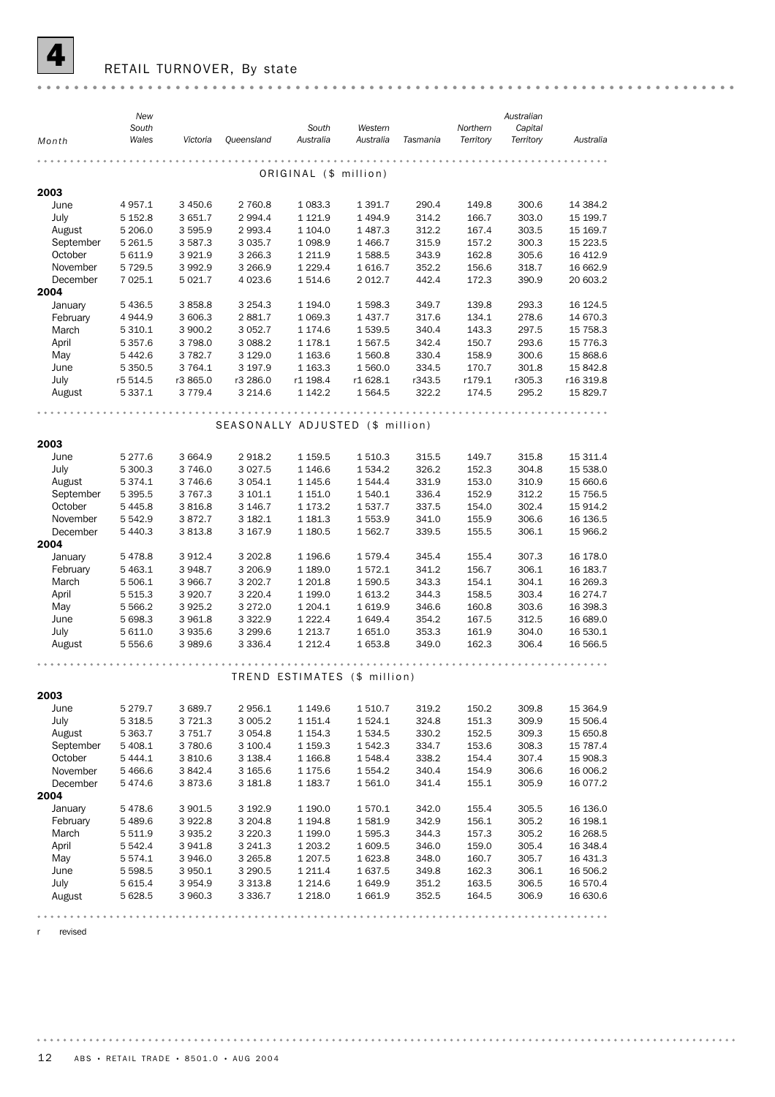![](_page_11_Picture_0.jpeg)

### RETAIL TURNOVER, By state

|           | New<br>South |             |                                  | South                        | Western    |          | Northern  | Australian<br>Capital |            |
|-----------|--------------|-------------|----------------------------------|------------------------------|------------|----------|-----------|-----------------------|------------|
| Month     | Wales        | Victoria    | <b>Oueensland</b>                | Australia                    | Australia  | Tasmania | Territory | Territory             | Australia  |
|           |              |             |                                  |                              |            |          |           |                       |            |
|           |              |             |                                  | ORIGINAL (\$ million)        |            |          |           |                       |            |
| 2003      |              |             |                                  |                              |            |          |           |                       |            |
| June      | 4 957.1      | 3 450.6     | 2 760.8                          | 1 083.3                      | 1 3 9 1.7  | 290.4    | 149.8     | 300.6                 | 14 384.2   |
| July      | 5 1 5 2.8    | 3 651.7     | 2 9 9 4.4                        | 1 1 2 1.9                    | 1494.9     | 314.2    | 166.7     | 303.0                 | 15 199.7   |
| August    | 5 206.0      | 3 595.9     | 2 9 9 3.4                        | 1 104.0                      | 1487.3     | 312.2    | 167.4     | 303.5                 | 15 169.7   |
| September | 5 261.5      | 3 5 8 7 . 3 | 3 0 3 5.7                        | 1 0 98.9                     | 1466.7     | 315.9    | 157.2     | 300.3                 | 15 223.5   |
| October   | 5 611.9      | 3921.9      | 3 2 6 6.3                        | 1 2 1 1.9                    | 1588.5     | 343.9    | 162.8     | 305.6                 | 16 412.9   |
| November  | 5 7 2 9.5    | 3992.9      | 3 2 6 6.9                        | 1 2 2 9.4                    | 1616.7     | 352.2    | 156.6     | 318.7                 | 16 662.9   |
| December  | 7 0 25.1     | 5 0 2 1.7   | 4 0 23.6                         | 1 514.6                      | 2 012.7    | 442.4    | 172.3     | 390.9                 | 20 603.2   |
| 2004      |              |             |                                  |                              |            |          |           |                       |            |
| January   | 5 4 3 6.5    | 3858.8      | 3 2 5 4 . 3                      | 1 194.0                      | 1 598.3    | 349.7    | 139.8     | 293.3                 | 16 124.5   |
| February  | 4 944.9      | 3 606.3     | 2881.7                           | 1 0 69.3                     | 1437.7     | 317.6    | 134.1     | 278.6                 | 14 670.3   |
| March     | 5 310.1      | 3 900.2     | 3 0 5 2.7                        | 1 174.6                      | 1 539.5    | 340.4    | 143.3     | 297.5                 | 15 7 58.3  |
| April     | 5 3 5 7 . 6  | 3798.0      | 3 0 8 8.2                        | 1 178.1                      | 1 567.5    | 342.4    | 150.7     | 293.6                 | 15 7 7 6.3 |
| May       | 5442.6       | 3 7 8 2.7   | 3 1 2 9 . 0                      | 1 1 6 3.6                    | 1 560.8    | 330.4    | 158.9     | 300.6                 | 15 868.6   |
| June      | 5 3 5 0.5    | 3 7 64.1    | 3 197.9                          | 1 1 6 3 . 3                  | 1 560.0    | 334.5    | 170.7     | 301.8                 | 15 842.8   |
| July      | r5 514.5     | r3 865.0    | r3 286.0                         | r1 198.4                     | r1 628.1   | r343.5   | r179.1    | r305.3                | r16 319.8  |
| August    | 5 337.1      | 3 7 7 9.4   | 3 2 1 4.6                        | 1 142.2                      | 1 5 6 4 .5 | 322.2    | 174.5     | 295.2                 | 15 829.7   |
|           |              |             |                                  |                              |            |          |           |                       |            |
|           |              |             |                                  |                              |            |          |           |                       |            |
|           |              |             | SEASONALLY ADJUSTED (\$ million) |                              |            |          |           |                       |            |
| 2003      |              |             |                                  |                              |            |          |           |                       |            |
| June      | 5 277.6      | 3 6 6 4.9   | 2918.2                           | 1 159.5                      | 1 510.3    | 315.5    | 149.7     | 315.8                 | 15 311.4   |
| July      | 5 300.3      | 3746.0      | 3 0 27.5                         | 1 146.6                      | 1 534.2    | 326.2    | 152.3     | 304.8                 | 15 538.0   |
| August    | 5 374.1      | 3746.6      | 3 0 54.1                         | 1 1 4 5 . 6                  | 1 544.4    | 331.9    | 153.0     | 310.9                 | 15 660.6   |
| September | 5 395.5      | 3 7 6 7 . 3 | 3 101.1                          | 1 151.0                      | 1 540.1    | 336.4    | 152.9     | 312.2                 | 15 7 5 6.5 |
| October   | 5 4 4 5.8    | 3816.8      | 3 146.7                          | 1 173.2                      | 1537.7     | 337.5    | 154.0     | 302.4                 | 15 914.2   |
| November  | 5 542.9      | 3872.7      | 3 182.1                          | 1 181.3                      | 1 553.9    | 341.0    | 155.9     | 306.6                 | 16 136.5   |
| December  | 5 440.3      | 3813.8      | 3 167.9                          | 1 180.5                      | 1 562.7    | 339.5    | 155.5     | 306.1                 | 15 966.2   |
| 2004      |              |             |                                  |                              |            |          |           |                       |            |
| January   | 5478.8       | 3912.4      | 3 202.8                          | 1 196.6                      | 1579.4     | 345.4    | 155.4     | 307.3                 | 16 178.0   |
| February  | 5 4 6 3.1    | 3 948.7     | 3 206.9                          | 1 189.0                      | 1572.1     | 341.2    | 156.7     | 306.1                 | 16 183.7   |
| March     | 5 506.1      | 3 966.7     | 3 202.7                          | 1 201.8                      | 1 590.5    | 343.3    | 154.1     | 304.1                 | 16 269.3   |
| April     | 5 5 1 5 . 3  | 3 9 20.7    | 3 2 2 0.4                        | 1 199.0                      | 1613.2     | 344.3    | 158.5     | 303.4                 | 16 274.7   |
| May       | 5 5 6 6.2    | 3925.2      | 3 2 7 2.0                        | 1 204.1                      | 1619.9     | 346.6    | 160.8     | 303.6                 | 16 398.3   |
| June      | 5 698.3      | 3 961.8     | 3 3 2 2.9                        | 1 2 2 2 . 4                  | 1649.4     | 354.2    | 167.5     | 312.5                 | 16 689.0   |
| July      | 5 611.0      | 3935.6      | 3 2 9 9.6                        | 1 2 1 3 . 7                  | 1651.0     | 353.3    | 161.9     | 304.0                 | 16 530.1   |
| August    | 5 556.6      | 3 989.6     | 3 3 3 6.4                        | 1 2 1 2 . 4                  | 1653.8     | 349.0    | 162.3     | 306.4                 | 16 566.5   |
|           |              |             |                                  |                              |            |          |           |                       |            |
|           |              |             |                                  |                              |            |          |           |                       |            |
|           |              |             |                                  | TREND ESTIMATES (\$ million) |            |          |           |                       |            |
| 2003      |              |             |                                  |                              |            |          |           |                       |            |
| June      | 5 279.7      | 3 689.7     | 2956.1                           | 1 149.6                      | 1 510.7    | 319.2    | 150.2     | 309.8                 | 15 3 64.9  |
| July      | 5 3 18.5     | 3 7 2 1.3   | 3 0 0 5.2                        | 1 151.4                      | 1524.1     | 324.8    | 151.3     | 309.9                 | 15 506.4   |
| August    | 5 363.7      | 3 7 5 1.7   | 3 0 5 4.8                        | 1 154.3                      | 1 534.5    | 330.2    | 152.5     | 309.3                 | 15 650.8   |
| September | 5 408.1      | 3780.6      | 3 100.4                          | 1 159.3                      | 1 542.3    | 334.7    | 153.6     | 308.3                 | 15 787.4   |
| October   | 5 4 4 4.1    | 3810.6      | 3 1 3 8.4                        | 1 166.8                      | 1 548.4    | 338.2    | 154.4     | 307.4                 | 15 908.3   |
| November  | 5466.6       | 3842.4      | 3 1 6 5 . 6                      | 1 175.6                      | 1 554.2    | 340.4    | 154.9     | 306.6                 | 16 006.2   |
| December  | 5474.6       | 3873.6      | 3 181.8                          | 1 183.7                      | 1561.0     | 341.4    | 155.1     | 305.9                 | 16 077.2   |
| 2004      |              |             |                                  |                              |            |          |           |                       |            |
| January   | 5478.6       | 3 901.5     | 3 192.9                          | 1 190.0                      | 1570.1     | 342.0    | 155.4     | 305.5                 | 16 136.0   |
| February  | 5489.6       | 3922.8      | 3 2 0 4.8                        | 1 194.8                      | 1581.9     | 342.9    | 156.1     | 305.2                 | 16 198.1   |
| March     | 5 5 1 1.9    | 3935.2      | 3 2 2 0 . 3                      | 1 199.0                      | 1 595.3    | 344.3    | 157.3     | 305.2                 | 16 268.5   |
| April     | 5 542.4      | 3941.8      | 3 241.3                          | 1 203.2                      | 1 609.5    | 346.0    | 159.0     | 305.4                 | 16 348.4   |
| May       | 5 574.1      | 3946.0      | 3 2 6 5.8                        | 1 207.5                      | 1623.8     | 348.0    | 160.7     | 305.7                 | 16 431.3   |
| June      | 5 598.5      | 3 950.1     | 3 2 9 0.5                        | 1 211.4                      | 1637.5     | 349.8    | 162.3     | 306.1                 | 16 506.2   |
| July      | 5 615.4      | 3954.9      | 3 3 1 3 .8                       | 1 214.6                      | 1649.9     | 351.2    | 163.5     | 306.5                 | 16 570.4   |
| August    | 5 628.5      | 3 960.3     | 3 3 3 6.7                        | 1 218.0                      | 1661.9     | 352.5    | 164.5     | 306.9                 | 16 630.6   |
|           |              |             |                                  |                              |            |          |           |                       |            |
|           |              |             |                                  |                              |            |          |           |                       |            |

r revised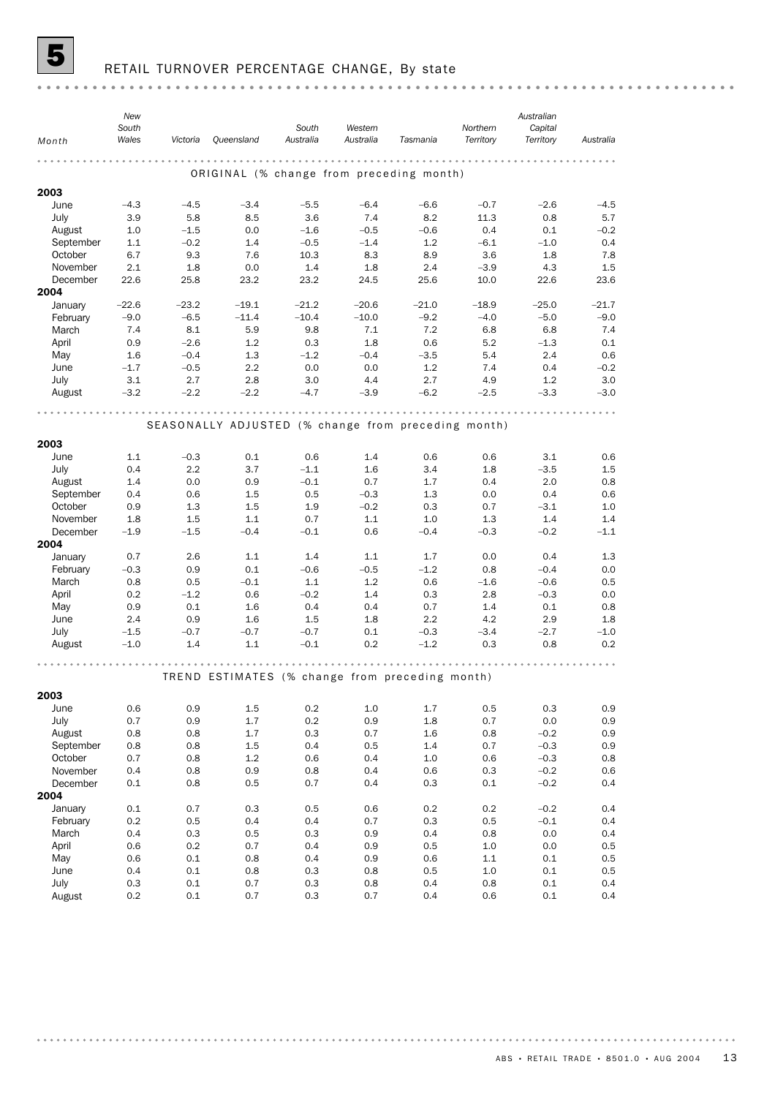![](_page_12_Picture_0.jpeg)

# **5** RETAIL TURNOVER PERCENTAGE CHANGE, By state

|                     | New<br>South |             |                                                     | South         | Western               |             | Northern       | Australian<br>Capital |             |
|---------------------|--------------|-------------|-----------------------------------------------------|---------------|-----------------------|-------------|----------------|-----------------------|-------------|
| Month               | Wales        | Victoria    | Queensland                                          | Australia     | Australia             | Tasmania    | Territory      | Territory             | Australia   |
|                     |              |             |                                                     | $- - - - - -$ | $- 0 - 0 - 0 - 0 - 0$ |             |                |                       |             |
|                     |              |             | ORIGINAL (% change from preceding month)            |               |                       |             |                |                       |             |
| 2003                |              |             |                                                     |               |                       |             |                |                       |             |
| June                | $-4.3$       | $-4.5$      | $-3.4$                                              | $-5.5$        | $-6.4$                | $-6.6$      | $-0.7$         | $-2.6$                | $-4.5$      |
| July                | 3.9          | 5.8         | 8.5                                                 | 3.6           | 7.4                   | 8.2         | 11.3           | 0.8                   | 5.7         |
| August              | 1.0          | $-1.5$      | 0.0                                                 | $-1.6$        | $-0.5$                | $-0.6$      | 0.4            | 0.1                   | $-0.2$      |
| September           | 1.1          | $-0.2$      | 1.4                                                 | $-0.5$        | $-1.4$                | 1.2         | $-6.1$         | $-1.0$                | 0.4         |
| October<br>November | 6.7          | 9.3         | 7.6                                                 | 10.3          | 8.3                   | 8.9         | 3.6            | 1.8                   | 7.8         |
| December            | 2.1<br>22.6  | 1.8<br>25.8 | 0.0<br>23.2                                         | 1.4<br>23.2   | 1.8<br>24.5           | 2.4<br>25.6 | $-3.9$<br>10.0 | 4.3<br>22.6           | 1.5<br>23.6 |
| 2004                |              |             |                                                     |               |                       |             |                |                       |             |
| January             | $-22.6$      | $-23.2$     | $-19.1$                                             | $-21.2$       | $-20.6$               | $-21.0$     | $-18.9$        | $-25.0$               | $-21.7$     |
| February            | $-9.0$       | $-6.5$      | $-11.4$                                             | $-10.4$       | $-10.0$               | $-9.2$      | $-4.0$         | $-5.0$                | $-9.0$      |
| March               | 7.4          | 8.1         | 5.9                                                 | 9.8           | 7.1                   | 7.2         | 6.8            | 6.8                   | 7.4         |
| April               | 0.9          | $-2.6$      | 1.2                                                 | 0.3           | 1.8                   | 0.6         | 5.2            | $-1.3$                | 0.1         |
| May                 | 1.6          | $-0.4$      | 1.3                                                 | $-1.2$        | $-0.4$                | $-3.5$      | 5.4            | 2.4                   | 0.6         |
| June                | $-1.7$       | $-0.5$      | 2.2                                                 | 0.0           | 0.0                   | 1.2         | 7.4            | 0.4                   | $-0.2$      |
| July                | 3.1          | 2.7         | 2.8                                                 | 3.0           | 4.4                   | 2.7         | 4.9            | 1.2                   | 3.0         |
| August              | $-3.2$       | $-2.2$      | $-2.2$                                              | $-4.7$        | $-3.9$                | $-6.2$      | $-2.5$         | $-3.3$                | $-3.0$      |
|                     |              |             |                                                     |               |                       |             |                |                       |             |
|                     |              |             | SEASONALLY ADJUSTED (% change from preceding month) |               |                       |             |                |                       |             |
|                     |              |             |                                                     |               |                       |             |                |                       |             |
| 2003                |              |             |                                                     |               |                       |             |                |                       |             |
| June                | 1.1          | $-0.3$      | 0.1                                                 | 0.6           | 1.4                   | 0.6         | 0.6            | 3.1                   | 0.6         |
| July                | 0.4          | 2.2         | 3.7                                                 | $-1.1$        | 1.6                   | 3.4         | 1.8            | $-3.5$                | 1.5         |
| August              | 1.4          | 0.0         | 0.9                                                 | $-0.1$        | 0.7                   | 1.7         | 0.4            | 2.0                   | 0.8         |
| September           | 0.4<br>0.9   | 0.6<br>1.3  | 1.5<br>1.5                                          | 0.5<br>1.9    | $-0.3$<br>$-0.2$      | 1.3<br>0.3  | 0.0            | 0.4<br>$-3.1$         | 0.6<br>1.0  |
| October<br>November | 1.8          | 1.5         | 1.1                                                 | 0.7           | 1.1                   | 1.0         | 0.7<br>1.3     | 1.4                   | 1.4         |
| December            | $-1.9$       | $-1.5$      | $-0.4$                                              | $-0.1$        | 0.6                   | $-0.4$      | $-0.3$         | $-0.2$                | $-1.1$      |
| 2004                |              |             |                                                     |               |                       |             |                |                       |             |
| January             | 0.7          | 2.6         | 1.1                                                 | 1.4           | 1.1                   | 1.7         | 0.0            | 0.4                   | 1.3         |
| February            | $-0.3$       | 0.9         | 0.1                                                 | $-0.6$        | $-0.5$                | $-1.2$      | 0.8            | $-0.4$                | 0.0         |
| March               | 0.8          | 0.5         | $-0.1$                                              | 1.1           | 1.2                   | 0.6         | $-1.6$         | $-0.6$                | 0.5         |
| April               | 0.2          | $-1.2$      | 0.6                                                 | $-0.2$        | 1.4                   | 0.3         | 2.8            | $-0.3$                | 0.0         |
| May                 | 0.9          | 0.1         | 1.6                                                 | 0.4           | 0.4                   | 0.7         | 1.4            | 0.1                   | 0.8         |
| June                | 2.4          | 0.9         | 1.6                                                 | 1.5           | 1.8                   | 2.2         | 4.2            | 2.9                   | 1.8         |
| July                | $-1.5$       | $-0.7$      | $-0.7$                                              | $-0.7$        | 0.1                   | $-0.3$      | $-3.4$         | $-2.7$                | $-1.0$      |
| August              | $-1.0$       | 1.4         | 1.1                                                 | $-0.1$        | 0.2                   | $-1.2$      | 0.3            | 0.8                   | 0.2         |
|                     |              |             |                                                     |               |                       |             |                |                       |             |
|                     |              |             | TREND ESTIMATES (% change from preceding month)     |               |                       |             |                |                       |             |
|                     |              |             |                                                     |               |                       |             |                |                       |             |
| 2003                |              |             |                                                     |               |                       |             |                |                       |             |
| June                | 0.6          | 0.9         | 1.5                                                 | 0.2           | $1.0\,$               | 1.7         | 0.5            | 0.3                   | 0.9         |
| July<br>August      | 0.7<br>0.8   | 0.9<br>0.8  | 1.7<br>1.7                                          | 0.2<br>0.3    | 0.9<br>0.7            | 1.8<br>1.6  | 0.7<br>0.8     | 0.0<br>$-0.2$         | 0.9<br>0.9  |
| September           | 0.8          | 0.8         | 1.5                                                 | 0.4           | 0.5                   | 1.4         | 0.7            | $-0.3$                | 0.9         |
| October             | 0.7          | 0.8         | 1.2                                                 | 0.6           | 0.4                   | 1.0         | 0.6            | $-0.3$                | 0.8         |
| November            | 0.4          | 0.8         | 0.9                                                 | 0.8           | 0.4                   | 0.6         | 0.3            | $-0.2$                | 0.6         |
| December            | 0.1          | 0.8         | 0.5                                                 | 0.7           | 0.4                   | 0.3         | 0.1            | $-0.2$                | 0.4         |
| 2004                |              |             |                                                     |               |                       |             |                |                       |             |
| January             | 0.1          | 0.7         | 0.3                                                 | 0.5           | 0.6                   | 0.2         | 0.2            | $-0.2$                | 0.4         |
| February            | 0.2          | 0.5         | 0.4                                                 | 0.4           | 0.7                   | 0.3         | 0.5            | $-0.1$                | 0.4         |
| March               | 0.4          | 0.3         | 0.5                                                 | 0.3           | 0.9                   | 0.4         | 0.8            | 0.0                   | 0.4         |
| April               | 0.6          | 0.2         | 0.7                                                 | 0.4           | 0.9                   | 0.5         | 1.0            | 0.0                   | 0.5         |
| May                 | 0.6          | 0.1         | 0.8                                                 | 0.4           | 0.9                   | 0.6         | 1.1            | 0.1                   | 0.5         |
| June                | 0.4          | 0.1         | 0.8                                                 | 0.3           | 0.8                   | 0.5         | 1.0            | 0.1                   | 0.5         |
| July                | 0.3          | 0.1         | 0.7                                                 | 0.3           | 0.8                   | 0.4         | 0.8            | 0.1                   | 0.4         |
| August              | 0.2          | 0.1         | 0.7                                                 | 0.3           | 0.7                   | 0.4         | 0.6            | 0.1                   | 0.4         |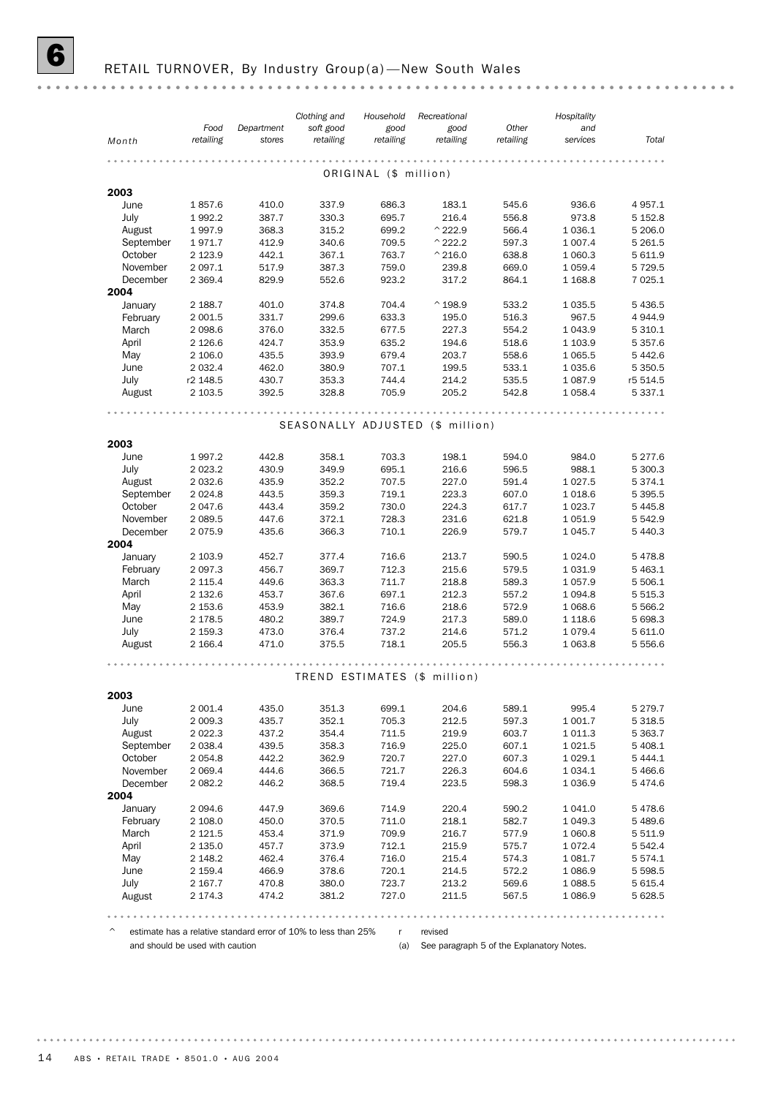|                  | Food               | Department     | Clothing and<br>soft good | Household<br>good     | Recreational<br>good             | Other          | Hospitality<br>and     |                          |
|------------------|--------------------|----------------|---------------------------|-----------------------|----------------------------------|----------------|------------------------|--------------------------|
| Month            | retailing          | stores         | retailing                 | retailing             | retailing                        | retailing      | services               | Total                    |
|                  |                    |                |                           |                       |                                  |                |                        |                          |
|                  |                    |                |                           | ORIGINAL (\$ million) |                                  |                |                        |                          |
| 2003             |                    |                |                           |                       |                                  |                |                        |                          |
| June             | 1857.6             | 410.0          | 337.9                     | 686.3                 | 183.1                            | 545.6          | 936.6                  | 4 9 5 7.1                |
| July             | 1992.2             | 387.7          | 330.3                     | 695.7                 | 216.4                            | 556.8          | 973.8                  | 5 1 5 2.8                |
| August           | 1997.9             | 368.3          | 315.2                     | 699.2                 | $^{\wedge}$ 222.9                | 566.4          | 1 0 36.1               | 5 206.0                  |
| September        | 1971.7             | 412.9          | 340.6                     | 709.5                 | $^{\wedge}$ 222.2                | 597.3          | 1 0 0 7.4              | 5 2 6 1.5                |
| October          | 2 1 2 3 . 9        | 442.1          | 367.1                     | 763.7                 | $^{\wedge}$ 216.0                | 638.8          | 1 060.3                | 5 611.9                  |
| November         | 2 097.1            | 517.9          | 387.3                     | 759.0                 | 239.8                            | 669.0          | 1 0 5 9.4              | 5 7 2 9.5<br>7 0 25.1    |
| December<br>2004 | 2 3 6 9.4          | 829.9          | 552.6                     | 923.2                 | 317.2                            | 864.1          | 1 1 68.8               |                          |
| January          | 2 188.7            | 401.0          | 374.8                     | 704.4                 | $^{\wedge}$ 198.9                | 533.2          | 1 0 3 5.5              | 5 4 3 6.5                |
| February         | 2 0 0 1.5          | 331.7          | 299.6                     | 633.3                 | 195.0                            | 516.3          | 967.5                  | 4 9 4 4 .9               |
| March            | 2 0 98.6           | 376.0          | 332.5                     | 677.5                 | 227.3                            | 554.2          | 1 0 4 3.9              | 5 3 1 0.1                |
| April            | 2 1 2 6.6          | 424.7          | 353.9                     | 635.2                 | 194.6                            | 518.6          | 1 103.9                | 5 3 5 7 . 6              |
| May              | 2 106.0            | 435.5          | 393.9                     | 679.4                 | 203.7                            | 558.6          | 1 0 6 5.5              | 5 4 4 2.6                |
| June             | 2 0 3 2.4          | 462.0          | 380.9                     | 707.1                 | 199.5                            | 533.1          | 1 0 3 5.6              | 5 3 5 0.5                |
| July             | r2 148.5           | 430.7          | 353.3                     | 744.4                 | 214.2                            | 535.5          | 1 0 8 7 .9             | r5 514.5                 |
| August           | 2 103.5            | 392.5          | 328.8                     | 705.9                 | 205.2                            | 542.8          | 1 0 58.4               | 5 3 3 7 . 1              |
|                  |                    |                |                           |                       |                                  |                |                        |                          |
|                  |                    |                |                           |                       | SEASONALLY ADJUSTED (\$ million) |                |                        |                          |
| 2003             |                    |                |                           |                       |                                  |                |                        |                          |
| June             | 1997.2             | 442.8          | 358.1                     | 703.3                 | 198.1                            | 594.0          | 984.0                  | 5 277.6                  |
| July             | 2 0 2 3 . 2        | 430.9          | 349.9                     | 695.1                 | 216.6                            | 596.5          | 988.1                  | 5 300.3                  |
| August           | 2 0 3 2.6          | 435.9          | 352.2                     | 707.5                 | 227.0                            | 591.4          | 1 0 27.5               | 5 3 7 4 . 1              |
| September        | 2 0 2 4.8          | 443.5          | 359.3                     | 719.1                 | 223.3                            | 607.0          | 1018.6                 | 5 3 9 5 .5               |
| October          | 2 047.6            | 443.4          | 359.2                     | 730.0                 | 224.3                            | 617.7          | 1 0 2 3.7              | 5 4 4 5.8                |
| November         | 2 0 8 9.5          | 447.6          | 372.1                     | 728.3                 | 231.6                            | 621.8          | 1 0 5 1.9              | 5 5 4 2.9                |
| December<br>2004 | 2075.9             | 435.6          | 366.3                     | 710.1                 | 226.9                            | 579.7          | 1 0 4 5.7              | 5 4 4 0.3                |
| January          | 2 103.9            | 452.7          | 377.4                     | 716.6                 | 213.7                            | 590.5          | 1 0 24.0               | 5478.8                   |
| February         | 2 0 9 7 .3         | 456.7          | 369.7                     | 712.3                 | 215.6                            | 579.5          | 1 0 3 1.9              | 5 4 6 3.1                |
| March            | 2 115.4            | 449.6          | 363.3                     | 711.7                 | 218.8                            | 589.3          | 1 0 5 7 .9             | 5 506.1                  |
| April            | 2 132.6            | 453.7          | 367.6                     | 697.1                 | 212.3                            | 557.2          | 1 0 9 4.8              | 5 5 1 5 . 3              |
| May              | 2 153.6            | 453.9          | 382.1                     | 716.6                 | 218.6                            | 572.9          | 1 0 68.6               | 5 5 6 6.2                |
| June             | 2 178.5            | 480.2          | 389.7                     | 724.9                 | 217.3                            | 589.0          | 1 1 18.6               | 5 698.3                  |
| July             | 2 159.3            | 473.0          | 376.4                     | 737.2                 | 214.6                            | 571.2          | 1079.4                 | 5 611.0                  |
| August           | 2 166.4            | 471.0          | 375.5                     | 718.1                 | 205.5                            | 556.3          | 1 0 6 3.8              | 5 5 5 6 . 6              |
|                  |                    |                |                           |                       |                                  |                |                        |                          |
|                  |                    |                |                           |                       | TREND ESTIMATES (\$ million)     |                |                        |                          |
| 2003             |                    |                |                           |                       |                                  |                |                        |                          |
| June             | 2 001.4            | 435.0          | 351.3                     | 699.1                 | 204.6                            | 589.1          | 995.4                  | 5 2 7 9 . 7              |
| July             | 2 009.3            | 435.7          | 352.1                     | 705.3                 | 212.5                            | 597.3          | 1 001.7                | 5 3 18.5                 |
| August           | 2 022.3            | 437.2          | 354.4                     | 711.5                 | 219.9                            | 603.7          | 1 0 1 1.3              | 5 3 6 3.7                |
| September        | 2 0 38.4           | 439.5          | 358.3                     | 716.9                 | 225.0                            | 607.1          | 1 0 2 1.5              | 5 408.1                  |
| October          | 2 054.8            | 442.2          | 362.9                     | 720.7                 | 227.0                            | 607.3          | 1 0 29.1               | 5 4 4 4.1                |
| November         | 2 0 6 9.4          | 444.6          | 366.5                     | 721.7                 | 226.3                            | 604.6          | 1 0 3 4 . 1            | 5 4 6 6.6                |
| December         | 2 082.2            | 446.2          | 368.5                     | 719.4                 | 223.5                            | 598.3          | 1 0 3 6.9              | 5474.6                   |
| 2004             |                    |                |                           |                       |                                  |                |                        |                          |
| January          | 2 0 9 4.6          | 447.9          | 369.6                     | 714.9                 | 220.4                            | 590.2          | 1 041.0                | 5478.6                   |
| February         | 2 108.0            | 450.0          | 370.5                     | 711.0                 | 218.1                            | 582.7          | 1 0 4 9.3              | 5 4 8 9.6                |
| March            | 2 121.5            | 453.4          | 371.9<br>373.9            | 709.9                 | 216.7                            | 577.9          | 1 060.8                | 5 5 1 1.9                |
| April            | 2 135.0            | 457.7          |                           | 712.1                 | 215.9                            | 575.7          | 1072.4                 | 5 5 4 2.4                |
| May              | 2 148.2            | 462.4<br>466.9 | 376.4                     | 716.0<br>720.1        | 215.4                            | 574.3<br>572.2 | 1 0 8 1.7<br>1 0 8 6.9 | 5 5 7 4 . 1<br>5 5 9 8.5 |
| June<br>July     | 2 159.4<br>2 167.7 | 470.8          | 378.6<br>380.0            | 723.7                 | 214.5<br>213.2                   | 569.6          | 1 0 8 8.5              | 5 615.4                  |
| August           | 2 174.3            | 474.2          | 381.2                     | 727.0                 | 211.5                            | 567.5          | 1086.9                 | 5 628.5                  |
|                  |                    |                |                           |                       |                                  |                |                        |                          |

 $\degree$  estimate has a relative standard error of 10% to less than 25% r revised and should be used with caution

(a) See paragraph 5 of the Explanatory Notes.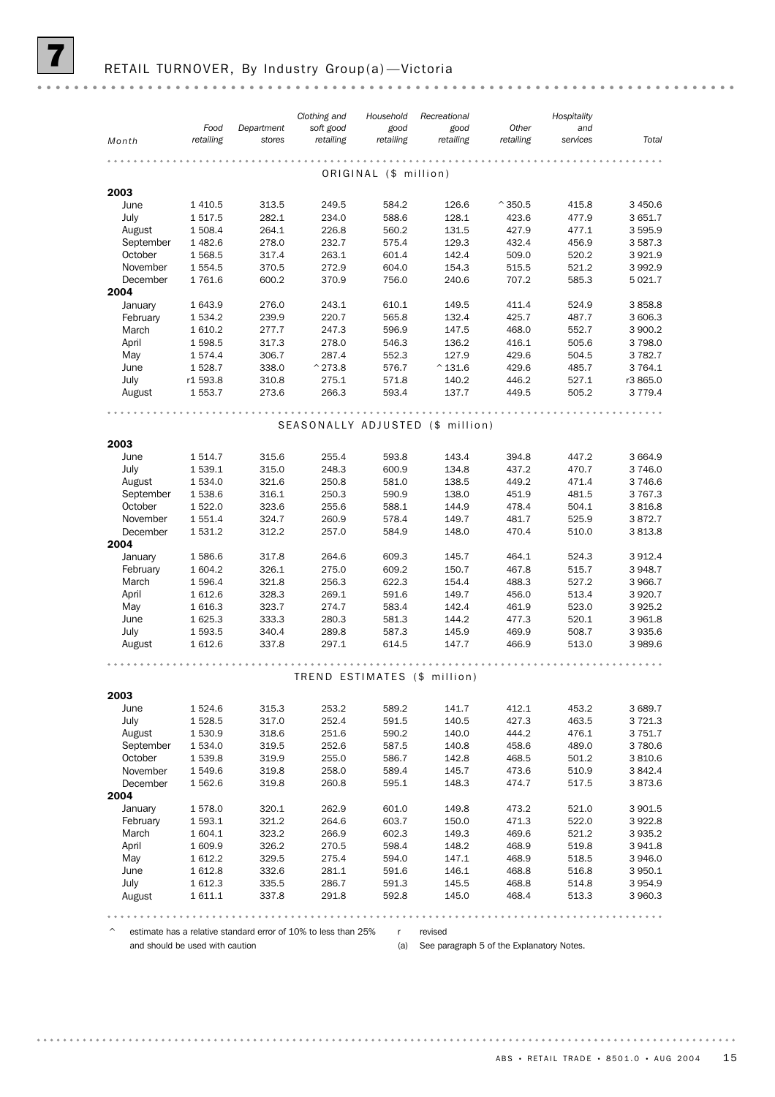| Food<br>Department<br>soft good<br>good<br>good<br>Other<br>and<br>retailing<br>retailing<br>retailing<br>retailing<br>retailing<br>stores<br>services<br>Month<br>ORIGINAL (\$ million)<br>2003<br>June<br>1410.5<br>313.5<br>249.5<br>584.2<br>126.6<br>$^{\circ}$ 350.5<br>415.8<br>1517.5<br>282.1<br>234.0<br>588.6<br>128.1<br>423.6<br>477.9<br>July<br>131.5<br>427.9<br>August<br>1 508.4<br>264.1<br>226.8<br>560.2<br>477.1<br>September<br>1 482.6<br>278.0<br>232.7<br>575.4<br>129.3<br>432.4<br>456.9<br>263.1<br>142.4<br>509.0<br>October<br>1 568.5<br>317.4<br>601.4<br>520.2<br>November<br>521.2<br>1 5 5 4 . 5<br>370.5<br>272.9<br>604.0<br>154.3<br>515.5<br>1761.6<br>370.9<br>240.6<br>707.2<br>585.3<br>December<br>600.2<br>756.0<br>2004<br>January<br>1 643.9<br>276.0<br>243.1<br>610.1<br>149.5<br>411.4<br>524.9<br>239.9<br>220.7<br>565.8<br>132.4<br>425.7<br>February<br>1 534.2<br>487.7<br>March<br>596.9<br>468.0<br>552.7<br>1 610.2<br>277.7<br>247.3<br>147.5<br>1598.5<br>278.0<br>546.3<br>136.2<br>416.1<br>505.6<br>April<br>317.3<br>May<br>429.6<br>1574.4<br>306.7<br>287.4<br>552.3<br>127.9<br>504.5<br>June<br>338.0<br>$^{\wedge}$ 273.8<br>$^{\wedge}$ 131.6<br>429.6<br>1528.7<br>576.7<br>485.7<br>446.2<br>527.1<br>July<br>r1 593.8<br>310.8<br>275.1<br>571.8<br>140.2 |             |
|------------------------------------------------------------------------------------------------------------------------------------------------------------------------------------------------------------------------------------------------------------------------------------------------------------------------------------------------------------------------------------------------------------------------------------------------------------------------------------------------------------------------------------------------------------------------------------------------------------------------------------------------------------------------------------------------------------------------------------------------------------------------------------------------------------------------------------------------------------------------------------------------------------------------------------------------------------------------------------------------------------------------------------------------------------------------------------------------------------------------------------------------------------------------------------------------------------------------------------------------------------------------------------------------------------------------------------|-------------|
|                                                                                                                                                                                                                                                                                                                                                                                                                                                                                                                                                                                                                                                                                                                                                                                                                                                                                                                                                                                                                                                                                                                                                                                                                                                                                                                                    | Total       |
|                                                                                                                                                                                                                                                                                                                                                                                                                                                                                                                                                                                                                                                                                                                                                                                                                                                                                                                                                                                                                                                                                                                                                                                                                                                                                                                                    |             |
|                                                                                                                                                                                                                                                                                                                                                                                                                                                                                                                                                                                                                                                                                                                                                                                                                                                                                                                                                                                                                                                                                                                                                                                                                                                                                                                                    |             |
|                                                                                                                                                                                                                                                                                                                                                                                                                                                                                                                                                                                                                                                                                                                                                                                                                                                                                                                                                                                                                                                                                                                                                                                                                                                                                                                                    |             |
|                                                                                                                                                                                                                                                                                                                                                                                                                                                                                                                                                                                                                                                                                                                                                                                                                                                                                                                                                                                                                                                                                                                                                                                                                                                                                                                                    |             |
|                                                                                                                                                                                                                                                                                                                                                                                                                                                                                                                                                                                                                                                                                                                                                                                                                                                                                                                                                                                                                                                                                                                                                                                                                                                                                                                                    | 3 450.6     |
|                                                                                                                                                                                                                                                                                                                                                                                                                                                                                                                                                                                                                                                                                                                                                                                                                                                                                                                                                                                                                                                                                                                                                                                                                                                                                                                                    | 3 651.7     |
|                                                                                                                                                                                                                                                                                                                                                                                                                                                                                                                                                                                                                                                                                                                                                                                                                                                                                                                                                                                                                                                                                                                                                                                                                                                                                                                                    | 3 595.9     |
|                                                                                                                                                                                                                                                                                                                                                                                                                                                                                                                                                                                                                                                                                                                                                                                                                                                                                                                                                                                                                                                                                                                                                                                                                                                                                                                                    | 3 5 8 7 . 3 |
|                                                                                                                                                                                                                                                                                                                                                                                                                                                                                                                                                                                                                                                                                                                                                                                                                                                                                                                                                                                                                                                                                                                                                                                                                                                                                                                                    | 3 9 2 1.9   |
|                                                                                                                                                                                                                                                                                                                                                                                                                                                                                                                                                                                                                                                                                                                                                                                                                                                                                                                                                                                                                                                                                                                                                                                                                                                                                                                                    | 3992.9      |
|                                                                                                                                                                                                                                                                                                                                                                                                                                                                                                                                                                                                                                                                                                                                                                                                                                                                                                                                                                                                                                                                                                                                                                                                                                                                                                                                    | 5 0 2 1.7   |
|                                                                                                                                                                                                                                                                                                                                                                                                                                                                                                                                                                                                                                                                                                                                                                                                                                                                                                                                                                                                                                                                                                                                                                                                                                                                                                                                    | 3858.8      |
|                                                                                                                                                                                                                                                                                                                                                                                                                                                                                                                                                                                                                                                                                                                                                                                                                                                                                                                                                                                                                                                                                                                                                                                                                                                                                                                                    | 3 606.3     |
|                                                                                                                                                                                                                                                                                                                                                                                                                                                                                                                                                                                                                                                                                                                                                                                                                                                                                                                                                                                                                                                                                                                                                                                                                                                                                                                                    | 3 900.2     |
|                                                                                                                                                                                                                                                                                                                                                                                                                                                                                                                                                                                                                                                                                                                                                                                                                                                                                                                                                                                                                                                                                                                                                                                                                                                                                                                                    | 3798.0      |
|                                                                                                                                                                                                                                                                                                                                                                                                                                                                                                                                                                                                                                                                                                                                                                                                                                                                                                                                                                                                                                                                                                                                                                                                                                                                                                                                    | 3 7 8 2.7   |
|                                                                                                                                                                                                                                                                                                                                                                                                                                                                                                                                                                                                                                                                                                                                                                                                                                                                                                                                                                                                                                                                                                                                                                                                                                                                                                                                    | 3 7 64.1    |
|                                                                                                                                                                                                                                                                                                                                                                                                                                                                                                                                                                                                                                                                                                                                                                                                                                                                                                                                                                                                                                                                                                                                                                                                                                                                                                                                    | r3 865.0    |
| August<br>1 553.7<br>273.6<br>266.3<br>593.4<br>137.7<br>449.5<br>505.2                                                                                                                                                                                                                                                                                                                                                                                                                                                                                                                                                                                                                                                                                                                                                                                                                                                                                                                                                                                                                                                                                                                                                                                                                                                            | 3 7 7 9.4   |
|                                                                                                                                                                                                                                                                                                                                                                                                                                                                                                                                                                                                                                                                                                                                                                                                                                                                                                                                                                                                                                                                                                                                                                                                                                                                                                                                    |             |
|                                                                                                                                                                                                                                                                                                                                                                                                                                                                                                                                                                                                                                                                                                                                                                                                                                                                                                                                                                                                                                                                                                                                                                                                                                                                                                                                    |             |
| SEASONALLY ADJUSTED (\$ million)                                                                                                                                                                                                                                                                                                                                                                                                                                                                                                                                                                                                                                                                                                                                                                                                                                                                                                                                                                                                                                                                                                                                                                                                                                                                                                   |             |
| 2003                                                                                                                                                                                                                                                                                                                                                                                                                                                                                                                                                                                                                                                                                                                                                                                                                                                                                                                                                                                                                                                                                                                                                                                                                                                                                                                               |             |
| June<br>1 514.7<br>315.6<br>255.4<br>593.8<br>143.4<br>394.8<br>447.2                                                                                                                                                                                                                                                                                                                                                                                                                                                                                                                                                                                                                                                                                                                                                                                                                                                                                                                                                                                                                                                                                                                                                                                                                                                              | 3 664.9     |
| July<br>1539.1<br>315.0<br>248.3<br>600.9<br>134.8<br>437.2<br>470.7                                                                                                                                                                                                                                                                                                                                                                                                                                                                                                                                                                                                                                                                                                                                                                                                                                                                                                                                                                                                                                                                                                                                                                                                                                                               | 3746.0      |
| 321.6<br>581.0<br>138.5<br>449.2<br>471.4<br>1 534.0<br>250.8<br>August                                                                                                                                                                                                                                                                                                                                                                                                                                                                                                                                                                                                                                                                                                                                                                                                                                                                                                                                                                                                                                                                                                                                                                                                                                                            | 3746.6      |
| September<br>1538.6<br>316.1<br>250.3<br>590.9<br>138.0<br>451.9<br>481.5                                                                                                                                                                                                                                                                                                                                                                                                                                                                                                                                                                                                                                                                                                                                                                                                                                                                                                                                                                                                                                                                                                                                                                                                                                                          | 3 767.3     |
| 323.6<br>588.1<br>144.9<br>478.4<br>October<br>1 5 2 2.0<br>255.6<br>504.1                                                                                                                                                                                                                                                                                                                                                                                                                                                                                                                                                                                                                                                                                                                                                                                                                                                                                                                                                                                                                                                                                                                                                                                                                                                         | 3816.8      |
| 578.4<br>November<br>1 551.4<br>324.7<br>260.9<br>149.7<br>481.7<br>525.9                                                                                                                                                                                                                                                                                                                                                                                                                                                                                                                                                                                                                                                                                                                                                                                                                                                                                                                                                                                                                                                                                                                                                                                                                                                          | 3872.7      |
| December<br>1 531.2<br>312.2<br>148.0<br>470.4<br>257.0<br>584.9<br>510.0                                                                                                                                                                                                                                                                                                                                                                                                                                                                                                                                                                                                                                                                                                                                                                                                                                                                                                                                                                                                                                                                                                                                                                                                                                                          | 3813.8      |
| 2004                                                                                                                                                                                                                                                                                                                                                                                                                                                                                                                                                                                                                                                                                                                                                                                                                                                                                                                                                                                                                                                                                                                                                                                                                                                                                                                               |             |
| January<br>1586.6<br>317.8<br>264.6<br>609.3<br>145.7<br>464.1<br>524.3                                                                                                                                                                                                                                                                                                                                                                                                                                                                                                                                                                                                                                                                                                                                                                                                                                                                                                                                                                                                                                                                                                                                                                                                                                                            | 3 9 1 2.4   |
| February<br>1 604.2<br>326.1<br>275.0<br>609.2<br>150.7<br>467.8<br>515.7                                                                                                                                                                                                                                                                                                                                                                                                                                                                                                                                                                                                                                                                                                                                                                                                                                                                                                                                                                                                                                                                                                                                                                                                                                                          | 3 948.7     |
| 622.3<br>488.3<br>527.2<br>March<br>1 596.4<br>321.8<br>256.3<br>154.4                                                                                                                                                                                                                                                                                                                                                                                                                                                                                                                                                                                                                                                                                                                                                                                                                                                                                                                                                                                                                                                                                                                                                                                                                                                             | 3 966.7     |
| April<br>328.3<br>269.1<br>149.7<br>456.0<br>513.4<br>1612.6<br>591.6                                                                                                                                                                                                                                                                                                                                                                                                                                                                                                                                                                                                                                                                                                                                                                                                                                                                                                                                                                                                                                                                                                                                                                                                                                                              | 3 9 20.7    |
| 323.7<br>583.4<br>142.4<br>1 616.3<br>274.7<br>461.9<br>523.0<br>May                                                                                                                                                                                                                                                                                                                                                                                                                                                                                                                                                                                                                                                                                                                                                                                                                                                                                                                                                                                                                                                                                                                                                                                                                                                               | 3925.2      |
| June<br>1 625.3<br>333.3<br>280.3<br>581.3<br>144.2<br>477.3<br>520.1                                                                                                                                                                                                                                                                                                                                                                                                                                                                                                                                                                                                                                                                                                                                                                                                                                                                                                                                                                                                                                                                                                                                                                                                                                                              | 3 961.8     |
| July<br>1 593.5<br>340.4<br>289.8<br>587.3<br>145.9<br>469.9<br>508.7                                                                                                                                                                                                                                                                                                                                                                                                                                                                                                                                                                                                                                                                                                                                                                                                                                                                                                                                                                                                                                                                                                                                                                                                                                                              | 3 9 3 5.6   |
| 1612.6<br>337.8<br>297.1<br>614.5<br>147.7<br>466.9<br>513.0<br>August                                                                                                                                                                                                                                                                                                                                                                                                                                                                                                                                                                                                                                                                                                                                                                                                                                                                                                                                                                                                                                                                                                                                                                                                                                                             | 3989.6      |
|                                                                                                                                                                                                                                                                                                                                                                                                                                                                                                                                                                                                                                                                                                                                                                                                                                                                                                                                                                                                                                                                                                                                                                                                                                                                                                                                    |             |
| TREND ESTIMATES (\$ million)                                                                                                                                                                                                                                                                                                                                                                                                                                                                                                                                                                                                                                                                                                                                                                                                                                                                                                                                                                                                                                                                                                                                                                                                                                                                                                       |             |
| 2003                                                                                                                                                                                                                                                                                                                                                                                                                                                                                                                                                                                                                                                                                                                                                                                                                                                                                                                                                                                                                                                                                                                                                                                                                                                                                                                               |             |
| 315.3<br>253.2<br>589.2<br>141.7<br>412.1<br>453.2<br>June<br>1 5 2 4 . 6                                                                                                                                                                                                                                                                                                                                                                                                                                                                                                                                                                                                                                                                                                                                                                                                                                                                                                                                                                                                                                                                                                                                                                                                                                                          | 3 689.7     |
| July<br>317.0<br>252.4<br>140.5<br>427.3<br>463.5<br>1 528.5<br>591.5                                                                                                                                                                                                                                                                                                                                                                                                                                                                                                                                                                                                                                                                                                                                                                                                                                                                                                                                                                                                                                                                                                                                                                                                                                                              | 3 7 2 1.3   |
| 318.6<br>251.6<br>590.2<br>140.0<br>444.2<br>476.1<br>August<br>1 530.9                                                                                                                                                                                                                                                                                                                                                                                                                                                                                                                                                                                                                                                                                                                                                                                                                                                                                                                                                                                                                                                                                                                                                                                                                                                            | 3 7 5 1.7   |
| 458.6<br>489.0<br>September<br>1 534.0<br>319.5<br>252.6<br>587.5<br>140.8                                                                                                                                                                                                                                                                                                                                                                                                                                                                                                                                                                                                                                                                                                                                                                                                                                                                                                                                                                                                                                                                                                                                                                                                                                                         | 3 780.6     |
| October<br>1539.8<br>319.9<br>255.0<br>586.7<br>142.8<br>468.5<br>501.2                                                                                                                                                                                                                                                                                                                                                                                                                                                                                                                                                                                                                                                                                                                                                                                                                                                                                                                                                                                                                                                                                                                                                                                                                                                            | 3810.6      |
| 319.8<br>258.0<br>589.4<br>473.6<br>510.9<br>November<br>1 549.6<br>145.7                                                                                                                                                                                                                                                                                                                                                                                                                                                                                                                                                                                                                                                                                                                                                                                                                                                                                                                                                                                                                                                                                                                                                                                                                                                          | 3 842.4     |
| December<br>1562.6<br>319.8<br>260.8<br>595.1<br>148.3<br>474.7<br>517.5                                                                                                                                                                                                                                                                                                                                                                                                                                                                                                                                                                                                                                                                                                                                                                                                                                                                                                                                                                                                                                                                                                                                                                                                                                                           | 3873.6      |
| 2004                                                                                                                                                                                                                                                                                                                                                                                                                                                                                                                                                                                                                                                                                                                                                                                                                                                                                                                                                                                                                                                                                                                                                                                                                                                                                                                               |             |
| 262.9<br>601.0<br>149.8<br>521.0<br>January<br>1578.0<br>320.1<br>473.2                                                                                                                                                                                                                                                                                                                                                                                                                                                                                                                                                                                                                                                                                                                                                                                                                                                                                                                                                                                                                                                                                                                                                                                                                                                            | 3 901.5     |
| February<br>1 593.1<br>321.2<br>264.6<br>603.7<br>150.0<br>471.3<br>522.0                                                                                                                                                                                                                                                                                                                                                                                                                                                                                                                                                                                                                                                                                                                                                                                                                                                                                                                                                                                                                                                                                                                                                                                                                                                          | 3922.8      |
| March<br>323.2<br>602.3<br>149.3<br>469.6<br>521.2<br>1 604.1<br>266.9                                                                                                                                                                                                                                                                                                                                                                                                                                                                                                                                                                                                                                                                                                                                                                                                                                                                                                                                                                                                                                                                                                                                                                                                                                                             | 3 935.2     |
| April<br>598.4<br>1609.9<br>326.2<br>270.5<br>148.2<br>468.9<br>519.8                                                                                                                                                                                                                                                                                                                                                                                                                                                                                                                                                                                                                                                                                                                                                                                                                                                                                                                                                                                                                                                                                                                                                                                                                                                              | 3 941.8     |
| May<br>329.5<br>275.4<br>594.0<br>147.1<br>468.9<br>518.5<br>1 612.2                                                                                                                                                                                                                                                                                                                                                                                                                                                                                                                                                                                                                                                                                                                                                                                                                                                                                                                                                                                                                                                                                                                                                                                                                                                               | 3 946.0     |
| 468.8<br>June<br>1612.8<br>332.6<br>281.1<br>591.6<br>146.1<br>516.8                                                                                                                                                                                                                                                                                                                                                                                                                                                                                                                                                                                                                                                                                                                                                                                                                                                                                                                                                                                                                                                                                                                                                                                                                                                               | 3 950.1     |
| July<br>1612.3<br>335.5<br>286.7<br>591.3<br>145.5<br>468.8<br>514.8                                                                                                                                                                                                                                                                                                                                                                                                                                                                                                                                                                                                                                                                                                                                                                                                                                                                                                                                                                                                                                                                                                                                                                                                                                                               | 3954.9      |
| 592.8<br>468.4<br>August<br>1 611.1<br>337.8<br>291.8<br>145.0<br>513.3                                                                                                                                                                                                                                                                                                                                                                                                                                                                                                                                                                                                                                                                                                                                                                                                                                                                                                                                                                                                                                                                                                                                                                                                                                                            | 3 960.3     |

 $\degree$  estimate has a relative standard error of 10% to less than 25% r revised and should be used with caution

(a) See paragraph 5 of the Explanatory Notes.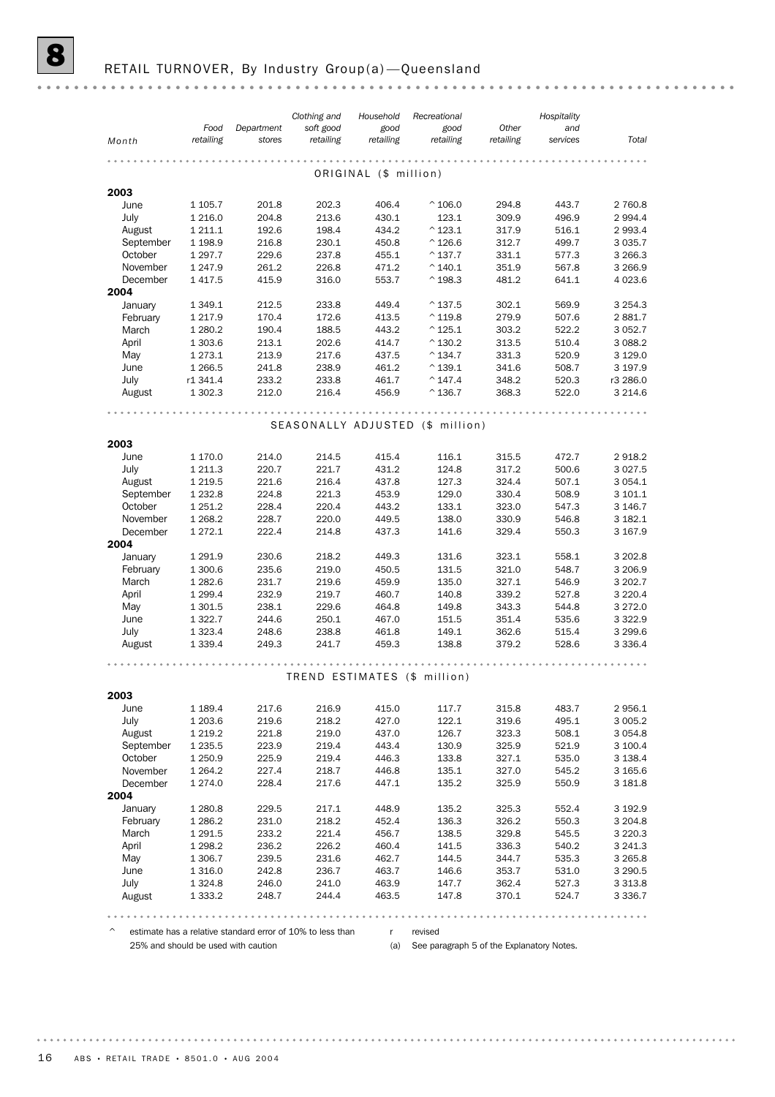|                      | Food                    | Department     | Clothing and<br>soft good        | Household<br>good     | Recreational<br>good                   | Other          | Hospitality<br>and |                        |
|----------------------|-------------------------|----------------|----------------------------------|-----------------------|----------------------------------------|----------------|--------------------|------------------------|
| Month                | retailing               | stores         | retailing                        | retailing             | retailing                              | retailing      | services           | Total                  |
|                      |                         |                |                                  |                       |                                        |                |                    |                        |
|                      |                         |                |                                  | ORIGINAL (\$ million) |                                        |                |                    |                        |
| 2003                 |                         |                |                                  |                       |                                        |                |                    |                        |
| June                 | 1 1 0 5.7               | 201.8          | 202.3                            | 406.4                 | $^{\circ}$ 106.0                       | 294.8          | 443.7              | 2 760.8                |
| July                 | 1 2 1 6 .0              | 204.8          | 213.6                            | 430.1                 | 123.1                                  | 309.9          | 496.9              | 2 9 9 4.4              |
| August<br>September  | 1 2 1 1 . 1<br>1 1 98.9 | 192.6<br>216.8 | 198.4<br>230.1                   | 434.2<br>450.8        | $^{\wedge}$ 123.1<br>$^{\wedge}$ 126.6 | 317.9<br>312.7 | 516.1<br>499.7     | 2 9 9 3.4<br>3 0 3 5.7 |
| October              | 1 297.7                 | 229.6          | 237.8                            | 455.1                 | $^{\circ}$ 137.7                       | 331.1          | 577.3              | 3 2 6 6 .3             |
| November             | 1 247.9                 | 261.2          | 226.8                            | 471.2                 | $^{\wedge}$ 140.1                      | 351.9          | 567.8              | 3 2 6 6.9              |
| December             | 1 4 1 7 .5              | 415.9          | 316.0                            | 553.7                 | $^{\wedge}$ 198.3                      | 481.2          | 641.1              | 4 0 23.6               |
| 2004                 |                         |                |                                  |                       |                                        |                |                    |                        |
| January              | 1 3 4 9.1               | 212.5          | 233.8                            | 449.4                 | $^{\wedge}$ 137.5                      | 302.1          | 569.9              | 3 2 5 4 . 3            |
| February             | 1 2 1 7 .9              | 170.4          | 172.6                            | 413.5                 | $^{\wedge}$ 119.8                      | 279.9          | 507.6              | 2881.7                 |
| March                | 1 2 8 0.2               | 190.4          | 188.5                            | 443.2                 | $^{\wedge}$ 125.1                      | 303.2          | 522.2              | 3 0 5 2.7              |
| April                | 1 303.6                 | 213.1          | 202.6                            | 414.7                 | $^{\wedge}$ 130.2                      | 313.5          | 510.4              | 3 0 8 8.2              |
| May                  | 1 273.1                 | 213.9          | 217.6                            | 437.5                 | $^{\circ}$ 134.7                       | 331.3          | 520.9              | 3 1 2 9 . 0            |
| June<br>July         | 1 2 6 6.5<br>r1 341.4   | 241.8<br>233.2 | 238.9<br>233.8                   | 461.2<br>461.7        | $^{\wedge}$ 139.1<br>$^{\wedge}$ 147.4 | 341.6<br>348.2 | 508.7<br>520.3     | 3 197.9<br>r3 286.0    |
| August               | 1 302.3                 | 212.0          | 216.4                            | 456.9                 | $^{\wedge}$ 136.7                      | 368.3          | 522.0              | 3 2 1 4.6              |
|                      |                         |                |                                  |                       |                                        |                |                    |                        |
|                      |                         |                |                                  |                       |                                        |                |                    |                        |
|                      |                         |                | SEASONALLY ADJUSTED (\$ million) |                       |                                        |                |                    |                        |
| 2003                 |                         |                |                                  |                       |                                        |                |                    |                        |
| June                 | 1 170.0                 | 214.0          | 214.5                            | 415.4                 | 116.1                                  | 315.5          | 472.7              | 2918.2                 |
| July                 | 1 211.3                 | 220.7          | 221.7                            | 431.2                 | 124.8                                  | 317.2          | 500.6              | 3 0 2 7 .5             |
| August               | 1 2 1 9.5               | 221.6          | 216.4                            | 437.8                 | 127.3                                  | 324.4          | 507.1              | 3 0 5 4 . 1            |
| September            | 1 2 3 2.8               | 224.8          | 221.3                            | 453.9                 | 129.0                                  | 330.4          | 508.9              | 3 101.1                |
| October              | 1 2 5 1 . 2             | 228.4          | 220.4                            | 443.2                 | 133.1                                  | 323.0          | 547.3              | 3 146.7                |
| November<br>December | 1 2 68.2                | 228.7<br>222.4 | 220.0                            | 449.5                 | 138.0                                  | 330.9          | 546.8              | 3 182.1                |
| 2004                 | 1 272.1                 |                | 214.8                            | 437.3                 | 141.6                                  | 329.4          | 550.3              | 3 167.9                |
| January              | 1 291.9                 | 230.6          | 218.2                            | 449.3                 | 131.6                                  | 323.1          | 558.1              | 3 202.8                |
| February             | 1 300.6                 | 235.6          | 219.0                            | 450.5                 | 131.5                                  | 321.0          | 548.7              | 3 206.9                |
| March                | 1 282.6                 | 231.7          | 219.6                            | 459.9                 | 135.0                                  | 327.1          | 546.9              | 3 202.7                |
| April                | 1 2 9 9.4               | 232.9          | 219.7                            | 460.7                 | 140.8                                  | 339.2          | 527.8              | 3 2 2 0.4              |
| May                  | 1 301.5                 | 238.1          | 229.6                            | 464.8                 | 149.8                                  | 343.3          | 544.8              | 3 2 7 2.0              |
| June                 | 1 3 2 2.7               | 244.6          | 250.1                            | 467.0                 | 151.5                                  | 351.4          | 535.6              | 3 3 2 2.9              |
| July                 | 1 3 2 3 . 4             | 248.6          | 238.8                            | 461.8                 | 149.1                                  | 362.6          | 515.4              | 3 299.6                |
| August               | 1 3 3 9.4               | 249.3          | 241.7                            | 459.3                 | 138.8                                  | 379.2          | 528.6              | 3 3 3 6.4              |
|                      |                         |                |                                  |                       |                                        |                |                    |                        |
|                      |                         |                | TREND ESTIMATES (\$ million)     |                       |                                        |                |                    |                        |
| 2003                 |                         |                |                                  |                       |                                        |                |                    |                        |
| June                 | 1 189.4                 | 217.6          | 216.9                            | 415.0                 | 117.7                                  | 315.8          | 483.7              | 2956.1                 |
| July                 | 1 203.6                 | 219.6          | 218.2                            | 427.0                 | 122.1                                  | 319.6          | 495.1              | 3 0 0 5.2              |
| August               | 1 2 1 9 . 2             | 221.8          | 219.0                            | 437.0                 | 126.7                                  | 323.3          | 508.1              | 3 0 5 4.8              |
| September            | 1 2 3 5.5               | 223.9          | 219.4                            | 443.4                 | 130.9                                  | 325.9          | 521.9              | 3 100.4                |
| October              | 1 250.9                 | 225.9          | 219.4                            | 446.3                 | 133.8                                  | 327.1          | 535.0              | 3 1 3 8.4              |
| November             | 1 2 6 4 . 2             | 227.4          | 218.7                            | 446.8                 | 135.1                                  | 327.0          | 545.2              | 3 165.6                |
| December             | 1 274.0                 | 228.4          | 217.6                            | 447.1                 | 135.2                                  | 325.9          | 550.9              | 3 181.8                |
| 2004<br>January      |                         |                |                                  |                       |                                        |                |                    |                        |
| February             | 1 2 8 0.8<br>1 2 8 6.2  | 229.5<br>231.0 | 217.1<br>218.2                   | 448.9<br>452.4        | 135.2<br>136.3                         | 325.3<br>326.2 | 552.4<br>550.3     | 3 192.9<br>3 204.8     |
| March                | 1 291.5                 | 233.2          | 221.4                            | 456.7                 | 138.5                                  | 329.8          | 545.5              | 3 2 2 0 . 3            |
| April                | 1 2 9 8.2               | 236.2          | 226.2                            | 460.4                 | 141.5                                  | 336.3          | 540.2              | 3 241.3                |
| May                  | 1 306.7                 | 239.5          | 231.6                            | 462.7                 | 144.5                                  | 344.7          | 535.3              | 3 2 6 5 . 8            |
| June                 | 1 3 1 6 .0              | 242.8          | 236.7                            | 463.7                 | 146.6                                  | 353.7          | 531.0              | 3 2 9 0.5              |
| July                 | 1 3 2 4 .8              | 246.0          | 241.0                            | 463.9                 | 147.7                                  | 362.4          | 527.3              | 3 3 1 3 . 8            |
| August               | 1 3 3 3 . 2             | 248.7          | 244.4                            | 463.5                 | 147.8                                  | 370.1          | 524.7              | 3 3 3 6 . 7            |

 $\degree$  estimate has a relative standard error of 10% to less than 25% and should be used with caution

r revised (a) See paragraph 5 of the Explanatory Notes.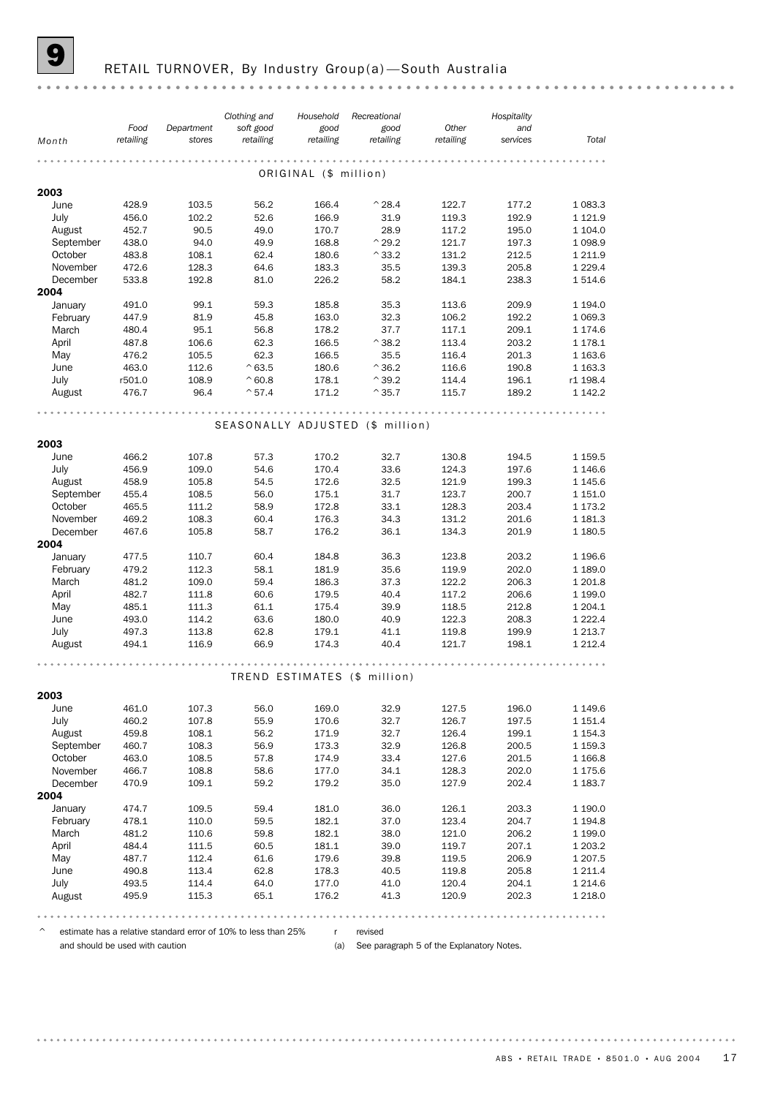#### RETAIL TURNOVER, By Industry Group(a)-South Australia

*Clothing and Hospitality Recreational Household Food Other Department soft good good good and Month retailing retailing retailing retailing retailing stores services Total* ORIGINAL (\$ million) **2003**<br>June June 428.9 103.5 56.2 166.4 ^28.4 122.7 177.2 1 083.3 July 456.0 102.2 52.6 166.9 31.9 119.3 192.9 1 121.9 August 452.7 90.5 49.0 170.7 28.9 117.2 195.0 1 104.0 September 438.0 94.0 49.9 168.8 ^29.2 121.7 197.3 1 098.9 October 483.8 108.1 62.4 180.6 <sup>^</sup>33.2 131.2 212.5 1 211.9 November 472.6 128.3 64.6 183.3 35.5 139.3 205.8 1 229.4 December 533.8 192.8 81.0 226.2 58.2 184.1 238.3 1 514.6 2004 January 491.0 99.1 59.3 185.8 35.3 113.6 209.9 1 194.0 February 447.9 81.9 45.8 163.0 32.3 106.2 192.2 1 069.3 March 480.4 95.1 56.8 178.2 37.7 117.1 209.1 1 174.6 April 487.8 106.6 62.3 166.5 ^38.2 113.4 203.2 1 178.1 May 476.2 105.5 62.3 166.5 35.5 116.4 201.3 1 163.6 June 463.0 112.6 ^63.5 180.6 ^36.2 116.6 190.8 1 163.3 July r501.0 108.9 ^60.8 178.1 ^39.2 114.4 196.1 r1 198.4 August 476.7 96.4 ^57.4 171.2 ^35.7 115.7 189.2 1 142.2 SEASONALLY ADJUSTED (\$ million) 2003 June 466.2 107.8 57.3 170.2 32.7 130.8 194.5 1 159.5 July 456.9 109.0 54.6 170.4 33.6 124.3 197.6 1 146.6 August 458.9 105.8 54.5 172.6 32.5 121.9 199.3 1 145.6 September 455.4 108.5 56.0 175.1 31.7 123.7 200.7 1 151.0 October 465.5 111.2 58.9 172.8 33.1 128.3 203.4 1 173.2 November 469.2 108.3 60.4 176.3 34.3 131.2 201.6 1 181.3 December 467.6 105.8 58.7 176.2 36.1 134.3 201.9 1 180.5 2004 February 477.5 110.7 60.4 184.6 30.3 110.9 202.0 1189.0<br>February 479.2 112.3 58.1 181.9 35.6 119.9 202.0 1189.0 January 477.5 110.7 60.4 184.8 36.3 123.8 203.2 1 196.6 March 481.2 109.0 59.4 186.3 37.3 122.2 206.3 1 201.8 April 482.7 111.8 60.6 179.5 40.4 117.2 206.6 1 199.0 May 485.1 111.3 61.1 175.4 39.9 118.5 212.8 1 204.1 June 493.0 114.2 63.6 180.0 40.9 122.3 208.3 1 222.4 July 497.3 113.8 62.8 179.1 41.1 119.8 199.9 1 213.7 August 494.1 116.9 66.9 174.3 40.4 121.7 198.1 1 212.4 TREND ESTIMATES (\$ million) 2003 June 461.0 107.3 56.0 169.0 32.9 127.5 196.0 1 149.6 July 460.2 107.8 55.9 170.6 32.7 126.7 197.5 1 151.4 August 459.8 108.1 56.2 171.9 32.7 126.4 199.1 1 154.3 September 460.7 108.3 56.9 173.3 32.9 126.8 200.5 1 159.3 October 463.0 108.5 57.8 174.9 33.4 127.6 201.5 1 166.8 November 466.7 108.8 58.6 177.0 34.1 128.3 202.0 1 175.6<br>December 470.9 109.1 59.2 179.2 35.0 127.9 202.4 1 183.7 December 470.9 109.1 59.2 179.2 35.0 127.9 202.4 1 183.7 2004 January 474.7 109.5 59.4 181.0 36.0 126.1 203.3 1 190.0 February 478.1 110.0 59.5 182.1 37.0 123.4 204.7 1 194.8 March 481.2 110.6 59.8 182.1 38.0 121.0 206.2 1 199.0 الماء المسلم المسلم بن المسلم المسلم المسلم المسلم المسلم بن المسلم المسلم المسلم المسلم المسلم بن المسلم المس<br>112.4 112.4 161.6 179.6 39.8 119.5 206.9 1 207.5 April 484.4 111.5 60.5 181.1 39.0 119.7 207.1 1 203.2 June 490.8 113.4 62.8 178.3 40.5 119.8 205.8 1 211.4 July 493.5 114.4 64.0 177.0 41.0 120.4 204.1 1 214.6 August 495.9 115.3 65.1 176.2 41.3 120.9 202.3 1 218.0 

estimate has a relative standard error of 10% to less than 25%

r revised

and should be used with caution

(a) See paragraph 5 of the Explanatory Notes.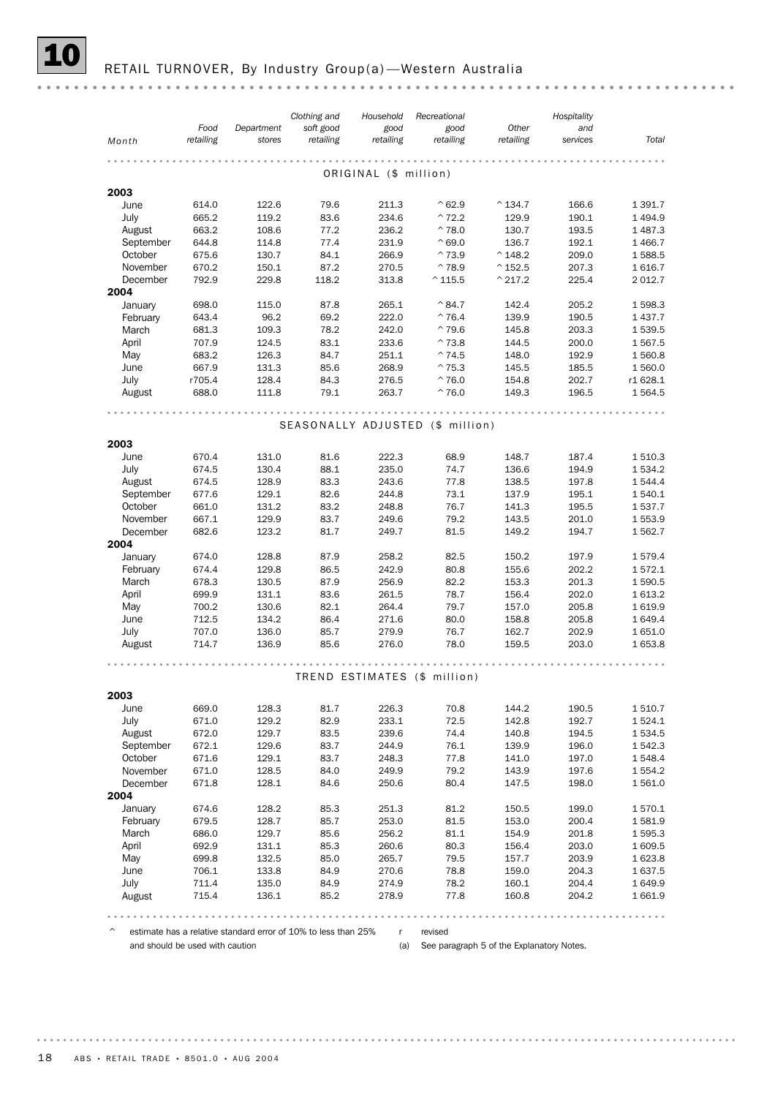#### RETAIL TURNOVER, By Industry Group(a)-Western Australia

*Clothing and Hospitality Recreational Household Food Other Department soft good good good and Month retailing retailing retailing retailing retailing stores services Total* ORIGINAL (\$ million) 2003 June 614.0 122.6 79.6 211.3 ^62.9 ^134.7 166.6 1 391.7 July 665.2 119.2 83.6 234.6 ^72.2 129.9 190.1 1 494.9 August 663.2 108.6 77.2 236.2 ^78.0 130.7 193.5 1 487.3 September 644.8 114.8 77.4 231.9 ^69.0 136.7 192.1 1 466.7 October 675.6 130.7 84.1 266.9 ^73.9 ^148.2 209.0 1 588.5 November 670.2 150.1 87.2 270.5 ^78.9 ^152.5 207.3 1 616.7 December 792.9 229.8 118.2 313.8 ^115.5 ^217.2 225.4 2 012.7 2004 January 698.0 115.0 87.8 265.1 ^84.7 142.4 205.2 1 598.3 February 643.4 96.2 69.2 222.0 ^76.4 139.9 190.5 1 437.7 March 681.3 109.3 78.2 242.0 ^79.6 145.8 203.3 1 539.5 April 707.9 124.5 83.1 233.6 ^73.8 144.5 200.0 1 567.5 May 683.2 126.3 84.7 251.1 ^74.5 148.0 192.9 1 560.8 June 667.9 131.3 85.6 268.9 ^75.3 145.5 185.5 1 560.0 July r705.4 128.4 84.3 276.5 ^76.0 154.8 202.7 r1 628.1 August 688.0 111.8 79.1 263.7 ^76.0 149.3 196.5 1 564.5 SEASONALLY ADJUSTED (\$ million) 2003 <table>\n<tbody>\n<tr>\n<th>June</th>\n<th>670.4</th>\n<th>131.0</th>\n<th>81.6</th>\n<th>222.3</th>\n<th>68.9</th>\n<th>148.7</th>\n<th>187.4</th>\n<th>1510.3</th>\n</tr>\n<tr>\n<td>July</td>\n<td>674.5</td>\n<td>130.4</td>\n<td>88.1</td>\n<td>235.0</td>\n<td>74.7</td>\n<td>136.6</td>\n<td>194.9</td>\n<td>1534.2</td>\n</tr>\n</tbody>\n</table> July 674.5 130.4 88.1 235.0 74.7 136.6 194.9 1 534.2 August 674.5 128.9 83.3 243.6 77.8 138.5 197.8 1 544.4 September 677.6 129.1 82.6 244.8 73.1 137.9 195.1 1 540.1 October 661.0 131.2 83.2 248.8 76.7 141.3 195.5 1 537.7 November 667.1 129.9 83.7 249.6 79.2 143.5 201.0 1 553.9 December 682.6 123.2 81.7 249.7 81.5 149.2 194.7 1 562.7 2004 January 674.0 128.8 87.9 258.2 82.5 150.2 197.9 1 579.4<br>
February 674.4 129.8 86.5 242.9 80.8 155.6 202.2 1 572.1 February 674.4 129.8 86.5 242.9 80.8 155.6 202.2 1 572.1 March 678.3 130.5 87.9 256.9 82.2 153.3 201.3 1 590.5 April 699.9 131.1 83.6 261.5 78.7 156.4 202.0 1 613.2 May 700.2 130.6 82.1 264.4 79.7 157.0 205.8 1 619.9 June 712.5 134.2 86.4 271.6 80.0 158.8 205.8 1 649.4 July 707.0 136.0 85.7 279.9 76.7 162.7 202.9 1 651.0 August 714.7 136.9 85.6 276.0 78.0 159.5 203.0 1 653.8 TREND ESTIMATES (\$ million) 2003 June 669.0 128.3 81.7 226.3 70.8 144.2 190.5 1 510.7 July 671.0 129.2 82.9 233.1 72.5 142.8 192.7 1 524.1 August 672.0 129.7 83.5 239.6 74.4 140.8 194.5 1 534.5 September 672.1 129.6 83.7 244.9 76.1 139.9 196.0 1 542.3 October 671.6 129.1 83.7 248.3 77.8 141.0 197.0 1 548.4 November 671.0 128.5 84.0 249.9 19.2 143.9 197.6 1.554.2<br>December 671.8 128.1 84.6 250.6 80.4 147.5 198.0 1.561.0 December 671.8 128.1 84.6 250.6 80.4 147.5 198.0 1 561.0 2004 January 674.6 128.2 85.3 251.3 81.2 150.5 199.0 1 570.1 February 679.5 128.7 85.7 253.0 81.5 153.0 200.4 1 581.9 March 686.0 129.7 85.6 256.2 81.1 154.9 201.8 1 595.3 April 692.9 131.1 85.3 260.6 80.3 156.4 203.0 1 609.5 May 699.8 132.5 85.0 265.7 79.5 157.7 203.9 1 623.8<br>
June 706.1 133.8 84.9 270.6 78.8 159.0 204.3 1 637.5<br>
July 711.4 135.0 84.9 274.9 78.2 160.1 204.4 1 649.9 June 706.1 133.8 84.9 270.6 78.8 159.0 204.3 1 637.5

 $\degree$  estimate has a relative standard error of 10% to less than 25% r revised

August 715.4 136.1 85.2 278.9 77.8 160.8 204.2 1 661.9 July 711.4 135.0 84.9 274.9 78.2 160.1 204.4 1 649.9

and should be used with caution

(a) See paragraph 5 of the Explanatory Notes.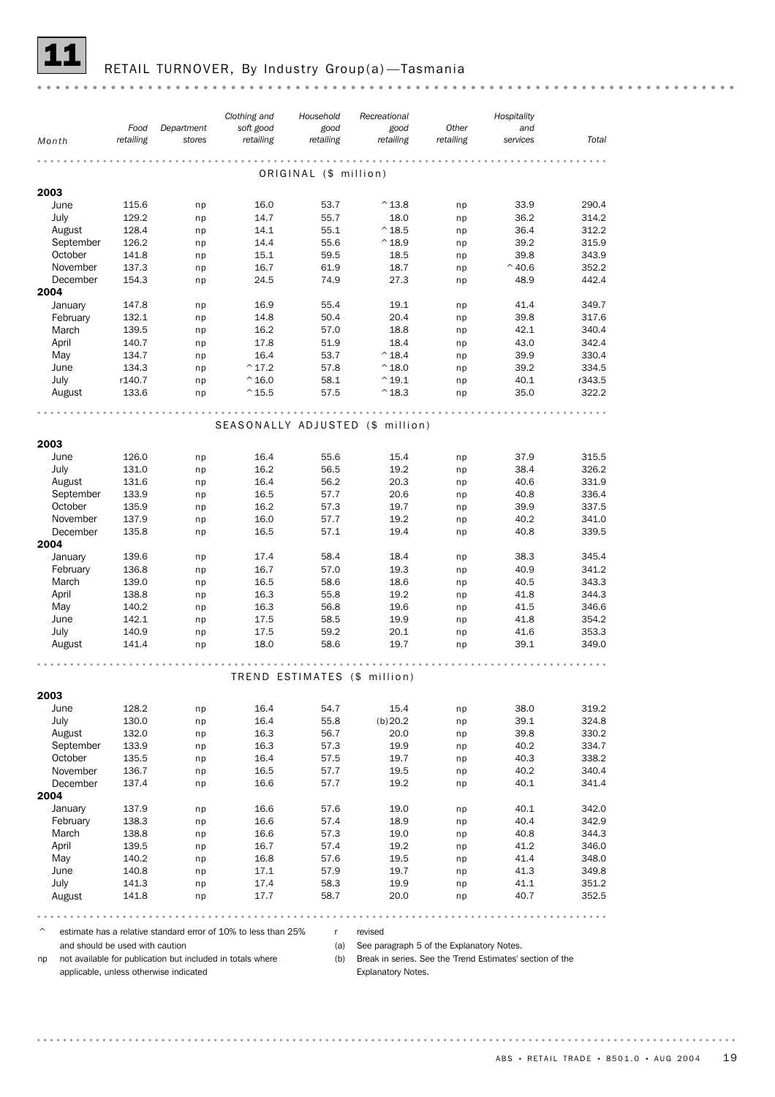![](_page_18_Picture_0.jpeg)

# RETAIL TURNOVER, By Industry Group(a)-Tasmania

| Month     | Food<br>retailing | Department<br>stores | Clothing and<br>soft good<br>retailing | Household<br>good<br>retailing | Recreational<br>good<br>retailing | Other<br>retailing | Hospitality<br>and<br>services | Total  |
|-----------|-------------------|----------------------|----------------------------------------|--------------------------------|-----------------------------------|--------------------|--------------------------------|--------|
|           |                   |                      |                                        |                                |                                   |                    |                                |        |
|           |                   |                      |                                        | ORIGINAL (\$ million)          |                                   |                    |                                |        |
| 2003      |                   |                      |                                        |                                |                                   |                    |                                |        |
| June      | 115.6             | np                   | 16.0                                   | 53.7                           | $^{\wedge}$ 13.8                  | np                 | 33.9                           | 290.4  |
| July      | 129.2             | np                   | 14.7                                   | 55.7                           | 18.0                              | np                 | 36.2                           | 314.2  |
| August    | 128.4             | np                   | 14.1                                   | 55.1                           | $^{\wedge}$ 18.5                  | np                 | 36.4                           | 312.2  |
| September | 126.2             | np                   | 14.4                                   | 55.6                           | $^{\wedge}$ 18.9                  | np                 | 39.2                           | 315.9  |
| October   | 141.8             | np                   | 15.1                                   | 59.5                           | 18.5                              | np                 | 39.8                           | 343.9  |
| November  | 137.3             | np                   | 16.7                                   | 61.9                           | 18.7                              | np                 | $^{\wedge}$ 40.6               | 352.2  |
| December  | 154.3             | np                   | 24.5                                   | 74.9                           | 27.3                              | np                 | 48.9                           | 442.4  |
| 2004      |                   |                      |                                        |                                |                                   |                    |                                |        |
| January   | 147.8             | np                   | 16.9                                   | 55.4                           | 19.1                              | np                 | 41.4                           | 349.7  |
| February  | 132.1             | np                   | 14.8                                   | 50.4                           | 20.4                              | np                 | 39.8                           | 317.6  |
| March     | 139.5             | np                   | 16.2                                   | 57.0                           | 18.8                              | np                 | 42.1                           | 340.4  |
| April     | 140.7             | np                   | 17.8                                   | 51.9                           | 18.4                              | np                 | 43.0                           | 342.4  |
| May       | 134.7             | np                   | 16.4                                   | 53.7                           | $^{\wedge}$ 18.4                  | np                 | 39.9                           | 330.4  |
| June      | 134.3             | np                   | $^{\wedge}$ 17.2                       | 57.8                           | $^{\wedge}$ 18.0                  | np                 | 39.2                           | 334.5  |
| July      | r140.7            | np                   | $^{\wedge}$ 16.0                       | 58.1                           | $^{\wedge}$ 19.1                  | np                 | 40.1                           | r343.5 |
| August    | 133.6             | np                   | $^{\wedge}$ 15.5                       | 57.5                           | $^{\wedge}$ 18.3                  | np                 | 35.0                           | 322.2  |
|           |                   |                      |                                        |                                |                                   |                    |                                |        |
|           |                   |                      | SEASONALLY ADJUSTED (\$ million)       |                                |                                   |                    |                                |        |
| 2003      |                   |                      |                                        |                                |                                   |                    |                                |        |
|           |                   |                      |                                        |                                |                                   |                    |                                |        |
| June      | 126.0             | np                   | 16.4                                   | 55.6                           | 15.4                              | np                 | 37.9                           | 315.5  |
| July      | 131.0             | np                   | 16.2                                   | 56.5                           | 19.2                              | np                 | 38.4                           | 326.2  |
| August    | 131.6             | np                   | 16.4                                   | 56.2                           | 20.3                              | np                 | 40.6                           | 331.9  |
| September | 133.9             | np                   | 16.5                                   | 57.7                           | 20.6                              | np                 | 40.8                           | 336.4  |
| October   | 135.9             | np                   | 16.2                                   | 57.3                           | 19.7                              | np                 | 39.9                           | 337.5  |
| November  | 137.9             | np                   | 16.0                                   | 57.7                           | 19.2                              | np                 | 40.2                           | 341.0  |
| December  | 135.8             | np                   | 16.5                                   | 57.1                           | 19.4                              | np                 | 40.8                           | 339.5  |
| 2004      |                   |                      |                                        |                                |                                   |                    |                                |        |
| January   | 139.6             | np                   | 17.4                                   | 58.4                           | 18.4                              | np                 | 38.3                           | 345.4  |
| February  | 136.8             | np                   | 16.7                                   | 57.0                           | 19.3                              | np                 | 40.9                           | 341.2  |
| March     | 139.0             | np                   | 16.5                                   | 58.6                           | 18.6                              | np                 | 40.5                           | 343.3  |
| April     | 138.8             | np                   | 16.3                                   | 55.8                           | 19.2                              | np                 | 41.8                           | 344.3  |
| May       | 140.2             | np                   | 16.3                                   | 56.8                           | 19.6                              | np                 | 41.5                           | 346.6  |
| June      | 142.1             | np                   | 17.5                                   | 58.5                           | 19.9                              | np                 | 41.8                           | 354.2  |
| July      | 140.9             | np                   | 17.5                                   | 59.2                           | 20.1                              | np                 | 41.6                           | 353.3  |
| August    | 141.4             | np                   | 18.0                                   | 58.6                           | 19.7                              | np                 | 39.1                           | 349.0  |
|           |                   |                      |                                        |                                |                                   |                    |                                |        |
|           |                   |                      |                                        |                                | TREND ESTIMATES (\$ million)      |                    |                                |        |
| 2003      |                   |                      |                                        |                                |                                   |                    |                                |        |
| June      | 128.2             | np                   | 16.4                                   | 54.7                           | 15.4                              | np                 | 38.0                           | 319.2  |
| July      | 130.0             | np                   | 16.4                                   | 55.8                           | (b)20.2                           | np                 | 39.1                           | 324.8  |
| August    | 132.0             | np                   | 16.3                                   | 56.7                           | 20.0                              | np                 | 39.8                           | 330.2  |
| September | 133.9             | np                   | 16.3                                   | 57.3                           | 19.9                              | np                 | 40.2                           | 334.7  |
| October   | 135.5             | np                   | 16.4                                   | 57.5                           | 19.7                              | np                 | 40.3                           | 338.2  |
| November  | 136.7             | np                   | 16.5                                   | 57.7                           | 19.5                              | np                 | 40.2                           | 340.4  |
| December  | 137.4             | np                   | 16.6                                   | 57.7                           | 19.2                              | np                 | 40.1                           | 341.4  |
| 2004      |                   |                      |                                        |                                |                                   |                    |                                |        |
| January   | 137.9             | np                   | 16.6                                   | 57.6                           | 19.0                              | np                 | 40.1                           | 342.0  |
| February  | 138.3             | np                   | 16.6                                   | 57.4                           | 18.9                              | np                 | 40.4                           | 342.9  |
| March     | 138.8             | np                   | 16.6                                   | 57.3                           | 19.0                              | np                 | 40.8                           | 344.3  |
| April     | 139.5             | np                   | 16.7                                   | 57.4                           | 19.2                              | np                 | 41.2                           | 346.0  |
| May       | 140.2             | np                   | 16.8                                   | 57.6                           | 19.5                              | np                 | 41.4                           | 348.0  |
| June      | 140.8             | np                   | 17.1                                   | 57.9                           | 19.7                              | np                 | 41.3                           | 349.8  |
| July      | 141.3             | np                   | 17.4                                   | 58.3                           | 19.9                              | np                 | 41.1                           | 351.2  |
| August    | 141.8             | np                   | 17.7                                   | 58.7                           | 20.0                              | np                 | 40.7                           | 352.5  |
|           |                   |                      |                                        |                                |                                   |                    |                                |        |

 $\degree$  estimate has a relative standard error of 10% to less than 25% r revised and should be used with caution

np not available for publication but included in totals where applicable, unless otherwise indicated

(a) See paragraph 5 of the Explanatory Notes.

(b) Break in series. See the 'Trend Estimates' section of the

Explanatory Notes.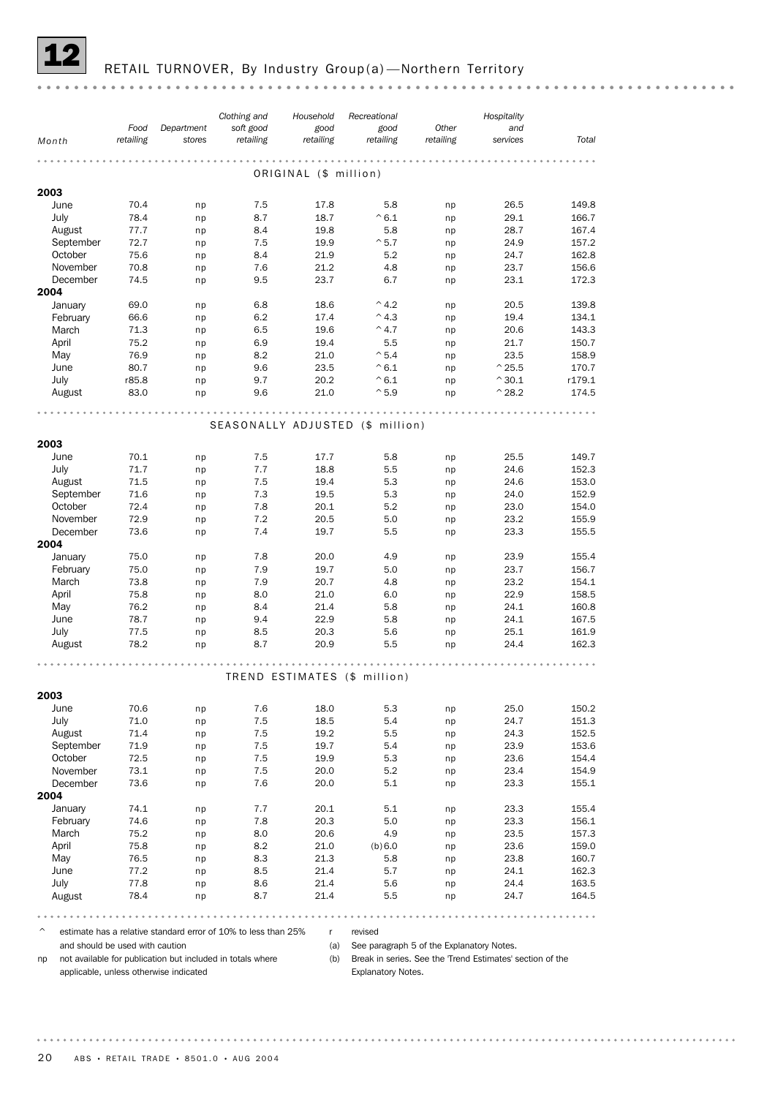![](_page_19_Picture_0.jpeg)

### RETAIL TURNOVER, By Industry Group(a)-Northern Territory

| Food<br>Department<br>retailing<br>stores<br>Month<br>2003<br>June<br>70.4<br>np<br>July<br>78.4<br>np<br>August<br>77.7<br>np | soft good<br>retailing<br>7.5<br>8.7<br>8.4<br>7.5<br>8.4<br>7.6<br>9.5 | good<br>retailing<br>.<br>ORIGINAL (\$ million)<br>17.8<br>18.7<br>19.8<br>19.9<br>21.9 | good<br>retailing<br>.<br>5.8<br>$^{\wedge}6.1$<br>5.8<br>$^{\sim}5.7$ | Other<br>retailing<br>np<br>np<br>np | and<br>services<br>26.5<br>29.1 | Total<br>149.8 |
|--------------------------------------------------------------------------------------------------------------------------------|-------------------------------------------------------------------------|-----------------------------------------------------------------------------------------|------------------------------------------------------------------------|--------------------------------------|---------------------------------|----------------|
|                                                                                                                                |                                                                         |                                                                                         |                                                                        |                                      |                                 |                |
|                                                                                                                                |                                                                         |                                                                                         |                                                                        |                                      |                                 |                |
|                                                                                                                                |                                                                         |                                                                                         |                                                                        |                                      |                                 |                |
|                                                                                                                                |                                                                         |                                                                                         |                                                                        |                                      |                                 |                |
|                                                                                                                                |                                                                         |                                                                                         |                                                                        |                                      |                                 |                |
|                                                                                                                                |                                                                         |                                                                                         |                                                                        |                                      | 28.7                            | 166.7<br>167.4 |
| September<br>72.7<br>np                                                                                                        |                                                                         |                                                                                         |                                                                        | np                                   | 24.9                            | 157.2          |
| October<br>75.6<br>np                                                                                                          |                                                                         |                                                                                         | 5.2                                                                    | np                                   | 24.7                            | 162.8          |
| November<br>70.8<br>np                                                                                                         |                                                                         | 21.2                                                                                    | 4.8                                                                    | np                                   | 23.7                            | 156.6          |
| 74.5<br>December<br>np                                                                                                         |                                                                         | 23.7                                                                                    | 6.7                                                                    | np                                   | 23.1                            | 172.3          |
| 2004                                                                                                                           |                                                                         |                                                                                         |                                                                        |                                      |                                 |                |
| January<br>69.0<br>np                                                                                                          | 6.8                                                                     | 18.6                                                                                    | $^{\wedge}$ 4.2                                                        | np                                   | 20.5                            | 139.8          |
| February<br>66.6<br>np                                                                                                         | 6.2                                                                     | 17.4                                                                                    | $^{\wedge}$ 4.3                                                        | np                                   | 19.4                            | 134.1          |
| March<br>71.3<br>np                                                                                                            | 6.5                                                                     | 19.6                                                                                    | $^{\wedge}$ 4.7                                                        | np                                   | 20.6                            | 143.3          |
| 75.2<br>April<br>np                                                                                                            | 6.9                                                                     | 19.4                                                                                    | 5.5                                                                    | np                                   | 21.7                            | 150.7          |
| May<br>76.9<br>np                                                                                                              | 8.2                                                                     | 21.0                                                                                    | $^{\wedge}$ 5.4                                                        | np                                   | 23.5                            | 158.9          |
| June<br>80.7<br>np                                                                                                             | 9.6                                                                     | 23.5                                                                                    | $^{\wedge} 6.1$                                                        | np                                   | $^{\wedge}$ 25.5                | 170.7          |
| July<br>r85.8<br>np                                                                                                            | 9.7                                                                     | 20.2                                                                                    | $^{\wedge}6.1$                                                         | np                                   | $^{\wedge}30.1$                 | r179.1         |
| 83.0<br>August<br>np                                                                                                           | 9.6                                                                     | 21.0                                                                                    | $^{\wedge}5.9$                                                         | np                                   | $^{\wedge}$ 28.2                | 174.5          |
|                                                                                                                                |                                                                         |                                                                                         |                                                                        |                                      |                                 |                |
|                                                                                                                                | SEASONALLY ADJUSTED (\$ million)                                        |                                                                                         |                                                                        |                                      |                                 |                |
| 2003                                                                                                                           |                                                                         |                                                                                         |                                                                        |                                      |                                 |                |
| 70.1<br>June<br>np                                                                                                             | 7.5                                                                     | 17.7                                                                                    | 5.8                                                                    | np                                   | 25.5                            | 149.7          |
| July<br>71.7<br>np                                                                                                             | 7.7                                                                     | 18.8                                                                                    | 5.5                                                                    | np                                   | 24.6                            | 152.3          |
| August<br>71.5<br>np                                                                                                           | 7.5                                                                     | 19.4                                                                                    | 5.3                                                                    | np                                   | 24.6                            | 153.0          |
| September<br>71.6<br>np                                                                                                        | 7.3                                                                     | 19.5                                                                                    | 5.3                                                                    | np                                   | 24.0                            | 152.9          |
| October<br>72.4<br>np                                                                                                          | 7.8                                                                     | 20.1                                                                                    | 5.2                                                                    | np                                   | 23.0                            | 154.0          |
| November<br>72.9<br>np                                                                                                         | 7.2                                                                     | 20.5                                                                                    | 5.0                                                                    | np                                   | 23.2                            | 155.9          |
| December<br>73.6<br>np                                                                                                         | 7.4                                                                     | 19.7                                                                                    | 5.5                                                                    | np                                   | 23.3                            | 155.5          |
| 2004                                                                                                                           |                                                                         |                                                                                         |                                                                        |                                      |                                 |                |
| January<br>75.0<br>np                                                                                                          | 7.8                                                                     | 20.0                                                                                    | 4.9                                                                    | np                                   | 23.9                            | 155.4          |
| February<br>75.0<br>np                                                                                                         | 7.9                                                                     | 19.7                                                                                    | 5.0                                                                    | np                                   | 23.7                            | 156.7          |
| March<br>73.8<br>np                                                                                                            | 7.9                                                                     | 20.7                                                                                    | 4.8                                                                    | np                                   | 23.2                            | 154.1          |
| April<br>75.8<br>np                                                                                                            | 8.0                                                                     | 21.0                                                                                    | 6.0                                                                    | np                                   | 22.9                            | 158.5          |
| May<br>76.2<br>np<br>June                                                                                                      | 8.4<br>9.4                                                              | 21.4<br>22.9                                                                            | 5.8<br>5.8                                                             | np                                   | 24.1<br>24.1                    | 160.8<br>167.5 |
| 78.7<br>np<br>July<br>77.5                                                                                                     | 8.5                                                                     | 20.3                                                                                    | 5.6                                                                    | np                                   | 25.1                            | 161.9          |
| np<br>78.2<br>August<br>np                                                                                                     | 8.7                                                                     | 20.9                                                                                    | 5.5                                                                    | np<br>np                             | 24.4                            | 162.3          |
|                                                                                                                                |                                                                         |                                                                                         |                                                                        |                                      |                                 |                |
|                                                                                                                                |                                                                         |                                                                                         |                                                                        |                                      |                                 |                |
|                                                                                                                                |                                                                         |                                                                                         | TREND ESTIMATES (\$ million)                                           |                                      |                                 |                |
| 2003                                                                                                                           |                                                                         |                                                                                         |                                                                        |                                      |                                 |                |
| June<br>70.6<br>np                                                                                                             | 7.6                                                                     | 18.0                                                                                    | 5.3                                                                    | np                                   | 25.0                            | 150.2          |
| July<br>71.0<br>np                                                                                                             | 7.5                                                                     | 18.5                                                                                    | 5.4                                                                    | np                                   | 24.7                            | 151.3          |
| 71.4<br>August<br>np                                                                                                           | 7.5                                                                     | 19.2                                                                                    | 5.5                                                                    | np                                   | 24.3                            | 152.5          |
| September<br>71.9<br>np                                                                                                        | 7.5                                                                     | 19.7                                                                                    | 5.4                                                                    | np                                   | 23.9                            | 153.6          |
| October<br>72.5<br>np                                                                                                          | 7.5                                                                     | 19.9                                                                                    | 5.3                                                                    | np                                   | 23.6                            | 154.4          |
| November<br>73.1<br>np                                                                                                         | 7.5                                                                     | 20.0                                                                                    | 5.2                                                                    | np                                   | 23.4                            | 154.9          |
| December<br>73.6<br>np                                                                                                         | 7.6                                                                     | 20.0                                                                                    | 5.1                                                                    | np                                   | 23.3                            | 155.1          |
| 2004                                                                                                                           |                                                                         |                                                                                         |                                                                        |                                      |                                 |                |
| 74.1<br>January<br>np                                                                                                          | 7.7                                                                     | 20.1                                                                                    | 5.1                                                                    | np                                   | 23.3                            | 155.4          |
| February<br>74.6<br>np                                                                                                         | 7.8                                                                     | 20.3                                                                                    | 5.0                                                                    | np                                   | 23.3                            | 156.1          |
| March<br>75.2<br>np<br>April<br>75.8                                                                                           | 8.0<br>8.2                                                              | 20.6<br>21.0                                                                            | 4.9<br>(b) 6.0                                                         | np                                   | 23.5<br>23.6                    | 157.3<br>159.0 |
| np<br>May<br>76.5<br>np                                                                                                        | 8.3                                                                     | 21.3                                                                                    | 5.8                                                                    | np<br>np                             | 23.8                            | 160.7          |
| June<br>77.2<br>np                                                                                                             | 8.5                                                                     | 21.4                                                                                    | 5.7                                                                    | np                                   | 24.1                            | 162.3          |
| July<br>77.8<br>np                                                                                                             | 8.6                                                                     | 21.4                                                                                    | 5.6                                                                    | np                                   | 24.4                            | 163.5          |
| 78.4<br>August<br>np                                                                                                           | 8.7                                                                     | 21.4                                                                                    | 5.5                                                                    | np                                   | 24.7                            | 164.5          |
|                                                                                                                                |                                                                         |                                                                                         |                                                                        |                                      |                                 |                |

 $\degree$  estimate has a relative standard error of 10% to less than 25% r revised

and should be used with caution

(a) See paragraph 5 of the Explanatory Notes.

np not available for publication but included in totals where applicable, unless otherwise indicated

(b) Break in series. See the 'Trend Estimates' section of the Explanatory Notes.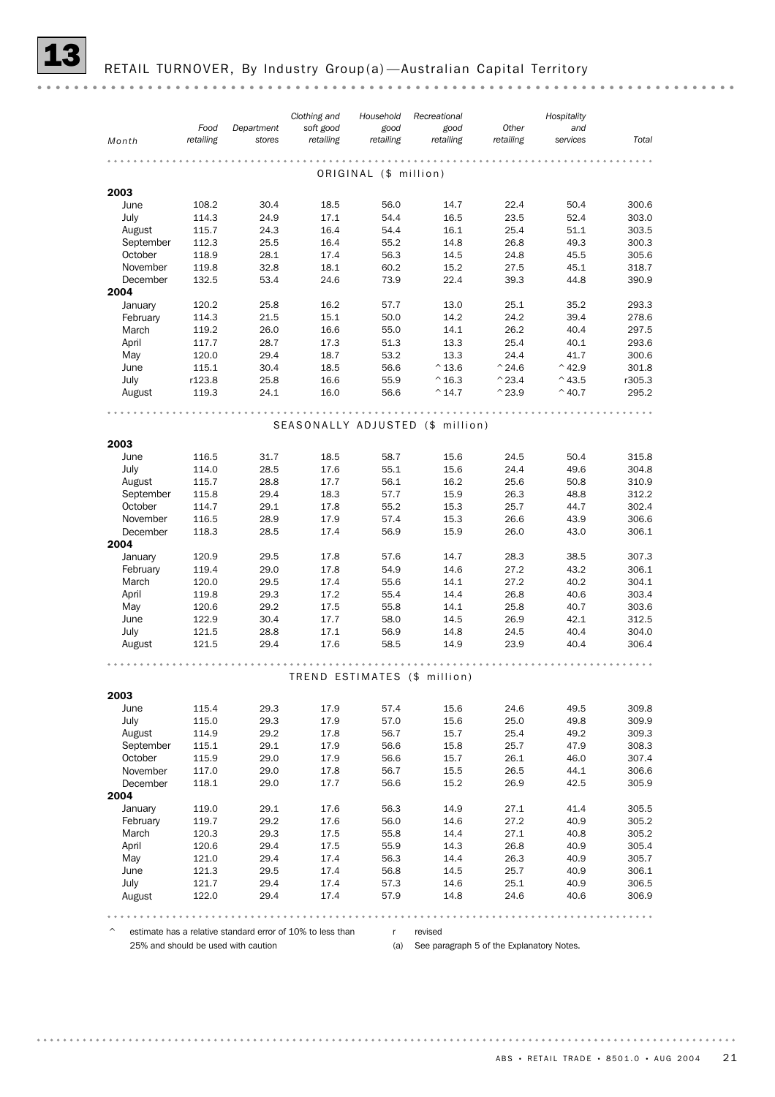RETAIL TURNOVER, By Industry Group(a) - Australian Capital Territory

|                   |                |              | Clothing and | Household             | Recreational                     |                  | Hospitality      |                |
|-------------------|----------------|--------------|--------------|-----------------------|----------------------------------|------------------|------------------|----------------|
|                   | Food           | Department   | soft good    | good                  | good                             | Other            | and              |                |
| Month             | retailing      | stores       | retailing    | retailing             | retailing                        | retailing        | services         | Total          |
|                   |                |              |              |                       |                                  |                  |                  |                |
|                   |                |              |              | ORIGINAL (\$ million) |                                  |                  |                  |                |
| 2003              |                |              |              |                       |                                  |                  |                  |                |
| June              | 108.2          | 30.4         | 18.5         | 56.0                  | 14.7                             | 22.4             | 50.4             | 300.6          |
| July              | 114.3          | 24.9         | 17.1         | 54.4                  | 16.5                             | 23.5             | 52.4             | 303.0          |
| August            | 115.7          | 24.3         | 16.4         | 54.4                  | 16.1                             | 25.4             | 51.1             | 303.5          |
| September         | 112.3          | 25.5         | 16.4         | 55.2                  | 14.8                             | 26.8             | 49.3             | 300.3          |
| October           | 118.9          | 28.1         | 17.4         | 56.3                  | 14.5                             | 24.8             | 45.5             | 305.6          |
| November          | 119.8          | 32.8         | 18.1         | 60.2                  | 15.2                             | 27.5             | 45.1             | 318.7          |
| December          | 132.5          | 53.4         | 24.6         | 73.9                  | 22.4                             | 39.3             | 44.8             | 390.9          |
| 2004              |                |              |              |                       |                                  |                  |                  |                |
| January           | 120.2          | 25.8         | 16.2         | 57.7                  | 13.0                             | 25.1             | 35.2             | 293.3          |
| February          | 114.3          | 21.5         | 15.1         | 50.0                  | 14.2                             | 24.2             | 39.4             | 278.6          |
| March             | 119.2          | 26.0         | 16.6         | 55.0                  | 14.1                             | 26.2             | 40.4             | 297.5          |
| April             | 117.7          | 28.7         | 17.3         | 51.3                  | 13.3                             | 25.4             | 40.1             | 293.6          |
| May               | 120.0          | 29.4         | 18.7         | 53.2                  | 13.3                             | 24.4             | 41.7             | 300.6          |
| June              | 115.1          | 30.4         | 18.5         | 56.6                  | $^{\wedge}$ 13.6                 | $^{\wedge}$ 24.6 | $^{\wedge}$ 42.9 | 301.8          |
| July              | r123.8         | 25.8         | 16.6         | 55.9                  | $^{\wedge}$ 16.3                 | $^{\wedge}$ 23.4 | $^{\wedge}$ 43.5 | r305.3         |
| August            | 119.3          | 24.1         | 16.0         | 56.6                  | $^{\wedge}$ 14.7                 | $^{\wedge}$ 23.9 | $^{\wedge}$ 40.7 | 295.2          |
|                   |                |              |              |                       |                                  |                  |                  |                |
|                   |                |              |              |                       | SEASONALLY ADJUSTED (\$ million) |                  |                  |                |
| 2003              |                |              |              |                       |                                  |                  |                  |                |
| June              | 116.5          | 31.7         | 18.5         | 58.7                  | 15.6                             | 24.5             | 50.4             | 315.8          |
| July              | 114.0          | 28.5         | 17.6         | 55.1                  | 15.6                             | 24.4             | 49.6             | 304.8          |
| August            | 115.7          | 28.8         | 17.7         | 56.1                  | 16.2                             | 25.6             | 50.8             | 310.9          |
| September         | 115.8          | 29.4         | 18.3         | 57.7                  | 15.9                             | 26.3             | 48.8             | 312.2          |
| October           | 114.7          | 29.1         | 17.8         | 55.2                  | 15.3                             | 25.7             | 44.7             | 302.4          |
| November          | 116.5          | 28.9         | 17.9         | 57.4                  | 15.3                             | 26.6             | 43.9             | 306.6          |
| December          | 118.3          | 28.5         | 17.4         | 56.9                  | 15.9                             | 26.0             | 43.0             | 306.1          |
| 2004              |                |              |              |                       |                                  |                  |                  |                |
| January           | 120.9          | 29.5         | 17.8         | 57.6                  | 14.7                             | 28.3             | 38.5             | 307.3          |
| February          | 119.4          | 29.0         | 17.8         | 54.9                  | 14.6                             | 27.2             | 43.2             | 306.1          |
| March             | 120.0          | 29.5         | 17.4         | 55.6                  | 14.1                             | 27.2             | 40.2             | 304.1          |
| April             | 119.8          | 29.3         | 17.2         | 55.4                  | 14.4                             | 26.8             | 40.6             | 303.4          |
| May               | 120.6          | 29.2         | 17.5         | 55.8                  | 14.1                             | 25.8             | 40.7             | 303.6          |
| June              | 122.9          | 30.4         | 17.7         | 58.0                  | 14.5                             | 26.9             | 42.1             | 312.5          |
| July              | 121.5          | 28.8         | 17.1         | 56.9                  | 14.8                             | 24.5             | 40.4             | 304.0          |
| August            | 121.5          | 29.4         | 17.6         | 58.5                  | 14.9                             | 23.9             | 40.4             | 306.4          |
|                   |                |              |              |                       |                                  |                  |                  |                |
|                   |                |              |              |                       | TREND ESTIMATES (\$ million)     |                  |                  |                |
|                   |                |              |              |                       |                                  |                  |                  |                |
| 2003              |                |              |              |                       |                                  |                  |                  |                |
| June              | 115.4          | 29.3         | 17.9         | 57.4                  | 15.6                             | 24.6             | 49.5             | 309.8          |
| July              | 115.0          | 29.3         | 17.9         | 57.0                  | 15.6                             | 25.0             | 49.8             | 309.9          |
| August            | 114.9          | 29.2         | 17.8         | 56.7                  | 15.7                             | 25.4             | 49.2             | 309.3          |
| September         | 115.1          | 29.1         | 17.9         | 56.6                  | 15.8                             | 25.7             | 47.9             | 308.3          |
| October           | 115.9          | 29.0         | 17.9         | 56.6                  | 15.7                             | 26.1             | 46.0             | 307.4          |
| November          | 117.0          | 29.0         | 17.8         | 56.7                  | 15.5                             | 26.5             | 44.1             | 306.6          |
| December          | 118.1          | 29.0         | 17.7         | 56.6                  | 15.2                             | 26.9             | 42.5             | 305.9          |
| 2004<br>January   | 119.0          | 29.1         | 17.6         |                       | 14.9                             | 27.1             | 41.4             | 305.5          |
|                   |                |              |              | 56.3                  |                                  | 27.2             |                  |                |
| February<br>March | 119.7<br>120.3 | 29.2<br>29.3 | 17.6<br>17.5 | 56.0<br>55.8          | 14.6<br>14.4                     | 27.1             | 40.9<br>40.8     | 305.2<br>305.2 |
| April             | 120.6          | 29.4         | 17.5         | 55.9                  | 14.3                             | 26.8             | 40.9             | 305.4          |
| May               | 121.0          | 29.4         | 17.4         | 56.3                  | 14.4                             | 26.3             | 40.9             | 305.7          |
| June              | 121.3          | 29.5         | 17.4         | 56.8                  | 14.5                             | 25.7             | 40.9             | 306.1          |
| July              | 121.7          | 29.4         | 17.4         | 57.3                  | 14.6                             | 25.1             | 40.9             | 306.5          |
| August            | 122.0          | 29.4         | 17.4         | 57.9                  | 14.8                             | 24.6             | 40.6             | 306.9          |
|                   |                |              |              |                       |                                  |                  |                  |                |
|                   |                |              |              |                       |                                  |                  |                  |                |

 $\degree$  estimate has a relative standard error of 10% to less than 25% and should be used with caution

r revised (a) See paragraph 5 of the Explanatory Notes.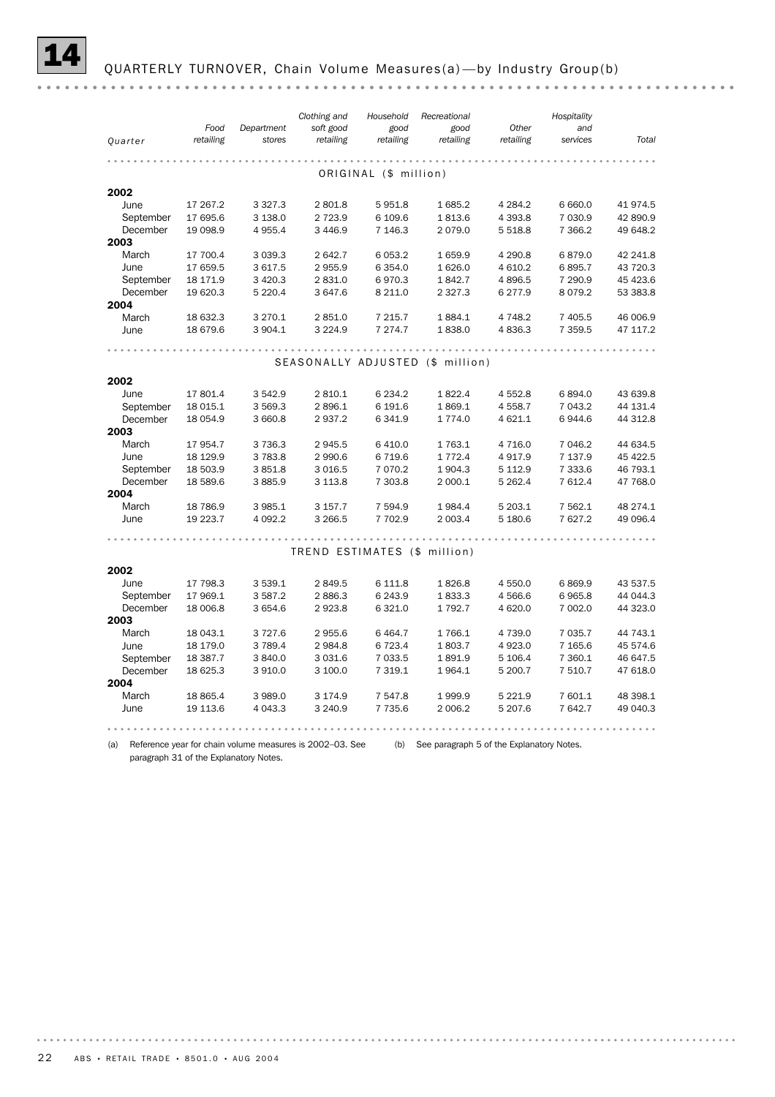|           |                   |                      | Clothing and                 | Household             | Recreational                     |                    | Hospitality     |          |
|-----------|-------------------|----------------------|------------------------------|-----------------------|----------------------------------|--------------------|-----------------|----------|
| Quarter   | Food<br>retailing | Department<br>stores | soft good<br>retailing       | good<br>retailing     | good<br>retailing                | Other<br>retailing | and<br>services | Total    |
|           |                   |                      |                              |                       |                                  |                    |                 |          |
|           |                   |                      |                              | ORIGINAL (\$ million) |                                  |                    |                 |          |
|           |                   |                      |                              |                       |                                  |                    |                 |          |
| 2002      |                   |                      |                              |                       |                                  |                    |                 |          |
| June      | 17 267.2          | 3 3 2 7 . 3          | 2 801.8                      | 5951.8                | 1685.2                           | 4 2 8 4 .2         | 6 6 6 0.0       | 41 974.5 |
| September | 17 695.6          | 3 138.0              | 2 7 2 3 . 9                  | 6 109.6               | 1813.6                           | 4 3 9 3.8          | 7 030.9         | 42 890.9 |
| December  | 19 098.9          | 4 955.4              | 3 4 4 6.9                    | 7 146.3               | 2079.0                           | 5 5 18.8           | 7 3 6 6.2       | 49 648.2 |
| 2003      |                   |                      |                              |                       |                                  |                    |                 |          |
| March     | 17 700.4          | 3 0 3 9.3            | 2 642.7                      | 6 0 5 3.2             | 1659.9                           | 4 2 9 0.8          | 6879.0          | 42 241.8 |
| June      | 17 659.5          | 3 617.5              | 2 955.9                      | 6 3 5 4.0             | 1 6 2 6 .0                       | 4 6 10.2           | 6895.7          | 43 720.3 |
| September | 18 171.9          | 3 4 2 0.3            | 2 831.0                      | 6970.3                | 1842.7                           | 4896.5             | 7 290.9         | 45 423.6 |
| December  | 19 620.3          | 5 2 2 0.4            | 3 647.6                      | 8 2 1 1.0             | 2 3 2 7 . 3                      | 6 277.9            | 8079.2          | 53 383.8 |
| 2004      |                   |                      |                              |                       |                                  |                    |                 |          |
| March     | 18 632.3          | 3 2 7 0.1            | 2 851.0                      | 7 2 1 5.7             | 1884.1                           | 4 7 4 8.2          | 7 405.5         | 46 006.9 |
| June      | 18 679.6          | 3 904.1              | 3 2 2 4.9                    | 7 274.7               | 1838.0                           | 4836.3             | 7 3 5 9.5       | 47 117.2 |
|           |                   |                      |                              |                       |                                  |                    |                 |          |
|           |                   |                      |                              |                       | SEASONALLY ADJUSTED (\$ million) |                    |                 |          |
| 2002      |                   |                      |                              |                       |                                  |                    |                 |          |
| June      | 17 801.4          | 3542.9               | 2 810.1                      | 6 2 3 4.2             | 1822.4                           | 4 5 5 2.8          | 6894.0          | 43 639.8 |
| September | 18 015.1          | 3 569.3              | 2896.1                       | 6 191.6               | 1869.1                           | 4 5 5 8.7          | 7 043.2         | 44 131.4 |
| December  | 18 054.9          | 3 660.8              | 2937.2                       | 6 341.9               | 1 7 7 4 .0                       | 4 621.1            | 6944.6          | 44 312.8 |
| 2003      |                   |                      |                              |                       |                                  |                    |                 |          |
| March     | 17 954.7          | 3736.3               | 2 945.5                      | 6 4 1 0.0             | 1763.1                           | 4 7 1 6.0          | 7 046.2         | 44 634.5 |
| June      | 18 129.9          | 3783.8               | 2 990.6                      | 6719.6                | 1 7 7 2.4                        | 4917.9             | 7 137.9         | 45 422.5 |
| September | 18 503.9          | 3851.8               | 3 0 16.5                     | 7 0 7 0.2             | 1904.3                           | 5 1 1 2.9          | 7 3 3 3.6       | 46 793.1 |
| December  | 18 589.6          | 3885.9               | 3 1 1 3.8                    | 7 303.8               | 2 000.1                          | 5 2 6 2.4          | 7 612.4         | 47 768.0 |
| 2004      |                   |                      |                              |                       |                                  |                    |                 |          |
| March     | 18 786.9          | 3 985.1              | 3 157.7                      | 7 594.9               | 1984.4                           | 5 203.1            | 7 5 6 2.1       | 48 274.1 |
| June      | 19 223.7          | 4 092.2              | 3 266.5                      | 7 702.9               | 2 003.4                          | 5 180.6            | 7627.2          | 49 096.4 |
|           |                   |                      |                              |                       |                                  |                    |                 |          |
|           |                   |                      |                              |                       |                                  |                    |                 |          |
|           |                   |                      | TREND ESTIMATES (\$ million) |                       |                                  |                    |                 |          |
| 2002      |                   |                      |                              |                       |                                  |                    |                 |          |
| June      | 17 798.3          | 3 539.1              | 2 849.5                      | 6 111.8               | 1826.8                           | 4 550.0            | 6869.9          | 43 537.5 |
| September | 17 969.1          | 3 587.2              | 2886.3                       | 6 2 4 3.9             | 1833.3                           | 4 5 6 6.6          | 6965.8          | 44 044.3 |
| December  | 18 006.8          | 3 654.6              | 2923.8                       | 6 3 2 1.0             | 1 7 9 2.7                        | 4 6 20.0           | 7 002.0         | 44 323.0 |
| 2003      |                   |                      |                              |                       |                                  |                    |                 |          |
| March     | 18 043.1          | 3727.6               | 2 955.6                      | 6 4 64.7              | 1766.1                           | 4 7 3 9.0          | 7 0 3 5.7       | 44 743.1 |
| June      | 18 179.0          | 3789.4               | 2 9 8 4.8                    | 6 7 2 3.4             | 1803.7                           | 4923.0             | 7 1 65.6        | 45 574.6 |
| September | 18 387.7          | 3840.0               | 3 0 3 1.6                    | 7 033.5               | 1891.9                           | 5 106.4            | 7 360.1         | 46 647.5 |
| December  | 18 625.3          | 3 910.0              | 3 100.0                      | 7 3 1 9.1             | 1964.1                           | 5 200.7            | 7 510.7         | 47 618.0 |
| 2004      |                   |                      |                              |                       |                                  |                    |                 |          |
| March     | 18 865.4          | 3989.0               | 3 174.9                      | 7 547.8               | 1999.9                           | 5 2 2 1.9          | 7 601.1         | 48 398.1 |
| June      | 19 113.6          | 4 0 4 3 . 3          | 3 240.9                      | 7 7 3 5.6             | 2 006.2                          | 5 207.6            | 7 642.7         | 49 040.3 |
|           |                   |                      |                              |                       |                                  |                    |                 |          |

(a) Reference year for chain volume measures is 2002–03. See (b) See paragraph 5 of the Explanatory Notes. paragraph 31 of the Explanatory Notes.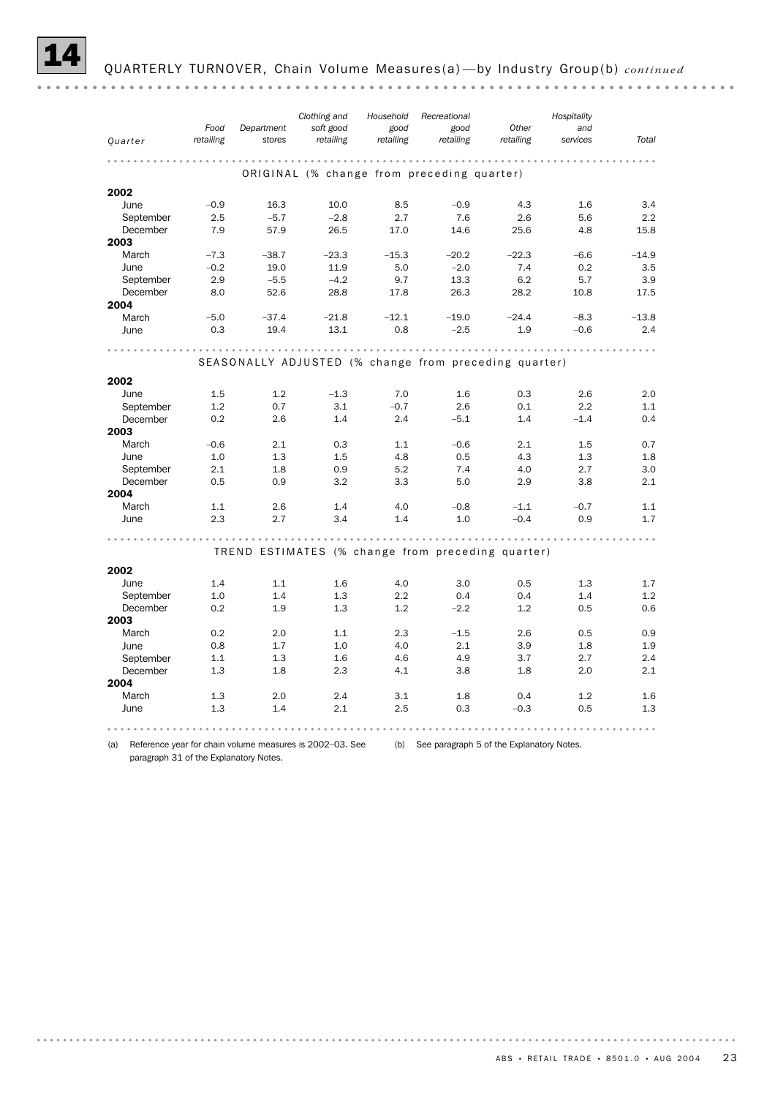|           |           |            | Clothing and | Household                                  | Recreational |                                                       | Hospitality |         |
|-----------|-----------|------------|--------------|--------------------------------------------|--------------|-------------------------------------------------------|-------------|---------|
|           | Food      | Department | soft good    | good                                       | good         | Other                                                 | and         |         |
| Quarter   | retailing | stores     | retailing    | retailing                                  | retailing    | retailing                                             | services    | Total   |
|           |           |            |              | .                                          |              |                                                       |             |         |
|           |           |            |              | ORIGINAL (% change from preceding quarter) |              |                                                       |             |         |
| 2002      |           |            |              |                                            |              |                                                       |             |         |
| June      | $-0.9$    | 16.3       | 10.0         | 8.5                                        | $-0.9$       | 4.3                                                   | 1.6         | 3.4     |
| September | 2.5       | $-5.7$     | $-2.8$       | 2.7                                        | 7.6          | 2.6                                                   | 5.6         | 2.2     |
| December  | 7.9       | 57.9       | 26.5         | 17.0                                       | 14.6         | 25.6                                                  | 4.8         | 15.8    |
| 2003      |           |            |              |                                            |              |                                                       |             |         |
| March     | $-7.3$    | $-38.7$    | $-23.3$      | $-15.3$                                    | $-20.2$      | $-22.3$                                               | $-6.6$      | $-14.9$ |
| June      | $-0.2$    | 19.0       | 11.9         | 5.0                                        | $-2.0$       | 7.4                                                   | 0.2         | 3.5     |
| September | 2.9       | $-5.5$     | $-4.2$       | 9.7                                        | 13.3         | 6.2                                                   | 5.7         | 3.9     |
| December  | 8.0       | 52.6       | 28.8         | 17.8                                       | 26.3         | 28.2                                                  | 10.8        | 17.5    |
| 2004      |           |            |              |                                            |              |                                                       |             |         |
| March     | $-5.0$    | $-37.4$    | $-21.8$      | $-12.1$                                    | $-19.0$      | $-24.4$                                               | $-8.3$      | $-13.8$ |
| June      | 0.3       | 19.4       | 13.1         | 0.8                                        | $-2.5$       | 1.9                                                   | $-0.6$      | 2.4     |
|           |           |            |              | .                                          |              |                                                       |             |         |
|           |           |            |              |                                            |              | SEASONALLY ADJUSTED (% change from preceding quarter) |             |         |
| 2002      |           |            |              |                                            |              |                                                       |             |         |
| June      | 1.5       | 1.2        | $-1.3$       | 7.0                                        | 1.6          | 0.3                                                   | 2.6         | 2.0     |
| September | 1.2       | 0.7        | 3.1          | $-0.7$                                     | 2.6          | 0.1                                                   | 2.2         | 1.1     |
| December  | 0.2       | 2.6        | 1.4          | 2.4                                        | $-5.1$       | 1.4                                                   | $-1.4$      | 0.4     |
| 2003      |           |            |              |                                            |              |                                                       |             |         |
| March     | $-0.6$    | 2.1        | 0.3          | 1.1                                        | $-0.6$       | 2.1                                                   | 1.5         | 0.7     |
| June      | 1.0       | 1.3        | 1.5          | 4.8                                        | 0.5          | 4.3                                                   | 1.3         | 1.8     |
| September | 2.1       | 1.8        | 0.9          | 5.2                                        | 7.4          | 4.0                                                   | 2.7         | 3.0     |
| December  | 0.5       | 0.9        | 3.2          | 3.3                                        | 5.0          | 2.9                                                   | 3.8         | 2.1     |
| 2004      |           |            |              |                                            |              |                                                       |             |         |
| March     | 1.1       | 2.6        | 1.4          | 4.0                                        | $-0.8$       | $-1.1$                                                | $-0.7$      | 1.1     |
| June      | 2.3       | 2.7        | 3.4          | 1.4                                        | 1.0          | $-0.4$                                                | 0.9         | 1.7     |
|           |           |            |              |                                            |              |                                                       |             |         |
|           |           |            |              |                                            |              | TREND ESTIMATES (% change from preceding quarter)     |             |         |
| 2002      |           |            |              |                                            |              |                                                       |             |         |
| June      | 1.4       | 1.1        | 1.6          | 4.0                                        | 3.0          | 0.5                                                   | 1.3         | 1.7     |
| September | 1.0       | 1.4        | 1.3          | 2.2                                        | 0.4          | 0.4                                                   | 1.4         | 1.2     |
| December  | 0.2       | 1.9        | 1.3          | 1.2                                        | $-2.2$       | 1.2                                                   | 0.5         | 0.6     |
| 2003      |           |            |              |                                            |              |                                                       |             |         |
| March     | 0.2       | 2.0        | 1.1          | 2.3                                        | $-1.5$       | 2.6                                                   | 0.5         | 0.9     |
| June      | 0.8       | 1.7        | 1.0          | 4.0                                        | 2.1          | 3.9                                                   | 1.8         | 1.9     |
| September | 1.1       | 1.3        | 1.6          | 4.6                                        | 4.9          | 3.7                                                   | 2.7         | 2.4     |
| December  | 1.3       | 1.8        | 2.3          | 4.1                                        | 3.8          | 1.8                                                   | 2.0         | 2.1     |
| 2004      |           |            |              |                                            |              |                                                       |             |         |
| March     | 1.3       | 2.0        | 2.4          | 3.1                                        | 1.8          | 0.4                                                   | 1.2         | 1.6     |
| June      | 1.3       | 1.4        | 2.1          | 2.5                                        | 0.3          | $-0.3$                                                | 0.5         | 1.3     |
|           |           |            |              |                                            |              |                                                       |             |         |

(a) Reference year for chain volume measures is 2002–03. See (b) See paragraph 5 of the Explanatory Notes. paragraph 31 of the Explanatory Notes.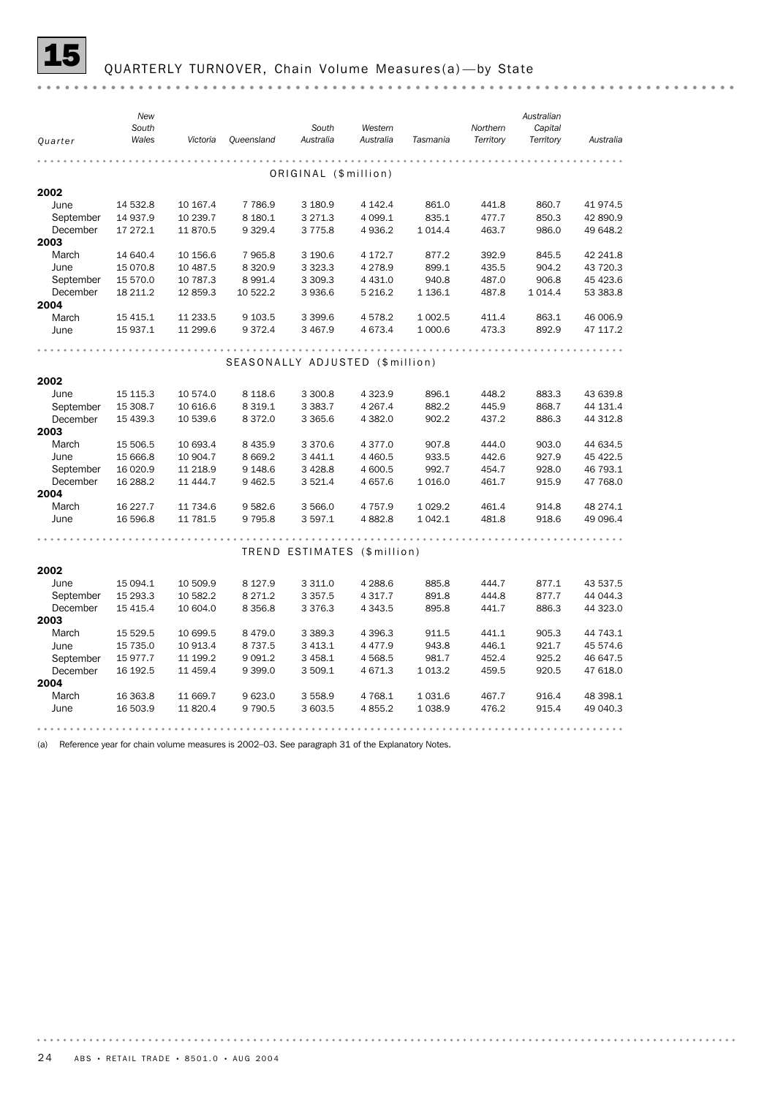![](_page_23_Picture_0.jpeg)

# 15 QUARTERLY TURNOVER, Chain Volume Measures(a) —by State

| Quarter       | <b>New</b><br>South<br>Wales | Victoria | <b>Queensland</b>               | South<br>Australia          | Western<br>Australia | Tasmania    | Northern<br>Territory | Australian<br>Capital<br>Territory | Australia |
|---------------|------------------------------|----------|---------------------------------|-----------------------------|----------------------|-------------|-----------------------|------------------------------------|-----------|
|               |                              |          |                                 | ORIGINAL (\$million)        |                      |             |                       |                                    |           |
| 2002          |                              |          |                                 |                             |                      |             |                       |                                    |           |
| June          | 14 532.8                     | 10 167.4 | 7 7 8 6.9                       | 3 180.9                     | 4 142.4              | 861.0       | 441.8                 | 860.7                              | 41 974.5  |
| September     | 14 937.9                     | 10 239.7 | 8 180.1                         | 3 2 7 1 . 3                 | 4 0 9 9.1            | 835.1       | 477.7                 | 850.3                              | 42 890.9  |
| December      | 17 272.1                     | 11 870.5 | 9 3 2 9.4                       | 3775.8                      | 4936.2               | 1 0 1 4 .4  | 463.7                 | 986.0                              | 49 648.2  |
| 2003          |                              |          |                                 |                             |                      |             |                       |                                    |           |
| March         | 14 640.4                     | 10 156.6 | 7965.8                          | 3 190.6                     | 4 172.7              | 877.2       | 392.9                 | 845.5                              | 42 241.8  |
| June          | 15 070.8                     | 10 487.5 | 8 3 2 0.9                       | 3 3 2 3 . 3                 | 4 2 7 8.9            | 899.1       | 435.5                 | 904.2                              | 43 720.3  |
| September     | 15 570.0                     | 10 787.3 | 8 9 9 1.4                       | 3 3 0 9.3                   | 4 4 3 1.0            | 940.8       | 487.0                 | 906.8                              | 45 423.6  |
| December      | 18 211.2                     | 12 859.3 | 10 522.2                        | 3 9 3 6.6                   | 5 2 1 6.2            | 1 1 36.1    | 487.8                 | 1 0 1 4.4                          | 53 383.8  |
| 2004          |                              |          |                                 |                             |                      |             |                       |                                    |           |
| March         | 15 4 15.1                    | 11 233.5 | 9 103.5                         | 3 3 9 9.6                   | 4578.2               | 1 0 0 2.5   | 411.4                 | 863.1                              | 46 006.9  |
| June          | 15 937.1                     | 11 299.6 | 9 3 7 2.4                       | 3 4 6 7.9                   | 4 673.4              | 1 000.6     | 473.3                 | 892.9                              | 47 117.2  |
|               |                              |          |                                 |                             |                      |             |                       |                                    |           |
|               |                              |          | SEASONALLY ADJUSTED (\$million) |                             |                      |             |                       |                                    |           |
|               |                              |          |                                 |                             |                      |             |                       |                                    |           |
| 2002          |                              |          |                                 |                             |                      |             |                       |                                    |           |
| June          | 15 115.3                     | 10 574.0 | 8 1 1 8 . 6                     | 3 300.8                     | 4 3 2 3 . 9          | 896.1       | 448.2                 | 883.3                              | 43 639.8  |
| September     | 15 308.7                     | 10 616.6 | 8 3 1 9 . 1                     | 3 3 8 3.7                   | 4 2 6 7 . 4          | 882.2       | 445.9                 | 868.7                              | 44 131.4  |
| December      | 15 439.3                     | 10 539.6 | 8 3 7 2.0                       | 3 3 6 5 . 6                 | 4 3 8 2.0            | 902.2       | 437.2                 | 886.3                              | 44 312.8  |
| 2003<br>March | 15 506.5                     | 10 693.4 | 8 4 3 5.9                       | 3 3 7 0.6                   | 4 3 7 7 .0           | 907.8       | 444.0                 | 903.0                              | 44 634.5  |
| June          | 15 666.8                     | 10 904.7 | 8 6 6 9.2                       | 3 4 4 1.1                   | 4 4 6 0.5            | 933.5       | 442.6                 | 927.9                              | 45 422.5  |
| September     | 16 020.9                     | 11 218.9 | 9 1 48.6                        | 3 4 28.8                    | 4 600.5              | 992.7       | 454.7                 | 928.0                              | 46 793.1  |
| December      | 16 288.2                     | 11 444.7 | 9 4 6 2.5                       | 3 5 2 1.4                   | 4 657.6              | 1 0 1 6 .0  | 461.7                 | 915.9                              | 47 768.0  |
| 2004          |                              |          |                                 |                             |                      |             |                       |                                    |           |
| March         | 16 227.7                     | 11 734.6 | 9582.6                          | 3 566.0                     | 4 7 5 7 .9           | 1 0 29.2    | 461.4                 | 914.8                              | 48 274.1  |
| June          | 16 596.8                     | 11 781.5 | 9 7 9 5.8                       | 3 597.1                     | 4882.8               | 1 0 4 2.1   | 481.8                 | 918.6                              | 49 096.4  |
|               |                              |          |                                 |                             |                      |             |                       |                                    |           |
|               |                              |          |                                 |                             |                      |             |                       |                                    |           |
|               |                              |          |                                 | TREND ESTIMATES (\$million) |                      |             |                       |                                    |           |
| 2002          |                              |          |                                 |                             |                      |             |                       |                                    |           |
| June          | 15 094.1                     | 10 509.9 | 8 1 2 7 . 9                     | 3 3 1 1.0                   | 4 2 8 8.6            | 885.8       | 444.7                 | 877.1                              | 43 537.5  |
| September     | 15 293.3                     | 10 582.2 | 8 2 7 1 . 2                     | 3 3 5 7 . 5                 | 4 3 1 7 . 7          | 891.8       | 444.8                 | 877.7                              | 44 044.3  |
| December      | 15 415.4                     | 10 604.0 | 8 3 5 6.8                       | 3 3 7 6 . 3                 | 4 3 4 3.5            | 895.8       | 441.7                 | 886.3                              | 44 323.0  |
| 2003          |                              |          |                                 |                             |                      |             |                       |                                    |           |
| March         | 15 529.5                     | 10 699.5 | 8 4 7 9 . 0                     | 3 3 8 9.3                   | 4 3 9 6.3            | 911.5       | 441.1                 | 905.3                              | 44 743.1  |
| June          | 15 735.0                     | 10 913.4 | 8 7 3 7 .5                      | 3 4 1 3.1                   | 4 477.9              | 943.8       | 446.1                 | 921.7                              | 45 574.6  |
| September     | 15 977.7                     | 11 199.2 | 9 0 9 1.2                       | 3 4 5 8.1                   | 4 5 68.5             | 981.7       | 452.4                 | 925.2                              | 46 647.5  |
| December      | 16 192.5                     | 11 459.4 | 9 3 9 9.0                       | 3 509.1                     | 4 671.3              | 1 0 1 3 . 2 | 459.5                 | 920.5                              | 47 618.0  |
| 2004          |                              |          |                                 |                             |                      |             |                       |                                    |           |
| March         | 16 363.8                     | 11 669.7 | 9 623.0                         | 3 5 5 8.9                   | 4 768.1              | 1 0 3 1.6   | 467.7                 | 916.4                              | 48 398.1  |
| June          | 16 503.9                     | 11 820.4 | 9 7 9 0.5                       | 3 603.5                     | 4 8 5 5.2            | 1 0 38.9    | 476.2                 | 915.4                              | 49 040.3  |
|               |                              |          |                                 |                             |                      |             |                       |                                    |           |

(a) Reference year for chain volume measures is 2002–03. See paragraph 31 of the Explanatory Notes.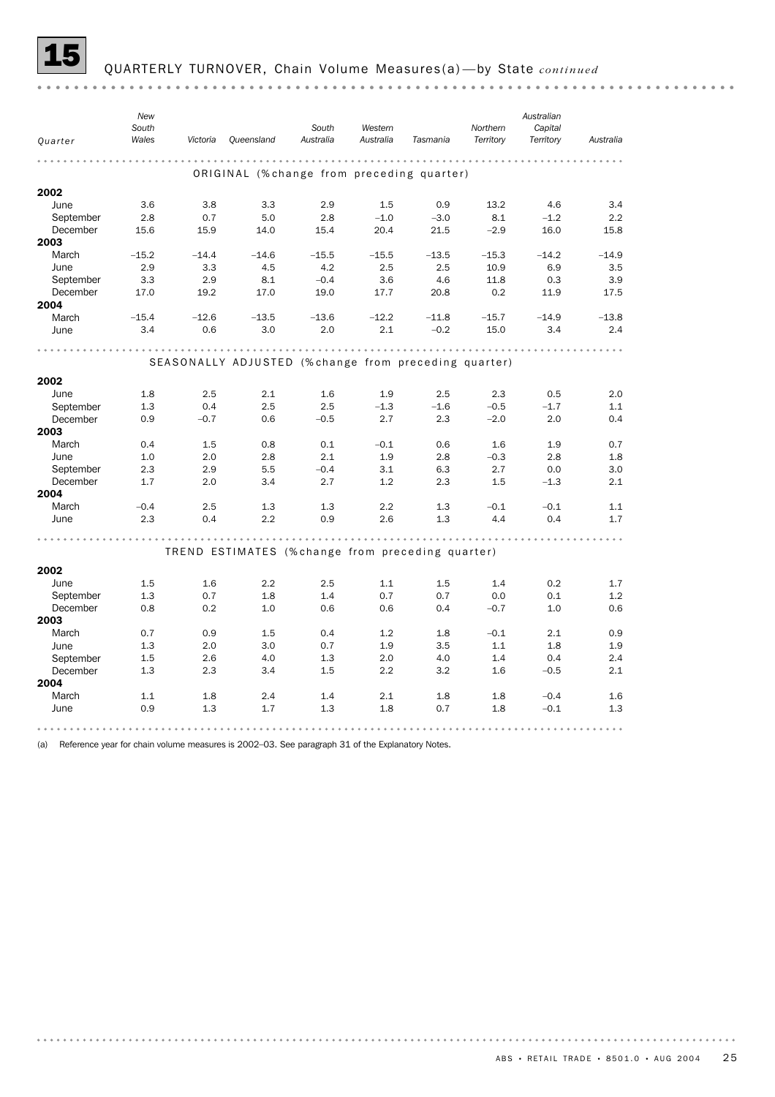![](_page_24_Picture_0.jpeg)

#### 15 QUARTERLY TURNOVER, Chain Volume Measures(a) —by State *continued*

*New Australian South South Western Northern Capital Quarter Wales Victoria Queensland Australia Australia Tasmania Territory Territory Australia* ORIGINAL (% change from preceding quarter) 2002 June 3.6 3.8 3.3 2.9 1.5 0.9 13.2 4.6 3.4 September 2.8 0.7 5.0 2.8 –1.0 –3.0 8.1 –1.2 2.2 December 15.6 15.9 14.0 15.4 20.4 21.5 –2.9 16.0 15.8 2003 March –15.2 –14.4 –14.6 –15.5 –15.5 –13.5 –15.3 –14.2 –14.9 June 2.9 3.3 4.5 4.2 2.5 2.5 10.9 6.9 3.5 September 3.3 2.9 8.1 –0.4 3.6 4.6 11.8 0.3 3.9 December 17.0 19.2 17.0 19.0 17.7 20.8 0.2 11.9 17.5 2004 March –15.4 –12.6 –13.5 –13.6 –12.2 –11.8 –15.7 –14.9 –13.8 June 3.4 0.6 3.0 2.0 2.1 –0.2 15.0 3.4 2.4 SEASONALLY ADJUSTED (% change from preceding quarter) 2002 June 1.8 2.5 2.1 1.6 1.9 2.5 2.3 0.5 2.0 September 1.3 0.4 2.5 2.5 –1.3 –1.6 –0.5 –1.7 1.1 December 0.9 –0.7 0.6 –0.5 2.7 2.3 –2.0 2.0 0.4 2003 March 0.4 1.5 0.8 0.1 –0.1 0.6 1.6 1.9 0.7 June 1.0 2.0 2.8 2.1 1.9 2.8 –0.3 2.8 1.8 September 2.3 2.9 5.5 –0.4 3.1 6.3 2.7 0.0 3.0 December 1.7 2.0 3.4 2.7 1.2 2.3 1.5 –1.3 2.1 2004 March –0.4 2.5 1.3 1.3 2.2 1.3 –0.1 –0.1 1.1 June 2.3 0.4 2.2 0.9 2.6 1.3 4.4 0.4 1.7 TREND ESTIMATES (% change from preceding quarter) 2002 June 1.5 1.6 2.2 2.5 1.1 1.5 1.4 0.2 1.7 September 1.3 0.7 1.8 1.4 0.7 0.7 0.0 0.1 1.2 December 0.8 0.2 1.0 0.6 0.6 0.4 –0.7 1.0 0.6 2003 March 0.7 0.9 1.5 0.4 1.2 1.8 –0.1 2.1 0.9 June 1.3 2.0 3.0 0.7 1.9 3.5 1.1 1.8 1.9 September 1.5 2.6 4.0 1.3 2.0 4.0 1.4 0.4 2.4 December 1.3 2.3 3.4 1.5 2.2 3.2 1.6 –0.5 2.1 2004 March 1.1 1.8 2.4 1.4 2.1 1.8 1.8 –0.4 1.6 June 0.9 1.3 1.7 1.3 1.8 0.7 1.8 –0.1 1.3 

(a) Reference year for chain volume measures is 2002–03. See paragraph 31 of the Explanatory Notes.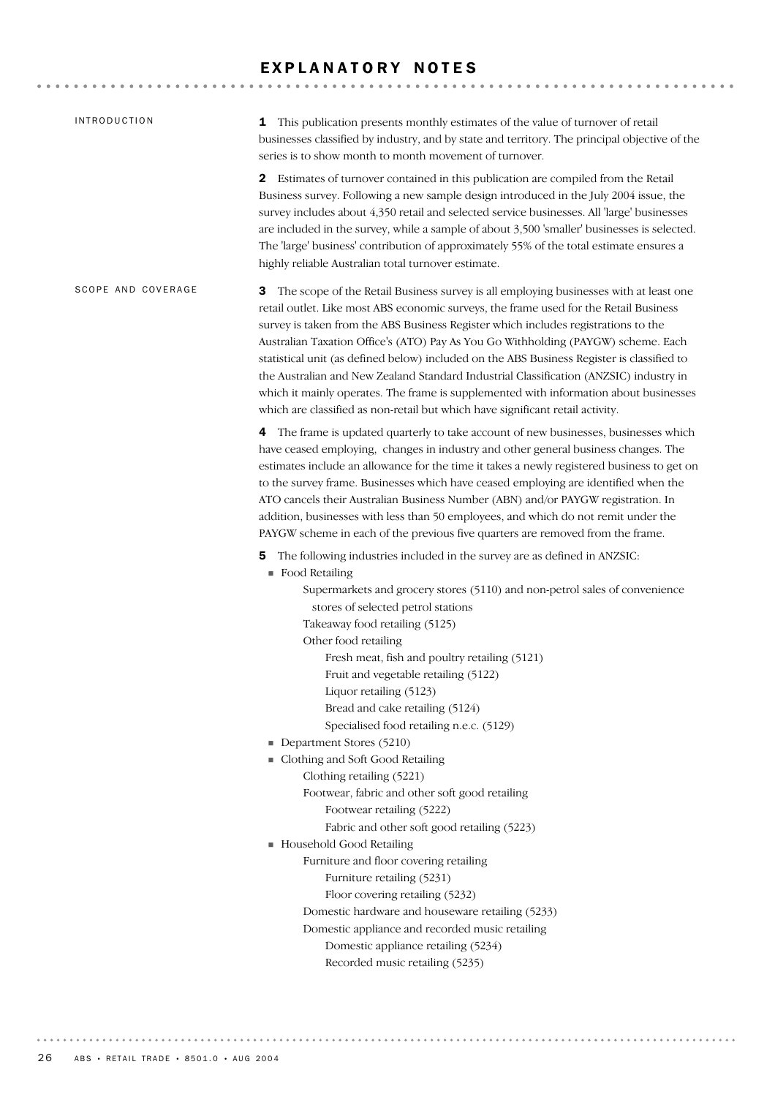# EXPLANATORY NOTES

| <b>INTRODUCTION</b> | 1 This publication presents monthly estimates of the value of turnover of retail<br>businesses classified by industry, and by state and territory. The principal objective of the<br>series is to show month to month movement of turnover.                                                                                                                                                                                                                                                                                                                                                                                                                                                                                       |
|---------------------|-----------------------------------------------------------------------------------------------------------------------------------------------------------------------------------------------------------------------------------------------------------------------------------------------------------------------------------------------------------------------------------------------------------------------------------------------------------------------------------------------------------------------------------------------------------------------------------------------------------------------------------------------------------------------------------------------------------------------------------|
|                     | Estimates of turnover contained in this publication are compiled from the Retail<br>$\mathbf{2}$<br>Business survey. Following a new sample design introduced in the July 2004 issue, the<br>survey includes about 4,350 retail and selected service businesses. All 'large' businesses<br>are included in the survey, while a sample of about 3,500 'smaller' businesses is selected.<br>The 'large' business' contribution of approximately 55% of the total estimate ensures a<br>highly reliable Australian total turnover estimate.                                                                                                                                                                                          |
| SCOPE AND COVERAGE  | The scope of the Retail Business survey is all employing businesses with at least one<br>3<br>retail outlet. Like most ABS economic surveys, the frame used for the Retail Business<br>survey is taken from the ABS Business Register which includes registrations to the<br>Australian Taxation Office's (ATO) Pay As You Go Withholding (PAYGW) scheme. Each<br>statistical unit (as defined below) included on the ABS Business Register is classified to<br>the Australian and New Zealand Standard Industrial Classification (ANZSIC) industry in<br>which it mainly operates. The frame is supplemented with information about businesses<br>which are classified as non-retail but which have significant retail activity. |
|                     | 4 The frame is updated quarterly to take account of new businesses, businesses which<br>have ceased employing, changes in industry and other general business changes. The<br>estimates include an allowance for the time it takes a newly registered business to get on<br>to the survey frame. Businesses which have ceased employing are identified when the<br>ATO cancels their Australian Business Number (ABN) and/or PAYGW registration. In<br>addition, businesses with less than 50 employees, and which do not remit under the<br>PAYGW scheme in each of the previous five quarters are removed from the frame.                                                                                                       |
|                     | The following industries included in the survey are as defined in ANZSIC:<br>5<br>Food Retailing<br>Supermarkets and grocery stores (5110) and non-petrol sales of convenience<br>stores of selected petrol stations<br>Takeaway food retailing (5125)<br>Other food retailing<br>Fresh meat, fish and poultry retailing (5121)<br>Fruit and vegetable retailing (5122)<br>Liquor retailing (5123)<br>Bread and cake retailing (5124)<br>Specialised food retailing n.e.c. (5129)<br>Department Stores (5210)<br>Clothing and Soft Good Retailing<br>Clothing retailing (5221)<br>Footwear, fabric and other soft good retailing<br>Footwear retailing (5222)                                                                     |
|                     | Fabric and other soft good retailing (5223)<br>Household Good Retailing<br>Furniture and floor covering retailing<br>Furniture retailing (5231)<br>Floor covering retailing (5232)<br>Domestic hardware and houseware retailing (5233)<br>Domestic appliance and recorded music retailing<br>Domestic appliance retailing (5234)                                                                                                                                                                                                                                                                                                                                                                                                  |
|                     | Recorded music retailing (5235)                                                                                                                                                                                                                                                                                                                                                                                                                                                                                                                                                                                                                                                                                                   |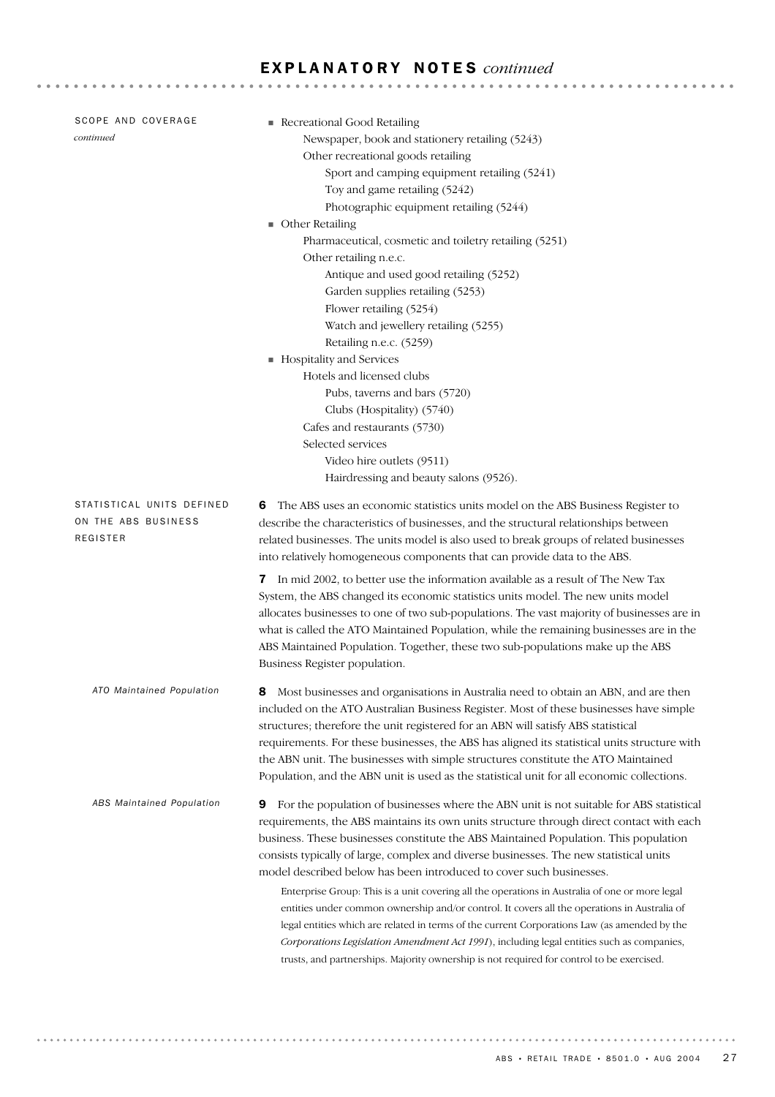| SCOPE AND COVERAGE<br>continued                              | Recreational Good Retailing<br>Newspaper, book and stationery retailing (5243)<br>Other recreational goods retailing<br>Sport and camping equipment retailing (5241)<br>Toy and game retailing (5242)<br>Photographic equipment retailing (5244)<br><b>Other Retailing</b><br>Pharmaceutical, cosmetic and toiletry retailing (5251)<br>Other retailing n.e.c.<br>Antique and used good retailing (5252)<br>Garden supplies retailing (5253)<br>Flower retailing (5254)<br>Watch and jewellery retailing (5255)<br>Retailing n.e.c. (5259)<br>Hospitality and Services<br>Hotels and licensed clubs<br>Pubs, taverns and bars (5720)<br>Clubs (Hospitality) (5740)                                                                                                                                                                                                                                                                            |
|--------------------------------------------------------------|-----------------------------------------------------------------------------------------------------------------------------------------------------------------------------------------------------------------------------------------------------------------------------------------------------------------------------------------------------------------------------------------------------------------------------------------------------------------------------------------------------------------------------------------------------------------------------------------------------------------------------------------------------------------------------------------------------------------------------------------------------------------------------------------------------------------------------------------------------------------------------------------------------------------------------------------------|
|                                                              | Cafes and restaurants (5730)<br>Selected services<br>Video hire outlets (9511)<br>Hairdressing and beauty salons (9526).                                                                                                                                                                                                                                                                                                                                                                                                                                                                                                                                                                                                                                                                                                                                                                                                                      |
| STATISTICAL UNITS DEFINED<br>ON THE ABS BUSINESS<br>REGISTER | The ABS uses an economic statistics units model on the ABS Business Register to<br>6<br>describe the characteristics of businesses, and the structural relationships between<br>related businesses. The units model is also used to break groups of related businesses<br>into relatively homogeneous components that can provide data to the ABS.                                                                                                                                                                                                                                                                                                                                                                                                                                                                                                                                                                                            |
|                                                              | 7 In mid 2002, to better use the information available as a result of The New Tax<br>System, the ABS changed its economic statistics units model. The new units model<br>allocates businesses to one of two sub-populations. The vast majority of businesses are in<br>what is called the ATO Maintained Population, while the remaining businesses are in the<br>ABS Maintained Population. Together, these two sub-populations make up the ABS<br>Business Register population.                                                                                                                                                                                                                                                                                                                                                                                                                                                             |
| ATO Maintained Population                                    | Most businesses and organisations in Australia need to obtain an ABN, and are then<br>included on the ATO Australian Business Register. Most of these businesses have simple<br>structures; therefore the unit registered for an ABN will satisfy ABS statistical<br>requirements. For these businesses, the ABS has aligned its statistical units structure with<br>the ABN unit. The businesses with simple structures constitute the ATO Maintained<br>Population, and the ABN unit is used as the statistical unit for all economic collections.                                                                                                                                                                                                                                                                                                                                                                                          |
| ABS Maintained Population                                    | For the population of businesses where the ABN unit is not suitable for ABS statistical<br>9<br>requirements, the ABS maintains its own units structure through direct contact with each<br>business. These businesses constitute the ABS Maintained Population. This population<br>consists typically of large, complex and diverse businesses. The new statistical units<br>model described below has been introduced to cover such businesses.<br>Enterprise Group: This is a unit covering all the operations in Australia of one or more legal<br>entities under common ownership and/or control. It covers all the operations in Australia of<br>legal entities which are related in terms of the current Corporations Law (as amended by the<br>Corporations Legislation Amendment Act 1991), including legal entities such as companies,<br>trusts, and partnerships. Majority ownership is not required for control to be exercised. |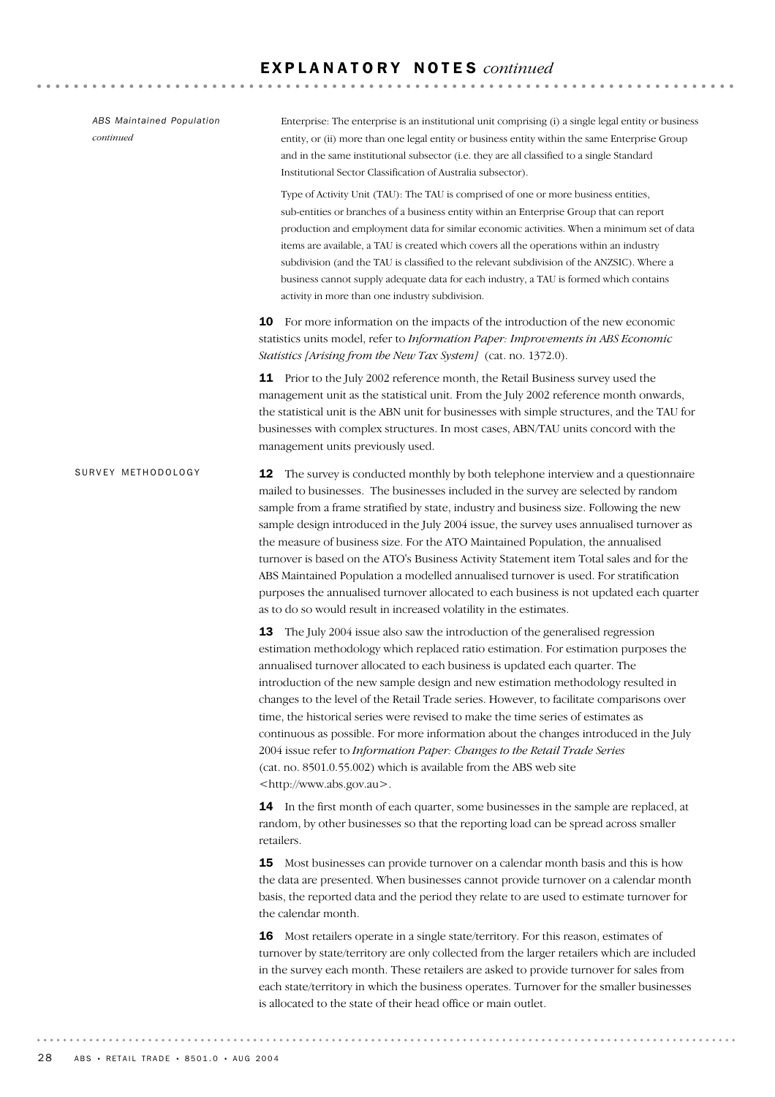**12** The survey is conducted monthly by both telephone interview and a questionnaire mailed to businesses. The businesses included in the survey are selected by random sample from a frame stratified by state, industry and business size. Following the new sample design introduced in the July 2004 issue, the survey uses annualised turnover as the measure of business size. For the ATO Maintained Population, the annualised turnover is based on the ATO's Business Activity Statement item Total sales and for the ABS Maintained Population a modelled annualised turnover is used. For stratification purposes the annualised turnover allocated to each business is not updated each quarter as to do so would result in increased volatility in the estimates. 13 The July 2004 issue also saw the introduction of the generalised regression estimation methodology which replaced ratio estimation. For estimation purposes the annualised turnover allocated to each business is updated each quarter. The introduction of the new sample design and new estimation methodology resulted in changes to the level of the Retail Trade series. However, to facilitate comparisons over time, the historical series were revised to make the time series of estimates as continuous as possible. For more information about the changes introduced in the July 2004 issue refer to *Information Paper: Changes to the Retail Trade Series* (cat. no. 8501.0.55.002) which is available from the ABS web site <http://www.abs.gov.au>. **14** In the first month of each quarter, some businesses in the sample are replaced, at random, by other businesses so that the reporting load can be spread across smaller retailers. 15 Most businesses can provide turnover on a calendar month basis and this is how the data are presented. When businesses cannot provide turnover on a calendar month basis, the reported data and the period they relate to are used to estimate turnover for the calendar month. 16 Most retailers operate in a single state/territory. For this reason, estimates of turnover by state/territory are only collected from the larger retailers which are included in the survey each month. These retailers are asked to provide turnover for sales from each state/territory in which the business operates. Turnover for the smaller businesses is allocated to the state of their head office or main outlet. SURVEY METHODOLOGY Enterprise: The enterprise is an institutional unit comprising (i) a single legal entity or business entity, or (ii) more than one legal entity or business entity within the same Enterprise Group and in the same institutional subsector (i.e. they are all classified to a single Standard Institutional Sector Classification of Australia subsector). Type of Activity Unit (TAU): The TAU is comprised of one or more business entities, sub-entities or branches of a business entity within an Enterprise Group that can report production and employment data for similar economic activities. When a minimum set of data items are available, a TAU is created which covers all the operations within an industry subdivision (and the TAU is classified to the relevant subdivision of the ANZSIC). Where a business cannot supply adequate data for each industry, a TAU is formed which contains activity in more than one industry subdivision. 10 For more information on the impacts of the introduction of the new economic statistics units model, refer to *Information Paper: Improvements in ABS Economic Statistics [Arising from the New Tax System]* (cat. no. 1372.0). 11 Prior to the July 2002 reference month, the Retail Business survey used the management unit as the statistical unit. From the July 2002 reference month onwards, the statistical unit is the ABN unit for businesses with simple structures, and the TAU for businesses with complex structures. In most cases, ABN/TAU units concord with the management units previously used. *ABS Maintained Population continued*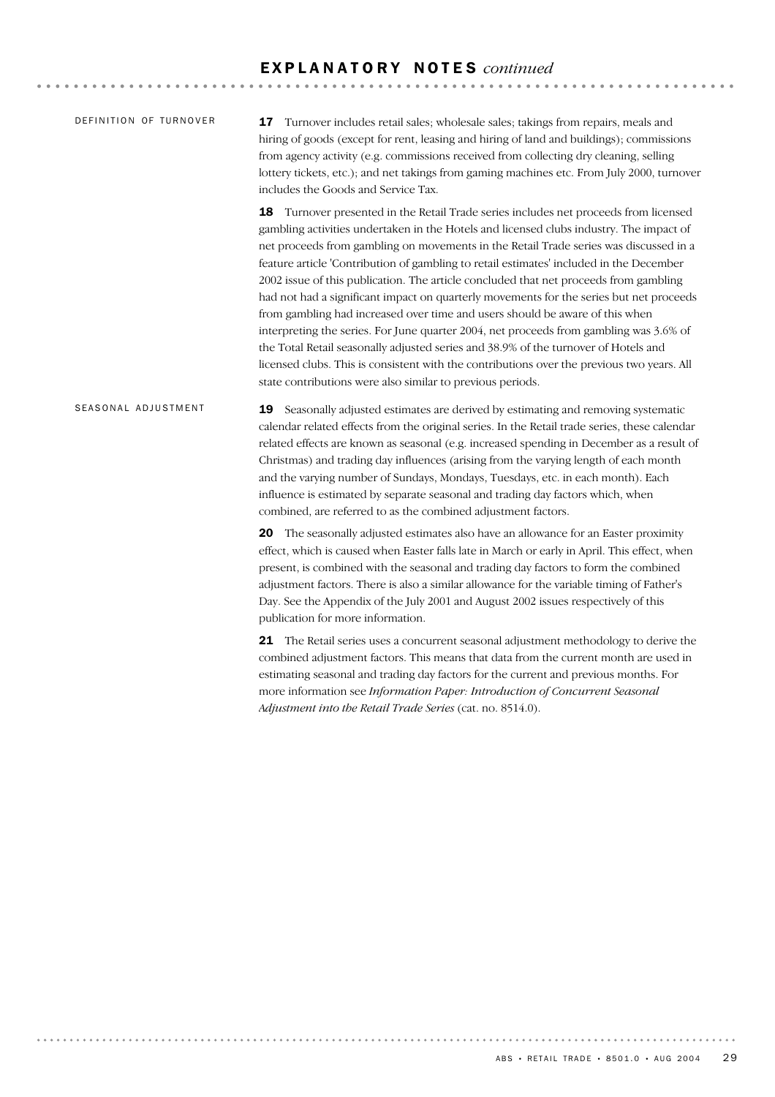| DEFINITION OF TURNOVER | <b>17</b> Turnover includes retail sales; wholesale sales; takings from repairs, meals and |
|------------------------|--------------------------------------------------------------------------------------------|
|                        | hiring of goods (except for rent, leasing and hiring of land and buildings); commissions   |
|                        | from agency activity (e.g. commissions received from collecting dry cleaning, selling      |
|                        | lottery tickets, etc.); and net takings from gaming machines etc. From July 2000, turnover |
|                        | includes the Goods and Service Tax.                                                        |
|                        | Turnover presented in the Retail Trade series includes net proceeds from licensed<br>18    |

gambling activities undertaken in the Hotels and licensed clubs industry. The impact of net proceeds from gambling on movements in the Retail Trade series was discussed in a feature article 'Contribution of gambling to retail estimates' included in the December 2002 issue of this publication. The article concluded that net proceeds from gambling had not had a significant impact on quarterly movements for the series but net proceeds from gambling had increased over time and users should be aware of this when interpreting the series. For June quarter 2004, net proceeds from gambling was 3.6% of the Total Retail seasonally adjusted series and 38.9% of the turnover of Hotels and licensed clubs. This is consistent with the contributions over the previous two years. All state contributions were also similar to previous periods.

19 Seasonally adjusted estimates are derived by estimating and removing systematic calendar related effects from the original series. In the Retail trade series, these calendar related effects are known as seasonal (e.g. increased spending in December as a result of Christmas) and trading day influences (arising from the varying length of each month and the varying number of Sundays, Mondays, Tuesdays, etc. in each month). Each influence is estimated by separate seasonal and trading day factors which, when combined, are referred to as the combined adjustment factors. SEASONAL ADJUSTMENT

> 20 The seasonally adjusted estimates also have an allowance for an Easter proximity effect, which is caused when Easter falls late in March or early in April. This effect, when present, is combined with the seasonal and trading day factors to form the combined adjustment factors. There is also a similar allowance for the variable timing of Father's Day. See the Appendix of the July 2001 and August 2002 issues respectively of this publication for more information.

> 21 The Retail series uses a concurrent seasonal adjustment methodology to derive the combined adjustment factors. This means that data from the current month are used in estimating seasonal and trading day factors for the current and previous months. For more information see *Information Paper: Introduction of Concurrent Seasonal Adjustment into the Retail Trade Series* (cat. no. 8514.0).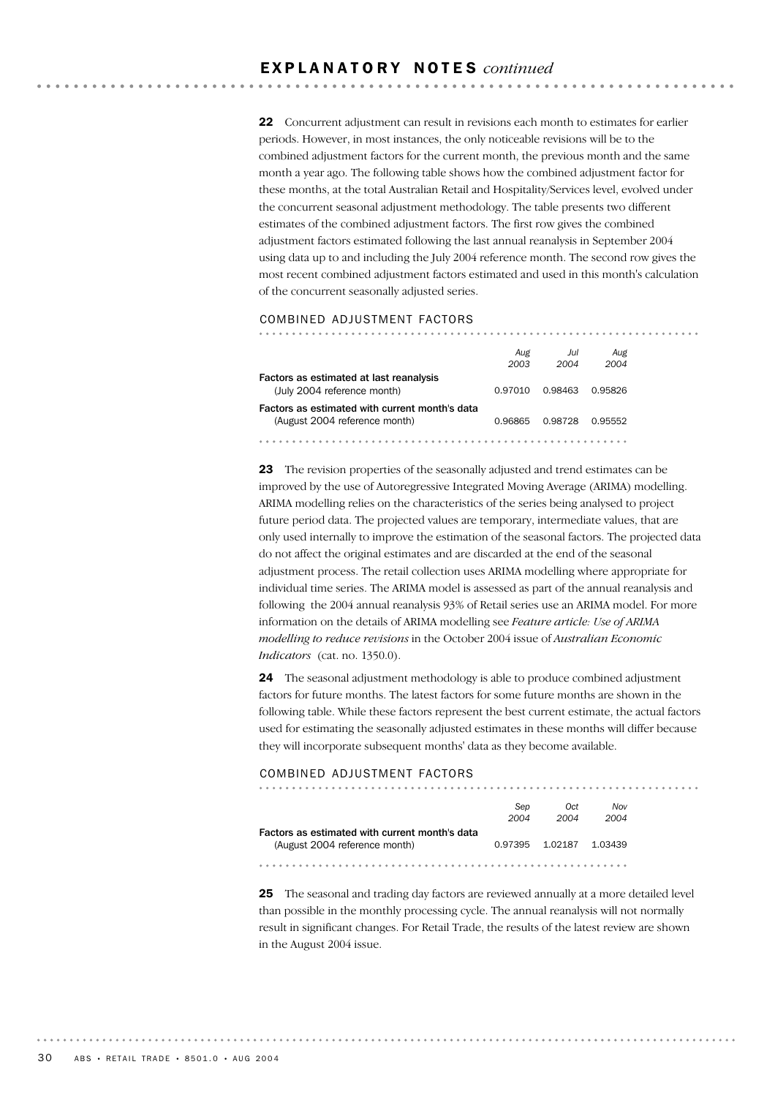22 Concurrent adjustment can result in revisions each month to estimates for earlier periods. However, in most instances, the only noticeable revisions will be to the combined adjustment factors for the current month, the previous month and the same month a year ago. The following table shows how the combined adjustment factor for these months, at the total Australian Retail and Hospitality/Services level, evolved under the concurrent seasonal adjustment methodology. The table presents two different estimates of the combined adjustment factors. The first row gives the combined adjustment factors estimated following the last annual reanalysis in September 2004 using data up to and including the July 2004 reference month. The second row gives the most recent combined adjustment factors estimated and used in this month's calculation of the concurrent seasonally adjusted series.

#### COMBINED ADJUSTMENT FACTORS

|                                                | Aug     | Jul     | Aug     |
|------------------------------------------------|---------|---------|---------|
|                                                | 2003    | 2004    | 2004    |
| Factors as estimated at last reanalysis        |         |         |         |
| (July 2004 reference month)                    | 0.97010 | 0.98463 | 0.95826 |
| Factors as estimated with current month's data |         |         |         |
| (August 2004 reference month)                  | 0.96865 | 0.98728 | 0.95552 |
|                                                |         |         |         |

23 The revision properties of the seasonally adjusted and trend estimates can be improved by the use of Autoregressive Integrated Moving Average (ARIMA) modelling. ARIMA modelling relies on the characteristics of the series being analysed to project future period data. The projected values are temporary, intermediate values, that are only used internally to improve the estimation of the seasonal factors. The projected data do not affect the original estimates and are discarded at the end of the seasonal adjustment process. The retail collection uses ARIMA modelling where appropriate for individual time series. The ARIMA model is assessed as part of the annual reanalysis and following the 2004 annual reanalysis 93% of Retail series use an ARIMA model. For more information on the details of ARIMA modelling see *Feature article: Use of ARIMA modelling to reduce revisions* in the October 2004 issue of *Australian Economic Indicators* (cat. no. 1350.0).

24 The seasonal adjustment methodology is able to produce combined adjustment factors for future months. The latest factors for some future months are shown in the following table. While these factors represent the best current estimate, the actual factors used for estimating the seasonally adjusted estimates in these months will differ because they will incorporate subsequent months' data as they become available.

#### COMBINED ADJUSTMENT FACTORS

|                                                | Sep     | Oct     | Nov     |
|------------------------------------------------|---------|---------|---------|
|                                                | 2004    | 2004    | 2004    |
| Factors as estimated with current month's data |         |         |         |
| (August 2004 reference month)                  | 0.97395 | 1.02187 | 1.03439 |

25 The seasonal and trading day factors are reviewed annually at a more detailed level than possible in the monthly processing cycle. The annual reanalysis will not normally result in significant changes. For Retail Trade, the results of the latest review are shown in the August 2004 issue.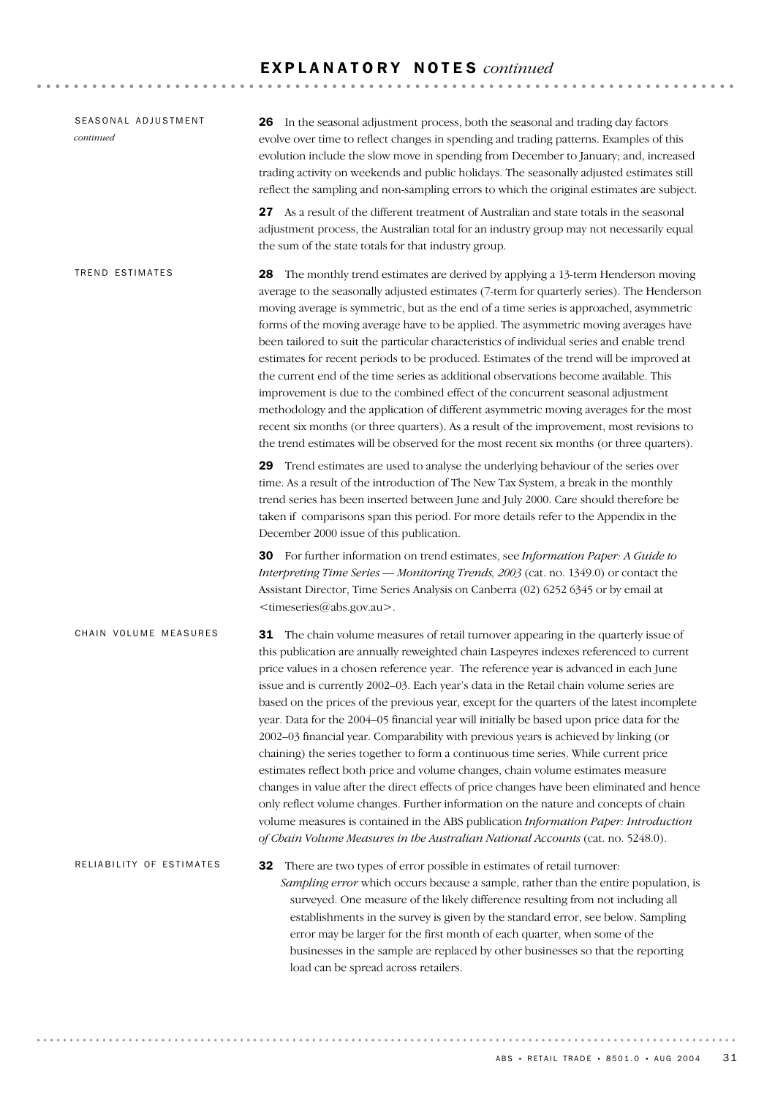| SEASONAL ADJUSTMENT<br>continued | <b>26</b> In the seasonal adjustment process, both the seasonal and trading day factors<br>evolve over time to reflect changes in spending and trading patterns. Examples of this<br>evolution include the slow move in spending from December to January; and, increased<br>trading activity on weekends and public holidays. The seasonally adjusted estimates still<br>reflect the sampling and non-sampling errors to which the original estimates are subject.                                                                                                                                                                                                                                                                                                                                                                                                                                                                                                                                                                                                                                                                                                                                |
|----------------------------------|----------------------------------------------------------------------------------------------------------------------------------------------------------------------------------------------------------------------------------------------------------------------------------------------------------------------------------------------------------------------------------------------------------------------------------------------------------------------------------------------------------------------------------------------------------------------------------------------------------------------------------------------------------------------------------------------------------------------------------------------------------------------------------------------------------------------------------------------------------------------------------------------------------------------------------------------------------------------------------------------------------------------------------------------------------------------------------------------------------------------------------------------------------------------------------------------------|
|                                  | 27 As a result of the different treatment of Australian and state totals in the seasonal<br>adjustment process, the Australian total for an industry group may not necessarily equal<br>the sum of the state totals for that industry group.                                                                                                                                                                                                                                                                                                                                                                                                                                                                                                                                                                                                                                                                                                                                                                                                                                                                                                                                                       |
| <b>TREND ESTIMATES</b>           | The monthly trend estimates are derived by applying a 13-term Henderson moving<br>28<br>average to the seasonally adjusted estimates (7-term for quarterly series). The Henderson<br>moving average is symmetric, but as the end of a time series is approached, asymmetric<br>forms of the moving average have to be applied. The asymmetric moving averages have<br>been tailored to suit the particular characteristics of individual series and enable trend<br>estimates for recent periods to be produced. Estimates of the trend will be improved at<br>the current end of the time series as additional observations become available. This<br>improvement is due to the combined effect of the concurrent seasonal adjustment<br>methodology and the application of different asymmetric moving averages for the most<br>recent six months (or three quarters). As a result of the improvement, most revisions to<br>the trend estimates will be observed for the most recent six months (or three quarters).                                                                                                                                                                             |
|                                  | 29 Trend estimates are used to analyse the underlying behaviour of the series over<br>time. As a result of the introduction of The New Tax System, a break in the monthly<br>trend series has been inserted between June and July 2000. Care should therefore be<br>taken if comparisons span this period. For more details refer to the Appendix in the<br>December 2000 issue of this publication.                                                                                                                                                                                                                                                                                                                                                                                                                                                                                                                                                                                                                                                                                                                                                                                               |
|                                  | 30 For further information on trend estimates, see Information Paper: A Guide to<br>Interpreting Time Series - Monitoring Trends, 2003 (cat. no. 1349.0) or contact the<br>Assistant Director, Time Series Analysis on Canberra (02) 6252 6345 or by email at<br><timeseries@abs.gov.au>.</timeseries@abs.gov.au>                                                                                                                                                                                                                                                                                                                                                                                                                                                                                                                                                                                                                                                                                                                                                                                                                                                                                  |
| CHAIN VOLUME MEASURES            | <b>31</b> The chain volume measures of retail turnover appearing in the quarterly issue of<br>this publication are annually reweighted chain Laspeyres indexes referenced to current<br>price values in a chosen reference year. The reference year is advanced in each June<br>issue and is currently 2002-03. Each year's data in the Retail chain volume series are<br>based on the prices of the previous year, except for the quarters of the latest incomplete<br>year. Data for the 2004–05 financial year will initially be based upon price data for the<br>2002-03 financial year. Comparability with previous years is achieved by linking (or<br>chaining) the series together to form a continuous time series. While current price<br>estimates reflect both price and volume changes, chain volume estimates measure<br>changes in value after the direct effects of price changes have been eliminated and hence<br>only reflect volume changes. Further information on the nature and concepts of chain<br>volume measures is contained in the ABS publication Information Paper: Introduction<br>of Chain Volume Measures in the Australian National Accounts (cat. no. 5248.0). |
| RELIABILITY OF ESTIMATES         | There are two types of error possible in estimates of retail turnover:<br>32<br>Sampling error which occurs because a sample, rather than the entire population, is<br>surveyed. One measure of the likely difference resulting from not including all<br>establishments in the survey is given by the standard error, see below. Sampling<br>error may be larger for the first month of each quarter, when some of the<br>businesses in the sample are replaced by other businesses so that the reporting<br>load can be spread across retailers.                                                                                                                                                                                                                                                                                                                                                                                                                                                                                                                                                                                                                                                 |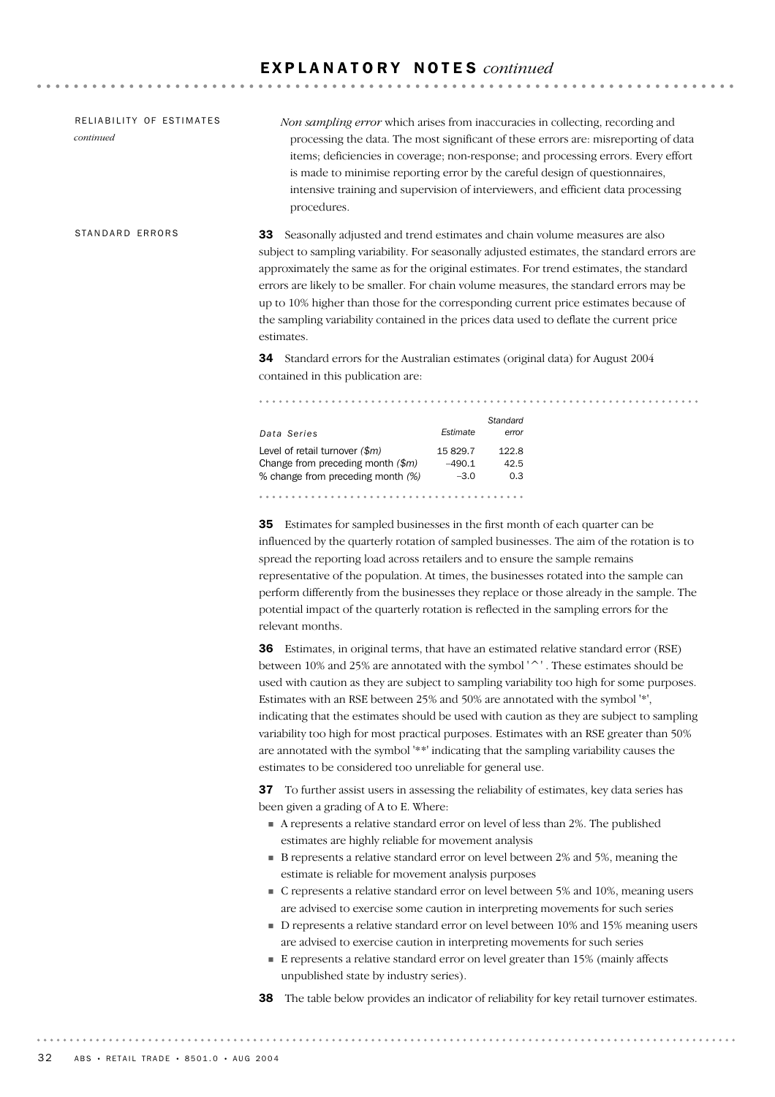33 Seasonally adjusted and trend estimates and chain volume measures are also subject to sampling variability. For seasonally adjusted estimates, the standard errors are approximately the same as for the original estimates. For trend estimates, the standard errors are likely to be smaller. For chain volume measures, the standard errors may be up to 10% higher than those for the corresponding current price estimates because of the sampling variability contained in the prices data used to deflate the current price STANDARD FRRORS *Non sampling error* which arises from inaccuracies in collecting, recording and processing the data. The most significant of these errors are: misreporting of data items; deficiencies in coverage; non-response; and processing errors. Every effort is made to minimise reporting error by the careful design of questionnaires, intensive training and supervision of interviewers, and efficient data processing procedures. RELIABILITY OF ESTIMATES *continued*

estimates.

34 Standard errors for the Australian estimates (original data) for August 2004 contained in this publication are:

| Data Series                                                                                                  | <b><i><u>Estimate</u></i></b> | Standard<br>error    |
|--------------------------------------------------------------------------------------------------------------|-------------------------------|----------------------|
| Level of retail turnover $(\$m)$<br>Change from preceding month $(\$m)$<br>% change from preceding month (%) | 15829.7<br>$-490.1$<br>$-3.0$ | 122.8<br>42.5<br>0.3 |
|                                                                                                              |                               |                      |

35 Estimates for sampled businesses in the first month of each quarter can be influenced by the quarterly rotation of sampled businesses. The aim of the rotation is to spread the reporting load across retailers and to ensure the sample remains representative of the population. At times, the businesses rotated into the sample can perform differently from the businesses they replace or those already in the sample. The potential impact of the quarterly rotation is reflected in the sampling errors for the relevant months.

36 Estimates, in original terms, that have an estimated relative standard error (RSE) between 10% and 25% are annotated with the symbol '^' . These estimates should be used with caution as they are subject to sampling variability too high for some purposes. Estimates with an RSE between 25% and 50% are annotated with the symbol '\*', indicating that the estimates should be used with caution as they are subject to sampling variability too high for most practical purposes. Estimates with an RSE greater than 50% are annotated with the symbol '\*\*' indicating that the sampling variability causes the estimates to be considered too unreliable for general use.

37 To further assist users in assessing the reliability of estimates, key data series has been given a grading of A to E. Where:

- ! A represents a relative standard error on level of less than 2%. The published estimates are highly reliable for movement analysis
- ! B represents a relative standard error on level between 2% and 5%, meaning the estimate is reliable for movement analysis purposes
- ! C represents a relative standard error on level between 5% and 10%, meaning users are advised to exercise some caution in interpreting movements for such series
- ! D represents a relative standard error on level between 10% and 15% meaning users are advised to exercise caution in interpreting movements for such series
- ! E represents a relative standard error on level greater than 15% (mainly affects unpublished state by industry series).
- 38 The table below provides an indicator of reliability for key retail turnover estimates.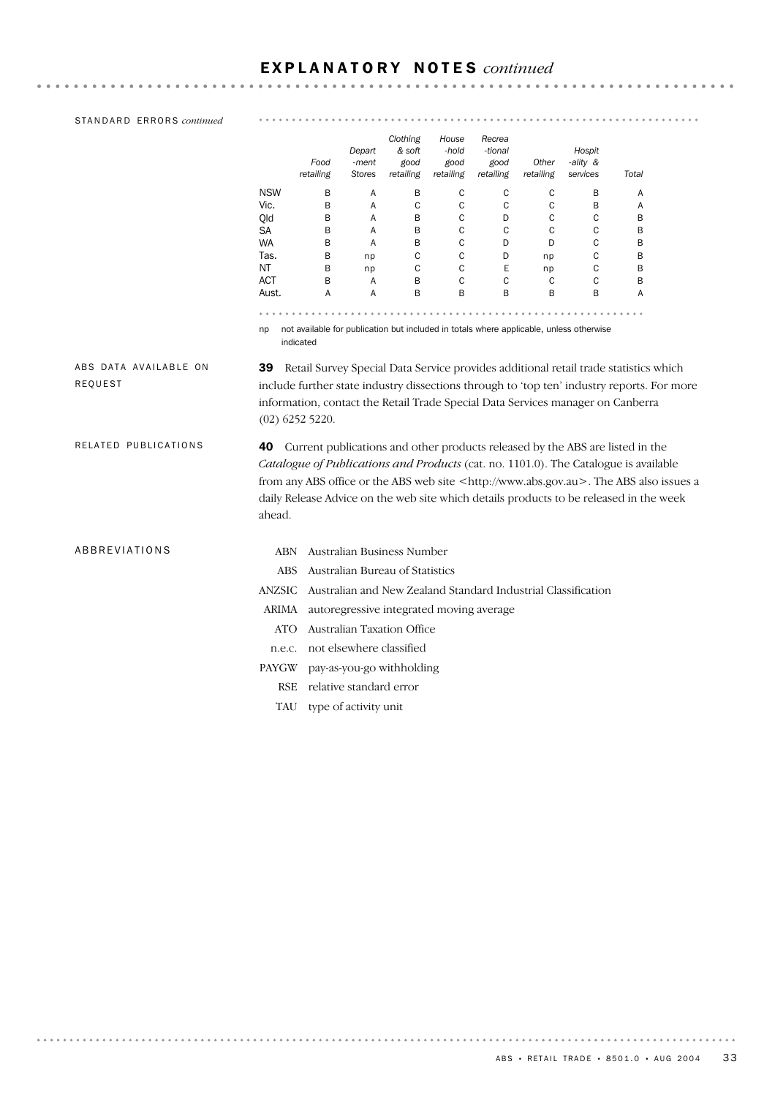| STANDARD ERRORS continued        |                                               |                   |                                  |                                         |                                     |                                          |                    |                                                                                                                                                                                                                                                                                                                                                                      |        |  |
|----------------------------------|-----------------------------------------------|-------------------|----------------------------------|-----------------------------------------|-------------------------------------|------------------------------------------|--------------------|----------------------------------------------------------------------------------------------------------------------------------------------------------------------------------------------------------------------------------------------------------------------------------------------------------------------------------------------------------------------|--------|--|
|                                  |                                               | Food<br>retailing | Depart<br>-ment<br><b>Stores</b> | Clothing<br>& soft<br>good<br>retailing | House<br>-hold<br>good<br>retailing | Recrea<br>-tional<br>good<br>retailing   | Other<br>retailing | Hospit<br>-ality &<br>services                                                                                                                                                                                                                                                                                                                                       | Total  |  |
|                                  | <b>NSW</b>                                    | В                 | Α                                | В                                       | C                                   | C                                        | C                  | В                                                                                                                                                                                                                                                                                                                                                                    | Α      |  |
|                                  | Vic.                                          | B                 | Α                                | $\mathsf C$                             | $\mathsf C$                         | C                                        | C                  | B                                                                                                                                                                                                                                                                                                                                                                    | Α      |  |
|                                  | Old                                           | B                 | Α                                | B                                       | $\mathsf{C}$                        | D                                        | C                  | С                                                                                                                                                                                                                                                                                                                                                                    | B      |  |
|                                  | SА                                            | B                 | Α                                | B                                       | C                                   | C                                        | C                  | С                                                                                                                                                                                                                                                                                                                                                                    | B      |  |
|                                  | <b>WA</b><br>Tas.                             | В<br>В            | Α                                | В<br>C                                  | C<br>C                              | D<br>D                                   | D<br>np            | С<br>C                                                                                                                                                                                                                                                                                                                                                               | B<br>B |  |
|                                  | ΝT                                            | B                 | np<br>np                         | $\mathsf C$                             | $\mathsf C$                         | Ε                                        | np                 | С                                                                                                                                                                                                                                                                                                                                                                    | B      |  |
|                                  | <b>ACT</b>                                    | В                 | Α                                | B                                       | $\mathsf C$                         | $\mathsf C$                              | C                  | C                                                                                                                                                                                                                                                                                                                                                                    | B      |  |
|                                  | Aust.                                         | A                 | Α                                | B                                       | B                                   | B                                        | B                  | B                                                                                                                                                                                                                                                                                                                                                                    | Α      |  |
|                                  |                                               |                   |                                  |                                         |                                     |                                          |                    |                                                                                                                                                                                                                                                                                                                                                                      |        |  |
|                                  | np                                            | indicated         |                                  |                                         |                                     |                                          |                    | not available for publication but included in totals where applicable, unless otherwise                                                                                                                                                                                                                                                                              |        |  |
| ABS DATA AVAILABLE ON<br>REQUEST | 39                                            | $(02)$ 6252 5220. |                                  |                                         |                                     |                                          |                    | Retail Survey Special Data Service provides additional retail trade statistics which<br>include further state industry dissections through to 'top ten' industry reports. For more<br>information, contact the Retail Trade Special Data Services manager on Canberra                                                                                                |        |  |
| RELATED PUBLICATIONS             | 40<br>ahead.                                  |                   |                                  |                                         |                                     |                                          |                    | Current publications and other products released by the ABS are listed in the<br>Catalogue of Publications and Products (cat. no. 1101.0). The Catalogue is available<br>from any ABS office or the ABS web site <http: www.abs.gov.au="">. The ABS also issues a<br/>daily Release Advice on the web site which details products to be released in the week</http:> |        |  |
| ABBREVIATIONS                    | <b>ABN</b>                                    |                   |                                  | Australian Business Number              |                                     |                                          |                    |                                                                                                                                                                                                                                                                                                                                                                      |        |  |
|                                  | <b>ABS</b><br>Australian Bureau of Statistics |                   |                                  |                                         |                                     |                                          |                    |                                                                                                                                                                                                                                                                                                                                                                      |        |  |
|                                  | <b>ANZSIC</b>                                 |                   |                                  |                                         |                                     |                                          |                    | Australian and New Zealand Standard Industrial Classification                                                                                                                                                                                                                                                                                                        |        |  |
|                                  | ARIMA                                         |                   |                                  |                                         |                                     | autoregressive integrated moving average |                    |                                                                                                                                                                                                                                                                                                                                                                      |        |  |
|                                  | ATO                                           |                   |                                  | Australian Taxation Office              |                                     |                                          |                    |                                                                                                                                                                                                                                                                                                                                                                      |        |  |
|                                  |                                               |                   |                                  | not elsewhere classified                |                                     |                                          |                    |                                                                                                                                                                                                                                                                                                                                                                      |        |  |
|                                  | n.e.c.                                        |                   |                                  |                                         |                                     |                                          |                    |                                                                                                                                                                                                                                                                                                                                                                      |        |  |
|                                  | PAYGW                                         |                   |                                  | pay-as-you-go withholding               |                                     |                                          |                    |                                                                                                                                                                                                                                                                                                                                                                      |        |  |
|                                  | <b>RSE</b>                                    |                   | relative standard error          |                                         |                                     |                                          |                    |                                                                                                                                                                                                                                                                                                                                                                      |        |  |
|                                  | TAU                                           |                   | type of activity unit            |                                         |                                     |                                          |                    |                                                                                                                                                                                                                                                                                                                                                                      |        |  |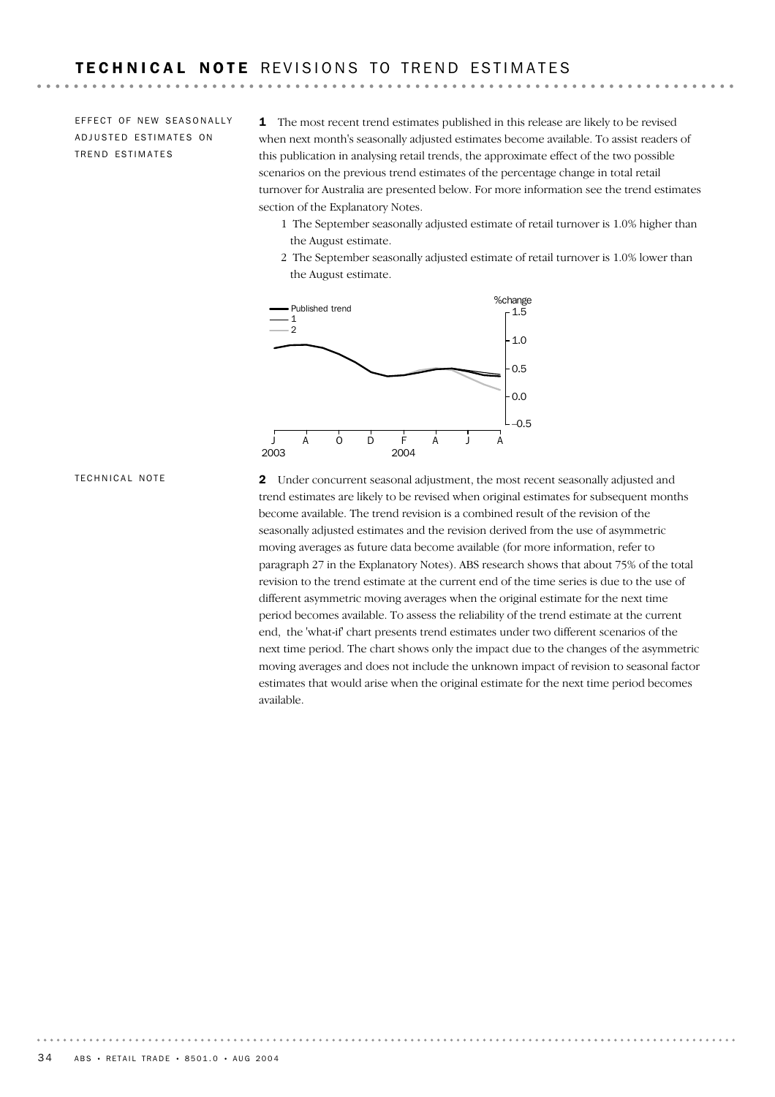EFFECT OF NEW SEASONALLY ADJUSTED ESTIMATES ON TREND ESTIMATES

----------

1 The most recent trend estimates published in this release are likely to be revised when next month's seasonally adjusted estimates become available. To assist readers of this publication in analysing retail trends, the approximate effect of the two possible scenarios on the previous trend estimates of the percentage change in total retail turnover for Australia are presented below. For more information see the trend estimates section of the Explanatory Notes.

- 1 The September seasonally adjusted estimate of retail turnover is 1.0% higher than the August estimate.
- 2 The September seasonally adjusted estimate of retail turnover is 1.0% lower than the August estimate.

![](_page_33_Figure_5.jpeg)

TECHNICAL NOTE

2 Under concurrent seasonal adjustment, the most recent seasonally adjusted and trend estimates are likely to be revised when original estimates for subsequent months become available. The trend revision is a combined result of the revision of the seasonally adjusted estimates and the revision derived from the use of asymmetric moving averages as future data become available (for more information, refer to paragraph 27 in the Explanatory Notes). ABS research shows that about 75% of the total revision to the trend estimate at the current end of the time series is due to the use of different asymmetric moving averages when the original estimate for the next time period becomes available. To assess the reliability of the trend estimate at the current end, the 'what-if' chart presents trend estimates under two different scenarios of the next time period. The chart shows only the impact due to the changes of the asymmetric moving averages and does not include the unknown impact of revision to seasonal factor estimates that would arise when the original estimate for the next time period becomes available.